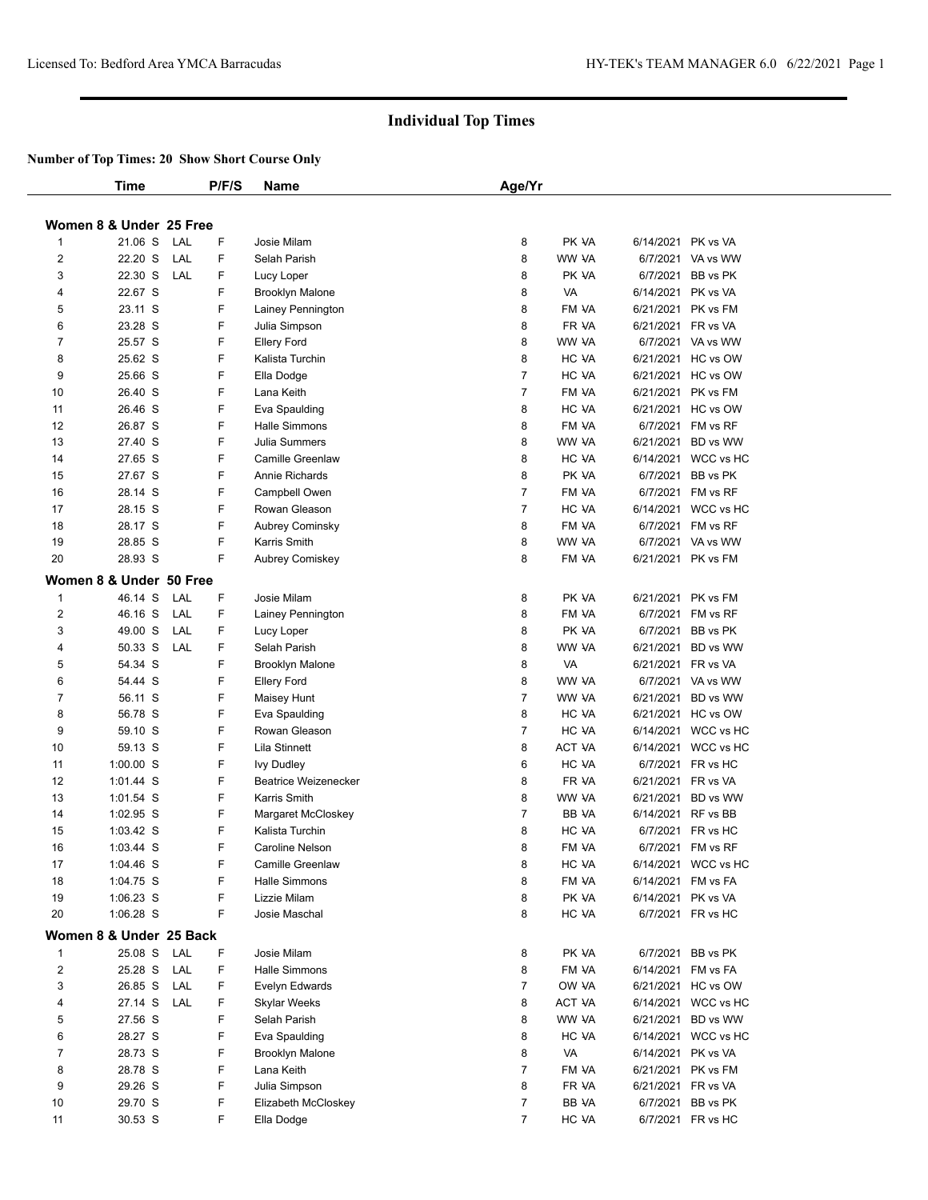|              | Time                    |     | P/F/S | Name                        | Age/Yr         |               |                    |                     |
|--------------|-------------------------|-----|-------|-----------------------------|----------------|---------------|--------------------|---------------------|
|              |                         |     |       |                             |                |               |                    |                     |
|              | Women 8 & Under 25 Free |     |       |                             |                |               |                    |                     |
| $\mathbf{1}$ | 21.06 S                 | LAL | F.    | Josie Milam                 | 8              | PK VA         | 6/14/2021 PK vs VA |                     |
| 2            | 22.20 S                 | LAL | F     | Selah Parish                | 8              | WW VA         |                    | 6/7/2021 VA vs WW   |
| 3            | 22.30 S                 | LAL | F     | Lucy Loper                  | 8              | PK VA         |                    | 6/7/2021 BB vs PK   |
| 4            | 22.67 S                 |     | F     | <b>Brooklyn Malone</b>      | 8              | VA            | 6/14/2021 PK vs VA |                     |
| 5            | 23.11 S                 |     | F     | Lainey Pennington           | 8              | FM VA         |                    | 6/21/2021 PK vs FM  |
| 6            | 23.28 S                 |     | F     | Julia Simpson               | 8              | FR VA         | 6/21/2021 FR vs VA |                     |
| 7            | 25.57 S                 |     | F     | <b>Ellery Ford</b>          | 8              | WW VA         |                    | 6/7/2021 VA vs WW   |
| 8            | 25.62 S                 |     | F     | Kalista Turchin             | 8              | HC VA         |                    | 6/21/2021 HC vs OW  |
| 9            | 25.66 S                 |     | F     | Ella Dodge                  | 7              | HC VA         |                    | 6/21/2021 HC vs OW  |
| 10           | 26.40 S                 |     | F     | Lana Keith                  | 7              | FM VA         |                    | 6/21/2021 PK vs FM  |
| 11           | 26.46 S                 |     | F     | Eva Spaulding               | 8              | HC VA         |                    | 6/21/2021 HC vs OW  |
| 12           | 26.87 S                 |     | F.    | Halle Simmons               | 8              | FM VA         |                    | 6/7/2021 FM vs RF   |
| 13           | 27.40 S                 |     | F     | Julia Summers               | 8              | WW VA         |                    | 6/21/2021 BD vs WW  |
| 14           | 27.65 S                 |     | F     | <b>Camille Greenlaw</b>     | 8              | HC VA         |                    | 6/14/2021 WCC vs HC |
| 15           | 27.67 S                 |     | F     | Annie Richards              | 8              | PK VA         |                    | 6/7/2021 BB vs PK   |
| 16           | 28.14 S                 |     | F     | Campbell Owen               | $\overline{7}$ | FM VA         |                    | 6/7/2021 FM vs RF   |
| 17           | 28.15 S                 |     | F     | Rowan Gleason               | $\overline{7}$ | HC VA         |                    | 6/14/2021 WCC vs HC |
| 18           | 28.17 S                 |     | F     | Aubrey Cominsky             | 8              | FM VA         |                    | 6/7/2021 FM vs RF   |
| 19           | 28.85 S                 |     | F     | Karris Smith                | 8              | WW VA         |                    | 6/7/2021 VA vs WW   |
| 20           | 28.93 S                 |     | F.    | Aubrey Comiskey             | 8              | FM VA         |                    | 6/21/2021 PK vs FM  |
|              | Women 8 & Under 50 Free |     |       |                             |                |               |                    |                     |
| $\mathbf{1}$ | 46.14 S                 | LAL | F     | Josie Milam                 | 8              | PK VA         |                    | 6/21/2021 PK vs FM  |
| 2            | 46.16 S                 | LAL | F     | Lainey Pennington           | 8              | FM VA         |                    | 6/7/2021 FM vs RF   |
| 3            | 49.00 S                 | LAL | F.    | Lucy Loper                  | 8              | PK VA         |                    | 6/7/2021 BB vs PK   |
| 4            | 50.33 S                 | LAL | F     | Selah Parish                | 8              | WW VA         |                    | 6/21/2021 BD vs WW  |
| 5            | 54.34 S                 |     | F     | <b>Brooklyn Malone</b>      | 8              | VA            | 6/21/2021 FR vs VA |                     |
| 6            | 54.44 S                 |     | F     | <b>Ellery Ford</b>          | 8              | WW VA         |                    | 6/7/2021 VA vs WW   |
| 7            | 56.11 S                 |     | F     | Maisey Hunt                 | $\overline{7}$ | WW VA         |                    | 6/21/2021 BD vs WW  |
| 8            | 56.78 S                 |     | F     | Eva Spaulding               | 8              | HC VA         |                    | 6/21/2021 HC vs OW  |
| 9            | 59.10 S                 |     | F     | Rowan Gleason               | 7              | HC VA         |                    | 6/14/2021 WCC vs HC |
| 10           | 59.13 S                 |     | F     | Lila Stinnett               | 8              | <b>ACT VA</b> |                    | 6/14/2021 WCC vs HC |
| 11           | $1:00.00$ S             |     | F     | <b>Ivy Dudley</b>           | 6              | HC VA         |                    | 6/7/2021 FR vs HC   |
| 12           | 1:01.44 S               |     | F     | <b>Beatrice Weizenecker</b> | 8              | FR VA         | 6/21/2021 FR vs VA |                     |
| 13           | $1:01.54$ S             |     | F     | Karris Smith                | 8              | WW VA         |                    | 6/21/2021 BD vs WW  |
| 14           | 1:02.95 S               |     | F     | Margaret McCloskey          | 7              | BB VA         | 6/14/2021 RF vs BB |                     |
| 15           | 1:03.42 S               |     | F     | Kalista Turchin             | 8              | HC VA         |                    | 6/7/2021 FR vs HC   |
| 16           | $1:03.44$ S             |     | F     | Caroline Nelson             | 8              | FM VA         |                    | 6/7/2021 FM vs RF   |
| 17           | $1:04.46$ S             |     | F     | Camille Greenlaw            | 8              | HC VA         |                    | 6/14/2021 WCC vs HC |
| 18           | 1:04.75 S               |     | F     | Halle Simmons               | 8              | FM VA         |                    | 6/14/2021 FM vs FA  |
| 19           | $1:06.23$ S             |     | F     | Lizzie Milam                | 8              | PK VA         | 6/14/2021 PK vs VA |                     |
| 20           | $1:06.28$ S             |     | F     | Josie Maschal               | 8              | HC VA         |                    | 6/7/2021 FR vs HC   |
|              |                         |     |       |                             |                |               |                    |                     |
|              | Women 8 & Under 25 Back |     |       |                             |                |               |                    |                     |
| 1            | 25.08 S LAL             |     | F     | Josie Milam                 | 8              | PK VA         |                    | 6/7/2021 BB vs PK   |
| 2            | 25.28 S                 | LAL | F     | Halle Simmons               | 8              | FM VA         |                    | 6/14/2021 FM vs FA  |
| 3            | 26.85 S                 | LAL | F     | Evelyn Edwards              | 7              | OW VA         |                    | 6/21/2021 HC vs OW  |
| 4            | 27.14 S                 | LAL | F     | Skylar Weeks                | 8              | ACT VA        |                    | 6/14/2021 WCC vs HC |
| 5            | 27.56 S                 |     | F     | Selah Parish                | 8              | WW VA         |                    | 6/21/2021 BD vs WW  |
| 6            | 28.27 S                 |     | F     | Eva Spaulding               | 8              | HC VA         |                    | 6/14/2021 WCC vs HC |
| 7            | 28.73 S                 |     | F     | <b>Brooklyn Malone</b>      | 8              | VA            | 6/14/2021 PK vs VA |                     |
| 8            | 28.78 S                 |     | F     | Lana Keith                  | 7              | FM VA         |                    | 6/21/2021 PK vs FM  |
| 9            | 29.26 S                 |     | F     | Julia Simpson               | 8              | FR VA         | 6/21/2021 FR vs VA |                     |
| 10           | 29.70 S                 |     | F     | Elizabeth McCloskey         | 7              | BB VA         |                    | 6/7/2021 BB vs PK   |
| 11           | 30.53 S                 |     | F     | Ella Dodge                  | $\overline{7}$ | HC VA         |                    | 6/7/2021 FR vs HC   |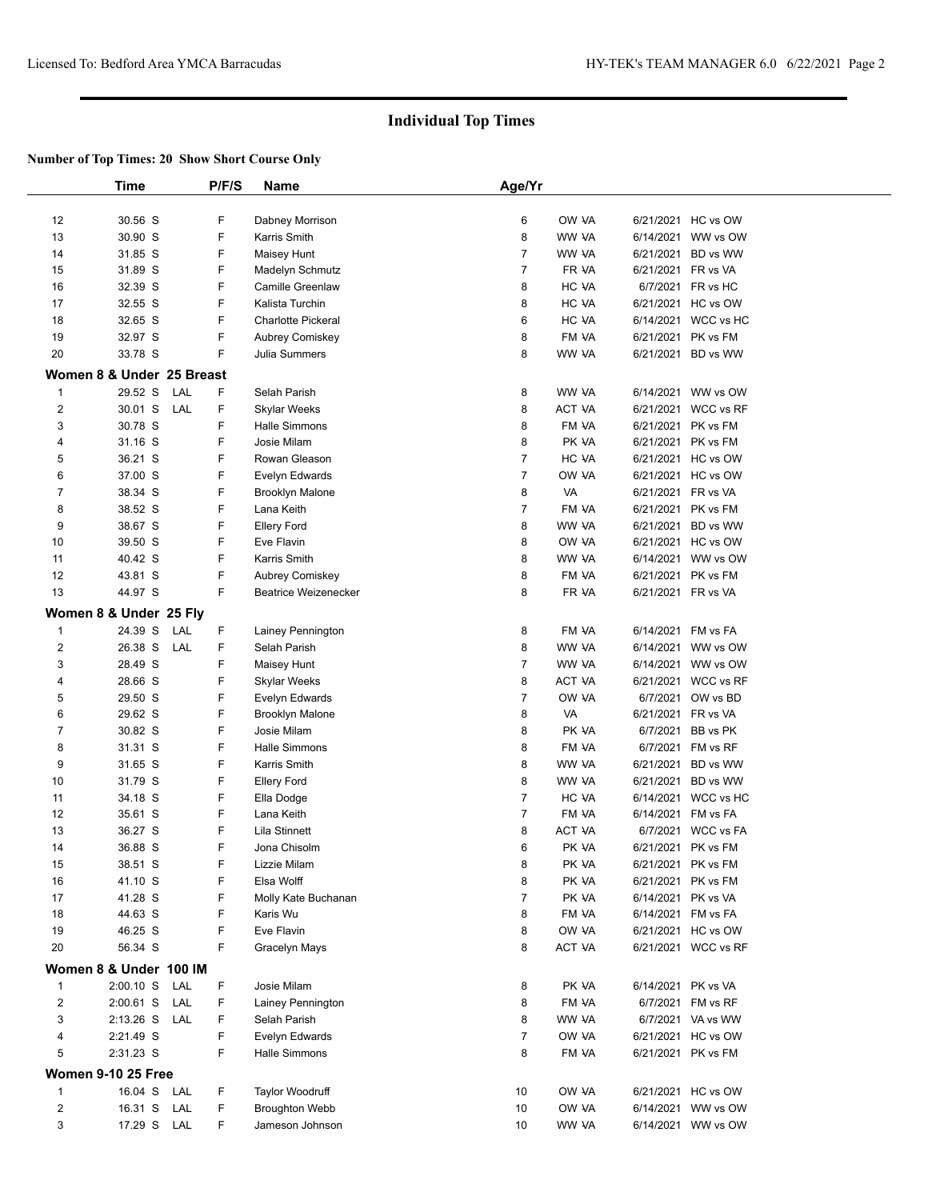|                         | <b>Time</b>               |     | P/F/S  | <b>Name</b>                 | Age/Yr              |                |                    |                     |
|-------------------------|---------------------------|-----|--------|-----------------------------|---------------------|----------------|--------------------|---------------------|
|                         |                           |     |        |                             |                     |                |                    |                     |
| 12                      | 30.56 S                   |     | F      | Dabney Morrison             | 6                   | OW VA          |                    | 6/21/2021 HC vs OW  |
| 13                      | 30.90 S                   |     | F      | Karris Smith                | 8                   | WW VA          | 6/14/2021          | WW vs OW            |
| 14                      | 31.85 S                   |     | F      | Maisey Hunt                 | $\overline{7}$      | WW VA          | 6/21/2021          | BD vs WW            |
| 15                      | 31.89 S                   |     | F      | Madelyn Schmutz             | $\overline{7}$      | FR VA          | 6/21/2021 FR vs VA |                     |
| 16                      | 32.39 S                   |     | F      | Camille Greenlaw            | 8                   | HC VA          | 6/7/2021           | FR vs HC            |
| 17                      | 32.55 S                   |     | F      | Kalista Turchin             | 8                   | HC VA          | 6/21/2021          | HC vs OW            |
| 18                      | 32.65 S                   |     | F      | Charlotte Pickeral          | 6                   | HC VA          |                    | 6/14/2021 WCC vs HC |
| 19                      | 32.97 S                   |     | F      | Aubrey Comiskey             | 8                   | FM VA          | 6/21/2021          | PK vs FM            |
| 20                      | 33.78 S                   |     | F.     | <b>Julia Summers</b>        | 8                   | WW VA          | 6/21/2021          | BD vs WW            |
|                         | Women 8 & Under 25 Breast |     |        |                             |                     |                |                    |                     |
| 1                       | 29.52 S                   | LAL | F      | Selah Parish                | 8                   | WW VA          |                    | 6/14/2021 WW vs OW  |
| $\overline{\mathbf{c}}$ | 30.01 S                   | LAL | F      | Skylar Weeks                | 8                   | ACT VA         | 6/21/2021          | WCC vs RF           |
| 3                       | 30.78 S                   |     | F      | Halle Simmons               | 8                   | FM VA          | 6/21/2021          | PK vs FM            |
| 4                       | 31.16 S                   |     | F      | Josie Milam                 | 8                   | PK VA          | 6/21/2021          | PK vs FM            |
| 5                       | 36.21 S                   |     | F      | Rowan Gleason               | $\overline{7}$      | HC VA          |                    | 6/21/2021 HC vs OW  |
| 6                       | 37.00 S                   |     | F      | Evelyn Edwards              | $\overline{7}$      | OW VA          |                    | 6/21/2021 HC vs OW  |
| 7                       | 38.34 S                   |     | F      | <b>Brooklyn Malone</b>      | 8                   | VA             |                    | 6/21/2021 FR vs VA  |
| 8                       | 38.52 S                   |     | F      | Lana Keith                  | $\overline{7}$      | FM VA          | 6/21/2021          | PK vs FM            |
| 9                       | 38.67 S                   |     | F      | <b>Ellery Ford</b>          | 8                   | WW VA          | 6/21/2021          | BD vs WW            |
| 10                      | 39.50 S                   |     | F      | Eve Flavin                  | 8                   | OW VA          |                    | 6/21/2021 HC vs OW  |
| 11                      | 40.42 S                   |     | F      | Karris Smith                | 8                   | WW VA          | 6/14/2021          | WW vs OW            |
| 12                      | 43.81 S                   |     | F      | Aubrey Comiskey             | 8                   | FM VA          | 6/21/2021          | PK vs FM            |
| 13                      | 44.97 S                   |     | F      | <b>Beatrice Weizenecker</b> | 8                   | FR VA          | 6/21/2021 FR vs VA |                     |
|                         | Women 8 & Under 25 Fly    |     |        |                             |                     |                |                    |                     |
| 1                       | 24.39 S                   | LAL | F      |                             | 8                   | FM VA          | 6/14/2021          | FM vs FA            |
| 2                       | 26.38 S                   | LAL | F      | Lainey Pennington           | 8                   | WW VA          | 6/14/2021          | WW vs OW            |
| 3                       | 28.49 S                   |     | F      | Selah Parish                | $\overline{7}$      |                |                    |                     |
|                         |                           |     |        | Maisey Hunt                 |                     | WW VA          | 6/14/2021          | WW vs OW            |
| 4                       | 28.66 S                   |     | F<br>F | <b>Skylar Weeks</b>         | 8                   | ACT VA         | 6/21/2021          | WCC vs RF           |
| 5                       | 29.50 S                   |     | F      | Evelyn Edwards              | $\overline{7}$<br>8 | OW VA<br>VA    | 6/7/2021           | OW vs BD            |
| 6                       | 29.62 S                   |     | F      | <b>Brooklyn Malone</b>      |                     |                | 6/21/2021          | FR vs VA            |
| 7                       | 30.82 S                   |     | F      | Josie Milam                 | 8                   | PK VA          | 6/7/2021           | BB vs PK            |
| 8<br>9                  | 31.31 S                   |     | F      | <b>Halle Simmons</b>        | 8                   | FM VA          |                    | 6/7/2021 FM vs RF   |
|                         | 31.65 S                   |     | F      | Karris Smith                | 8<br>8              | WW VA          | 6/21/2021          | BD vs WW            |
| 10                      | 31.79 S                   |     | F      | <b>Ellery Ford</b>          | $\overline{7}$      | WW VA<br>HC VA | 6/21/2021          | BD vs WW            |
| 11                      | 34.18 S                   |     |        | Ella Dodge                  | $\overline{7}$      |                |                    | 6/14/2021 WCC vs HC |
| 12                      | 35.61 S                   |     | F      | Lana Keith                  |                     | FM VA          | 6/14/2021          | FM vs FA            |
| 13                      | 36.27 S                   |     | F      | Lila Stinnett               | 8                   | ACT VA         | 6/7/2021           | <b>WCC vs FA</b>    |
| 14                      | 36.88 S                   |     | F      | Jona Chisolm                | 6                   | PK VA          |                    | 6/21/2021 PK vs FM  |
| 15                      | 38.51 S                   |     | F      | Lizzie Milam                | 8                   | PK VA          |                    | 6/21/2021 PK vs FM  |
| 16                      | 41.10 S                   |     | F      | Elsa Wolff                  | 8                   | PK VA          | 6/21/2021          | PK vs FM            |
| 17                      | 41.28 S                   |     | F      | Molly Kate Buchanan         | $\overline{7}$      | PK VA          |                    | 6/14/2021 PK vs VA  |
| 18                      | 44.63 S                   |     | F      | Karis Wu                    | 8                   | FM VA          | 6/14/2021          | FM vs FA            |
| 19                      | 46.25 S                   |     | F      | Eve Flavin                  | 8                   | OW VA          |                    | 6/21/2021 HC vs OW  |
| 20                      | 56.34 S                   |     | F      | Gracelyn Mays               | 8                   | ACT VA         |                    | 6/21/2021 WCC vs RF |
|                         | Women 8 & Under 100 IM    |     |        |                             |                     |                |                    |                     |
| $\mathbf{1}$            | $2:00.10$ S               | LAL | F      | Josie Milam                 | 8                   | PK VA          |                    | 6/14/2021 PK vs VA  |
| $\overline{\mathbf{c}}$ | $2:00.61$ S               | LAL | F      | Lainey Pennington           | 8                   | FM VA          | 6/7/2021           | FM vs RF            |
| 3                       | 2:13.26 S                 | LAL | F      | Selah Parish                | 8                   | WW VA          |                    | 6/7/2021 VA vs WW   |
| 4                       | 2:21.49 S                 |     | F      | Evelyn Edwards              | $\overline{7}$      | OW VA          |                    | 6/21/2021 HC vs OW  |
| 5                       | 2:31.23 S                 |     | F      | Halle Simmons               | 8                   | FM VA          |                    | 6/21/2021 PK vs FM  |
|                         | <b>Women 9-10 25 Free</b> |     |        |                             |                     |                |                    |                     |
| 1                       | 16.04 S                   | LAL | F      | Taylor Woodruff             | 10                  | OW VA          |                    | 6/21/2021 HC vs OW  |
| $\overline{\mathbf{c}}$ | 16.31 S                   | LAL | F      | <b>Broughton Webb</b>       | 10                  | OW VA          | 6/14/2021          | WW vs OW            |
| 3                       | 17.29 S                   | LAL | F      | Jameson Johnson             | 10                  | WW VA          |                    | 6/14/2021 WW vs OW  |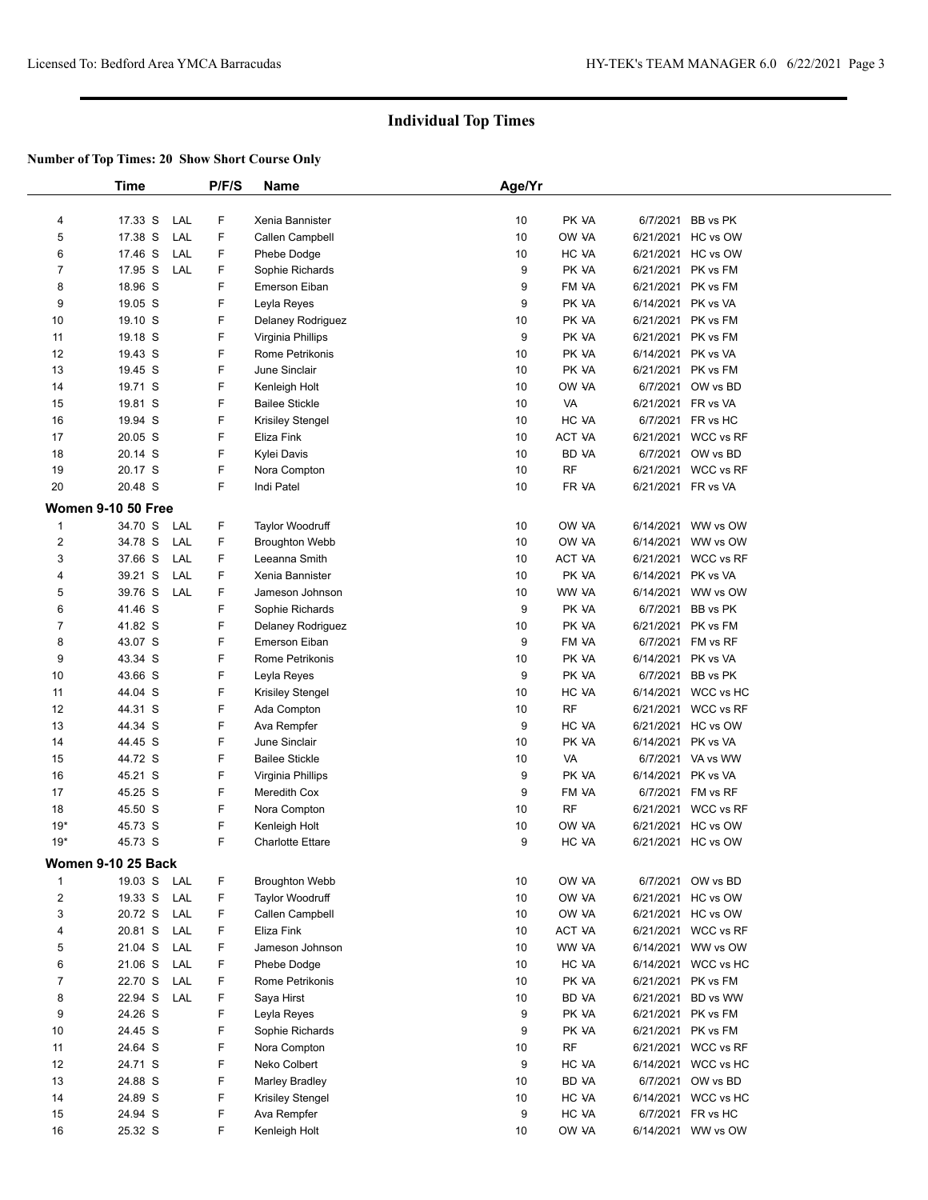|                         | <b>Time</b>               |     | P/F/S | Name                    | Age/Yr |           |           |                     |
|-------------------------|---------------------------|-----|-------|-------------------------|--------|-----------|-----------|---------------------|
| 4                       | 17.33 S                   | LAL | F     | Xenia Bannister         | 10     | PK VA     |           | 6/7/2021 BB vs PK   |
| 5                       | 17.38 S                   | LAL | F     | Callen Campbell         | 10     | OW VA     |           | 6/21/2021 HC vs OW  |
| 6                       | 17.46 S                   | LAL | F     | Phebe Dodge             | 10     | HC VA     |           | 6/21/2021 HC vs OW  |
| 7                       | 17.95 S                   | LAL | F     | Sophie Richards         | 9      | PK VA     | 6/21/2021 | PK vs FM            |
| 8                       | 18.96 S                   |     | F     | Emerson Eiban           | 9      | FM VA     | 6/21/2021 | PK vs FM            |
| 9                       | 19.05 S                   |     | F     | Leyla Reyes             | 9      | PK VA     | 6/14/2021 | PK vs VA            |
| 10                      | 19.10 S                   |     | F     | Delaney Rodriguez       | 10     | PK VA     | 6/21/2021 | PK vs FM            |
| 11                      | 19.18 S                   |     | F     | Virginia Phillips       | 9      | PK VA     |           | 6/21/2021 PK vs FM  |
| 12                      | 19.43 S                   |     | F     | Rome Petrikonis         | 10     | PK VA     |           | 6/14/2021 PK vs VA  |
| 13                      | 19.45 S                   |     | F     | June Sinclair           | 10     | PK VA     |           | 6/21/2021 PK vs FM  |
| 14                      | 19.71 S                   |     | F     | Kenleigh Holt           | 10     | OW VA     | 6/7/2021  | OW vs BD            |
| 15                      | 19.81 S                   |     | F     | <b>Bailee Stickle</b>   | 10     | VA        |           | 6/21/2021 FR vs VA  |
| 16                      | 19.94 S                   |     | F     | <b>Krisiley Stengel</b> | 10     | HC VA     |           | 6/7/2021 FR vs HC   |
| 17                      | 20.05 S                   |     | F     | Eliza Fink              | 10     | ACT VA    |           | 6/21/2021 WCC vs RF |
| 18                      | 20.14 S                   |     | F     | Kylei Davis             | 10     | BD VA     | 6/7/2021  | OW vs BD            |
| 19                      | 20.17 S                   |     | F     | Nora Compton            | 10     | <b>RF</b> |           | 6/21/2021 WCC vs RF |
| 20                      | 20.48 S                   |     | F.    | Indi Patel              | 10     | FR VA     |           | 6/21/2021 FR vs VA  |
|                         |                           |     |       |                         |        |           |           |                     |
|                         | <b>Women 9-10 50 Free</b> |     |       |                         |        |           |           |                     |
| $\mathbf{1}$            | 34.70 S                   | LAL | F.    | <b>Taylor Woodruff</b>  | 10     | OW VA     |           | 6/14/2021 WW vs OW  |
| $\overline{c}$          | 34.78 S                   | LAL | F.    | <b>Broughton Webb</b>   | 10     | OW VA     | 6/14/2021 | WW vs OW            |
| 3                       | 37.66 S                   | LAL | F     | Leeanna Smith           | 10     | ACT VA    | 6/21/2021 | <b>WCC vs RF</b>    |
| 4                       | 39.21 S                   | LAL | F.    | Xenia Bannister         | 10     | PK VA     | 6/14/2021 | PK vs VA            |
| 5                       | 39.76 S                   | LAL | F     | Jameson Johnson         | 10     | WW VA     | 6/14/2021 | WW vs OW            |
| 6                       | 41.46 S                   |     | F     | Sophie Richards         | 9      | PK VA     | 6/7/2021  | BB vs PK            |
| 7                       | 41.82 S                   |     | F     | Delaney Rodriguez       | 10     | PK VA     |           | 6/21/2021 PK vs FM  |
| 8                       | 43.07 S                   |     | F     | Emerson Eiban           | 9      | FM VA     | 6/7/2021  | FM vs RF            |
| 9                       | 43.34 S                   |     | F     | Rome Petrikonis         | 10     | PK VA     | 6/14/2021 | PK vs VA            |
| 10                      | 43.66 S                   |     | F     | Leyla Reyes             | 9      | PK VA     | 6/7/2021  | BB vs PK            |
| 11                      | 44.04 S                   |     | F     | Krisiley Stengel        | 10     | HC VA     |           | 6/14/2021 WCC vs HC |
| 12                      | 44.31 S                   |     | F     | Ada Compton             | 10     | RF        |           | 6/21/2021 WCC vs RF |
| 13                      | 44.34 S                   |     | F     | Ava Rempfer             | 9      | HC VA     |           | 6/21/2021 HC vs OW  |
| 14                      | 44.45 S                   |     | F     | June Sinclair           | 10     | PK VA     | 6/14/2021 | PK vs VA            |
| 15                      | 44.72 S                   |     | F     | <b>Bailee Stickle</b>   | 10     | VA        | 6/7/2021  | VA vs WW            |
| 16                      | 45.21 S                   |     | F     | Virginia Phillips       | 9      | PK VA     |           | 6/14/2021 PK vs VA  |
| 17                      | 45.25 S                   |     | F     | Meredith Cox            | 9      | FM VA     |           | 6/7/2021 FM vs RF   |
| 18                      | 45.50 S                   |     | F     | Nora Compton            | 10     | RF        |           | 6/21/2021 WCC vs RF |
| $19*$                   | 45.73 S                   |     | F     | Kenleigh Holt           | 10     | OW VA     |           | 6/21/2021 HC vs OW  |
| $19*$                   | 45.73 S                   |     | F     | <b>Charlotte Ettare</b> | 9      | HC VA     |           | 6/21/2021 HC vs OW  |
|                         | Women 9-10 25 Back        |     |       |                         |        |           |           |                     |
| 1                       | 19.03 S                   | LAL | F     | <b>Broughton Webb</b>   | 10     | OW VA     | 6/7/2021  | OW vs BD            |
| $\overline{\mathbf{c}}$ | 19.33 S                   | LAL | F     | Taylor Woodruff         | 10     | OW VA     | 6/21/2021 | HC vs OW            |
| 3                       | 20.72 S                   | LAL | F     | Callen Campbell         | 10     | OW VA     | 6/21/2021 | HC vs OW            |
| 4                       | 20.81 S                   | LAL | F     | Eliza Fink              | 10     | ACT VA    | 6/21/2021 | WCC vs RF           |
| 5                       | 21.04 S                   | LAL | F     | Jameson Johnson         | 10     | WW VA     | 6/14/2021 | WW vs OW            |
| 6                       | 21.06 S                   | LAL | F     | Phebe Dodge             | 10     | HC VA     | 6/14/2021 | WCC vs HC           |
| 7                       | 22.70 S                   | LAL | F     | Rome Petrikonis         | 10     | PK VA     | 6/21/2021 | PK vs FM            |
| 8                       | 22.94 S                   | LAL | F     | Saya Hirst              | 10     | BD VA     | 6/21/2021 | BD vs WW            |
| 9                       | 24.26 S                   |     | F     | Leyla Reyes             | 9      | PK VA     | 6/21/2021 | PK vs FM            |
| 10                      | 24.45 S                   |     | F     | Sophie Richards         | 9      | PK VA     | 6/21/2021 | PK vs FM            |
| 11                      | 24.64 S                   |     | F     | Nora Compton            | 10     | <b>RF</b> |           | 6/21/2021 WCC vs RF |
| 12                      | 24.71 S                   |     | F     | Neko Colbert            | 9      | HC VA     | 6/14/2021 | WCC vs HC           |
| 13                      | 24.88 S                   |     | F     | Marley Bradley          | 10     | BD VA     | 6/7/2021  | OW vs BD            |
| 14                      | 24.89 S                   |     | F     | <b>Krisiley Stengel</b> | 10     | HC VA     | 6/14/2021 | WCC vs HC           |
| 15                      | 24.94 S                   |     | F     | Ava Rempfer             | 9      | HC VA     | 6/7/2021  | FR vs HC            |
| 16                      | 25.32 S                   |     | F     | Kenleigh Holt           | 10     | OW VA     |           | 6/14/2021 WW vs OW  |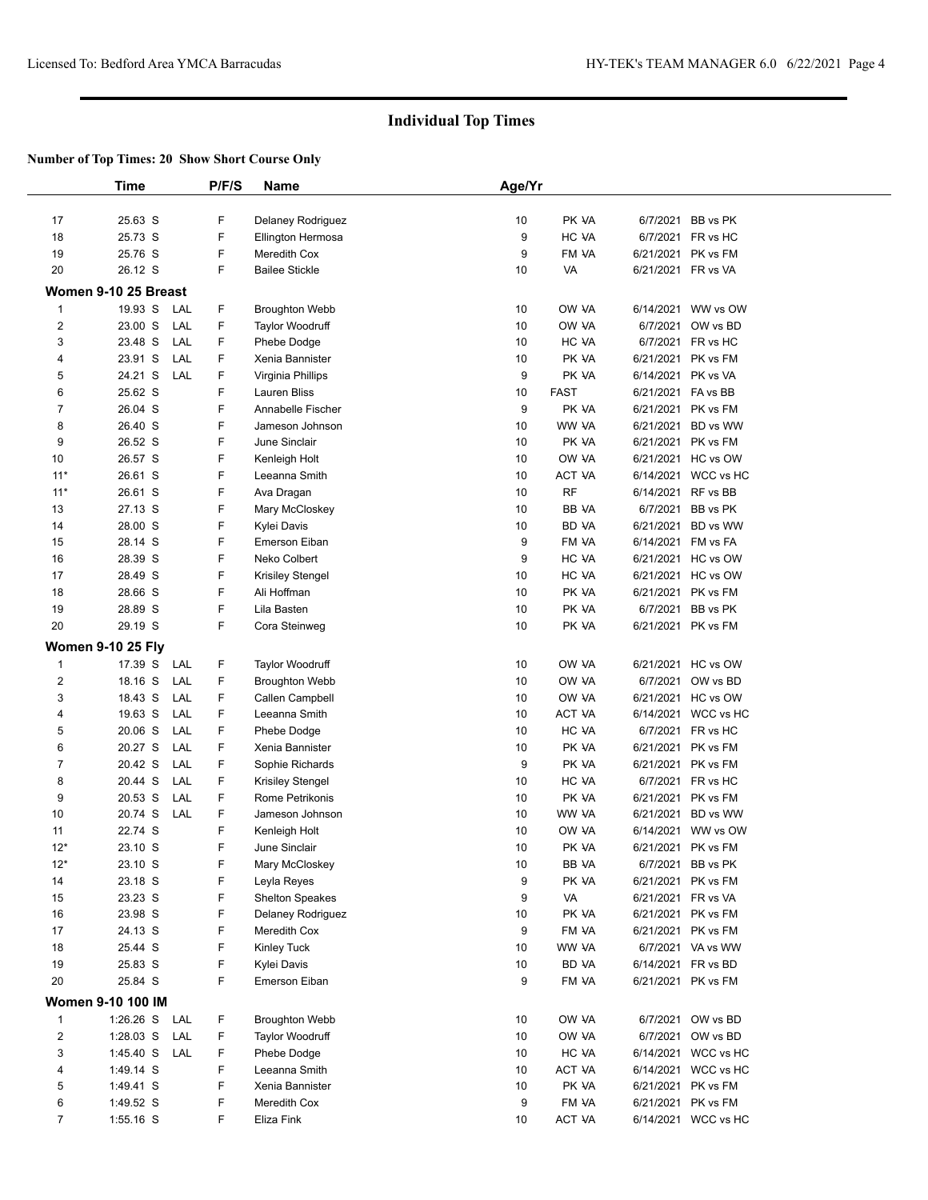|                         | <b>Time</b>              | P/F/S | <b>Name</b>             | Age/Yr |             |                    |                                          |  |
|-------------------------|--------------------------|-------|-------------------------|--------|-------------|--------------------|------------------------------------------|--|
|                         |                          |       |                         |        |             |                    |                                          |  |
| 17                      | 25.63 S                  | F     | Delaney Rodriguez       | 10     | PK VA       |                    | 6/7/2021 BB vs PK                        |  |
| 18                      | 25.73 S                  | F     | Ellington Hermosa       | 9      | HC VA       |                    | 6/7/2021 FR vs HC                        |  |
| 19                      | 25.76 S                  | F     | Meredith Cox            | 9      | FM VA       |                    | 6/21/2021 PK vs FM                       |  |
| 20                      | 26.12 S                  | F.    | <b>Bailee Stickle</b>   | 10     | VA          | 6/21/2021 FR vs VA |                                          |  |
|                         | Women 9-10 25 Breast     |       |                         |        |             |                    |                                          |  |
|                         |                          |       |                         |        |             |                    |                                          |  |
| $\mathbf{1}$            | 19.93 S<br>LAL           | F     | <b>Broughton Webb</b>   | 10     | OW VA       |                    | 6/14/2021 WW vs OW                       |  |
| $\overline{c}$          | 23.00 S<br>LAL           | F     | Taylor Woodruff         | 10     | OW VA       |                    | 6/7/2021 OW vs BD                        |  |
| 3                       | 23.48 S<br>LAL           | F     | Phebe Dodge             | 10     | HC VA       |                    | 6/7/2021 FR vs HC                        |  |
| 4                       | 23.91 S<br>LAL           | F.    | Xenia Bannister         | 10     | PK VA       |                    | 6/21/2021 PK vs FM                       |  |
| 5                       | 24.21 S<br>LAL           | F     | Virginia Phillips       | 9      | PK VA       | 6/14/2021 PK vs VA |                                          |  |
| 6                       | 25.62 S                  | F     | <b>Lauren Bliss</b>     | 10     | <b>FAST</b> | 6/21/2021 FA vs BB |                                          |  |
| $\overline{7}$          | 26.04 S                  | F     | Annabelle Fischer       | 9      | PK VA       | 6/21/2021          | PK vs FM                                 |  |
| 8                       | 26.40 S                  | F     | Jameson Johnson         | 10     | WW VA       |                    | 6/21/2021 BD vs WW                       |  |
| 9                       | 26.52 S                  | F     | June Sinclair           | 10     | PK VA       |                    | 6/21/2021 PK vs FM                       |  |
| 10                      | 26.57 S                  | F     | Kenleigh Holt           | 10     | OW VA       |                    | 6/21/2021 HC vs OW                       |  |
| $11*$                   | 26.61 S                  | F     | Leeanna Smith           | 10     | ACT VA      |                    | 6/14/2021 WCC vs HC                      |  |
| $11*$                   | 26.61 S                  | F     | Ava Dragan              | 10     | <b>RF</b>   |                    | 6/14/2021 RF vs BB                       |  |
| 13                      | 27.13 S                  | F     | Mary McCloskey          | 10     | BB VA       | 6/7/2021           | BB vs PK                                 |  |
| 14                      | 28.00 S                  | F     | Kylei Davis             | 10     | BD VA       | 6/21/2021          | BD vs WW                                 |  |
| 15                      | 28.14 S                  | F     | Emerson Eiban           | 9      | FM VA       |                    | 6/14/2021 FM vs FA                       |  |
| 16                      | 28.39 S                  | F     | Neko Colbert            | 9      | HC VA       |                    | 6/21/2021 HC vs OW                       |  |
| 17                      | 28.49 S                  | F     | <b>Krisiley Stengel</b> | 10     | HC VA       |                    | 6/21/2021 HC vs OW                       |  |
| 18                      | 28.66 S                  | F     | Ali Hoffman             | 10     | PK VA       |                    | 6/21/2021 PK vs FM                       |  |
| 19                      | 28.89 S                  | F     | Lila Basten             | 10     | PK VA       | 6/7/2021           | BB vs PK                                 |  |
| 20                      | 29.19 S                  | F.    | Cora Steinweg           | 10     | PK VA       |                    | 6/21/2021 PK vs FM                       |  |
|                         | <b>Women 9-10 25 Fly</b> |       |                         |        |             |                    |                                          |  |
| 1                       | 17.39 S<br>LAL           | F     | <b>Taylor Woodruff</b>  | 10     | OW VA       |                    | 6/21/2021 HC vs OW                       |  |
| $\overline{c}$          | 18.16 S<br>LAL           | F     | <b>Broughton Webb</b>   | 10     | OW VA       |                    | 6/7/2021 OW vs BD                        |  |
| 3                       | LAL<br>18.43 S           | F     | Callen Campbell         | 10     | OW VA       |                    | 6/21/2021 HC vs OW                       |  |
| 4                       | 19.63 S<br>LAL           | F     | Leeanna Smith           | 10     | ACT VA      |                    | 6/14/2021 WCC vs HC                      |  |
| 5                       | 20.06 S<br>LAL           | F     | Phebe Dodge             | 10     | HC VA       |                    | 6/7/2021 FR vs HC                        |  |
| 6                       | 20.27 S<br>LAL           | F.    | Xenia Bannister         | 10     | PK VA       |                    | 6/21/2021 PK vs FM                       |  |
| $\overline{7}$          | 20.42 S<br>LAL           | F     | Sophie Richards         | 9      | PK VA       |                    | 6/21/2021 PK vs FM                       |  |
| 8                       | 20.44 S<br>LAL           | F     | Krisiley Stengel        | 10     | HC VA       |                    | 6/7/2021 FR vs HC                        |  |
| 9                       | 20.53 S<br>LAL           | F     | Rome Petrikonis         | 10     | PK VA       |                    | 6/21/2021 PK vs FM                       |  |
| 10                      | 20.74 S<br>LAL           | F     | Jameson Johnson         | 10     | WW VA       |                    |                                          |  |
|                         | 22.74 S                  | F     |                         |        |             |                    | 6/21/2021 BD vs WW                       |  |
| 11                      |                          | F     | Kenleigh Holt           | 10     | OW VA       |                    | 6/14/2021 WW vs OW<br>6/21/2021 PK vs FM |  |
| $12*$                   | 23.10 S                  |       | June Sinclair           | 10     | PK VA       |                    |                                          |  |
| $12*$                   | 23.10 S                  | F     | Mary McCloskey          | 10     | BB YA       | 6/7/2021           | BB vs PK                                 |  |
| 14                      | 23.18 S                  | F     | Leyla Reyes             | 9      | PK VA       |                    | 6/21/2021 PK vs FM                       |  |
| 15                      | 23.23 S                  | F     | <b>Shelton Speakes</b>  | 9      | VA          |                    | 6/21/2021 FR vs VA                       |  |
| 16                      | 23.98 S                  | F     | Delaney Rodriguez       | $10$   | PK VA       |                    | 6/21/2021 PK vs FM                       |  |
| 17                      | 24.13 S                  | F     | Meredith Cox            | 9      | FM VA       |                    | 6/21/2021 PK vs FM                       |  |
| 18                      | 25.44 S                  | F     | Kinley Tuck             | 10     | WW VA       |                    | 6/7/2021 VA vs WW                        |  |
| 19                      | 25.83 S                  | F     | Kylei Davis             | 10     | BD VA       |                    | 6/14/2021 FR vs BD                       |  |
| 20                      | 25.84 S                  | F     | Emerson Eiban           | 9      | FM VA       |                    | 6/21/2021 PK vs FM                       |  |
|                         | Women 9-10 100 IM        |       |                         |        |             |                    |                                          |  |
| 1                       | $1:26.26$ S<br>LAL       | F     | <b>Broughton Webb</b>   | 10     | OW VA       |                    | 6/7/2021 OW vs BD                        |  |
| $\overline{\mathbf{c}}$ | LAL<br>$1:28.03$ S       | F     | <b>Taylor Woodruff</b>  | 10     | OW VA       | 6/7/2021           | OW vs BD                                 |  |
| 3                       | 1:45.40 S<br>LAL         | F     | Phebe Dodge             | 10     | HC VA       |                    | 6/14/2021 WCC vs HC                      |  |
| 4                       | 1:49.14 S                | F     | Leeanna Smith           | 10     | ACT VA      |                    | 6/14/2021 WCC vs HC                      |  |
| 5                       | 1:49.41 S                | F     | Xenia Bannister         | 10     | PK VA       |                    | 6/21/2021 PK vs FM                       |  |
| 6                       | 1:49.52 S                | F     | Meredith Cox            | 9      | FM VA       |                    | 6/21/2021 PK vs FM                       |  |
| $\overline{7}$          | 1:55.16 S                | F     | Eliza Fink              | 10     | ACT VA      |                    | 6/14/2021 WCC vs HC                      |  |
|                         |                          |       |                         |        |             |                    |                                          |  |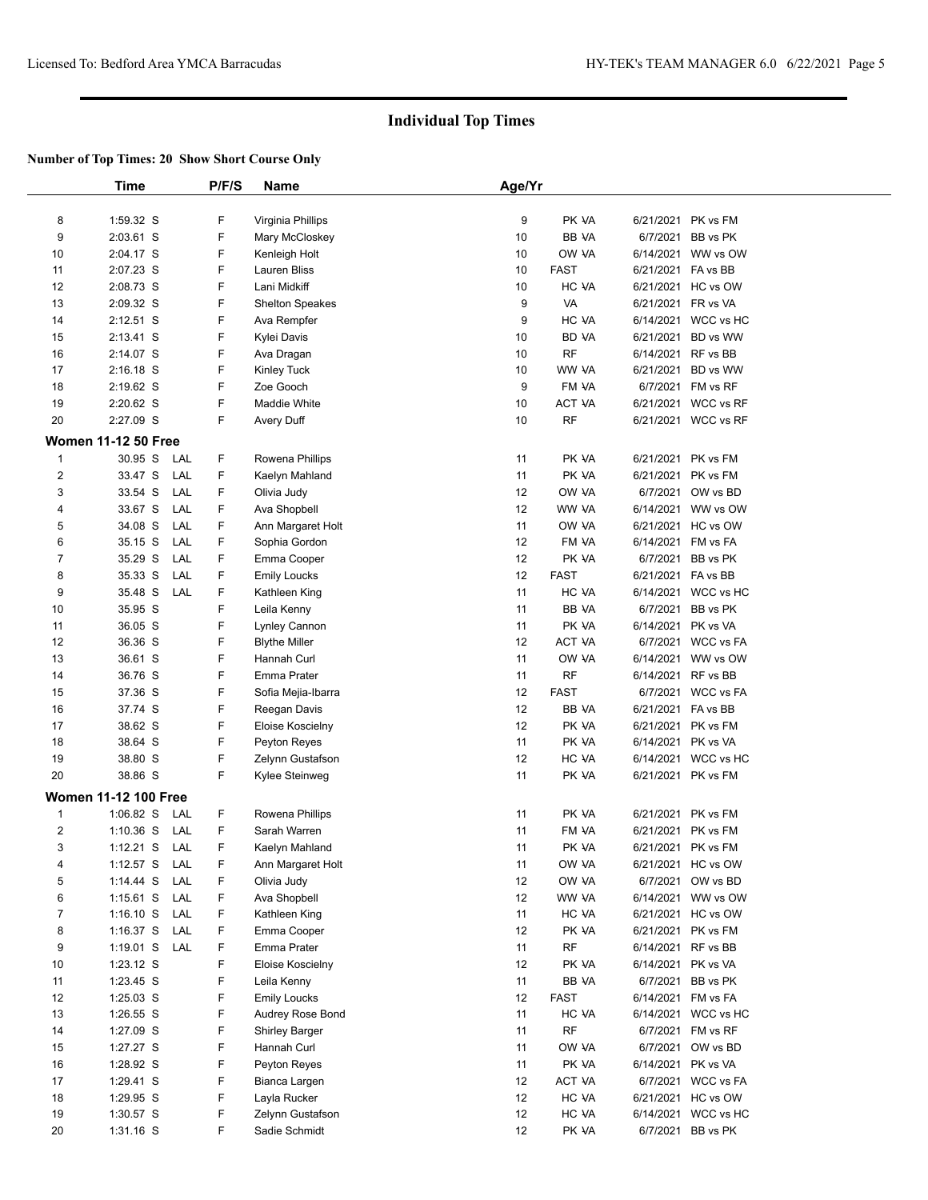|                  | Time                        |     | P/F/S | Name                   | Age/Yr |               |                    |                     |  |
|------------------|-----------------------------|-----|-------|------------------------|--------|---------------|--------------------|---------------------|--|
| 8                | 1:59.32 S                   |     | F     | Virginia Phillips      | 9      | PK VA         |                    | 6/21/2021 PK vs FM  |  |
| 9                | 2:03.61 S                   |     | F     | Mary McCloskey         | 10     | BB VA         | 6/7/2021           | BB vs PK            |  |
| 10               | 2:04.17 S                   |     | F     | Kenleigh Holt          | 10     | OW VA         |                    | 6/14/2021 WW vs OW  |  |
| 11               | 2:07.23 S                   |     | F     | Lauren Bliss           | 10     | <b>FAST</b>   | 6/21/2021          | FA vs BB            |  |
| 12               | 2:08.73 S                   |     | F     | Lani Midkiff           | 10     | HC VA         | 6/21/2021          | HC vs OW            |  |
| 13               | 2:09.32 S                   |     | F     | <b>Shelton Speakes</b> | 9      | VA            | 6/21/2021          | FR vs VA            |  |
| 14               | $2:12.51$ S                 |     | F     | Ava Rempfer            | 9      | HC VA         |                    | 6/14/2021 WCC vs HC |  |
| 15               | $2:13.41$ S                 |     | F     | Kylei Davis            | 10     | BD VA         | 6/21/2021          | BD vs WW            |  |
| 16               | 2:14.07 S                   |     | F     | Ava Dragan             | 10     | RF            | 6/14/2021          | RF vs BB            |  |
| 17               | $2:16.18$ S                 |     | F     | Kinley Tuck            | 10     | WW VA         | 6/21/2021          | BD vs WW            |  |
| 18               | 2:19.62 S                   |     | F     | Zoe Gooch              | 9      | FM VA         | 6/7/2021           | FM vs RF            |  |
| 19               | 2:20.62 S                   |     | F     | Maddie White           | 10     | <b>ACT VA</b> |                    | 6/21/2021 WCC vs RF |  |
| 20               | 2:27.09 S                   |     | F     | Avery Duff             | 10     | <b>RF</b>     |                    | 6/21/2021 WCC vs RF |  |
|                  | <b>Women 11-12 50 Free</b>  |     |       |                        |        |               |                    |                     |  |
| $\mathbf{1}$     | 30.95 S                     | LAL | F.    | Rowena Phillips        | 11     | PK VA         | 6/21/2021          | PK vs FM            |  |
| $\boldsymbol{2}$ | 33.47 S                     | LAL | F     | Kaelyn Mahland         | 11     | PK VA         | 6/21/2021          | PK vs FM            |  |
| 3                | 33.54 S                     | LAL | F     | Olivia Judy            | 12     | OW VA         | 6/7/2021           | OW vs BD            |  |
| 4                | 33.67 S                     | LAL | F     | Ava Shopbell           | 12     | WW VA         |                    | 6/14/2021 WW vs OW  |  |
| 5                | 34.08 S                     | LAL | F     | Ann Margaret Holt      | 11     | OW VA         |                    | 6/21/2021 HC vs OW  |  |
| 6                | 35.15 S                     | LAL | F.    | Sophia Gordon          | 12     | FM VA         | 6/14/2021          | FM vs FA            |  |
| $\overline{7}$   | 35.29 S                     | LAL | F.    | Emma Cooper            | 12     | PK VA         | 6/7/2021           | BB vs PK            |  |
| 8                | 35.33 S                     | LAL | F     | <b>Emily Loucks</b>    | 12     | <b>FAST</b>   | 6/21/2021 FA vs BB |                     |  |
| 9                | 35.48 S                     | LAL | F     | Kathleen King          | 11     | HC VA         |                    | 6/14/2021 WCC vs HC |  |
| 10               | 35.95 S                     |     | F     | Leila Kenny            | 11     | BB VA         | 6/7/2021           | BB vs PK            |  |
| 11               | 36.05 S                     |     | F     | Lynley Cannon          | 11     | PK VA         | 6/14/2021          | PK vs VA            |  |
| 12               | 36.36 S                     |     | F     | <b>Blythe Miller</b>   | 12     | <b>ACT VA</b> |                    | 6/7/2021 WCC vs FA  |  |
| 13               | 36.61 S                     |     | F     | Hannah Curl            | 11     | OW VA         |                    | 6/14/2021 WW vs OW  |  |
| 14               | 36.76 S                     |     | F     | Emma Prater            | 11     | <b>RF</b>     | 6/14/2021          | RF vs BB            |  |
| 15               | 37.36 S                     |     | F     | Sofia Mejia-Ibarra     | 12     | FAST          |                    | 6/7/2021 WCC vs FA  |  |
| 16               | 37.74 S                     |     | F     | Reegan Davis           | 12     | BB VA         | 6/21/2021 FA vs BB |                     |  |
| 17               | 38.62 S                     |     | F     | Eloise Koscielny       | 12     | PK VA         | 6/21/2021          | PK vs FM            |  |
| 18               | 38.64 S                     |     | F     | Peyton Reyes           | 11     | PK VA         | 6/14/2021          | PK vs VA            |  |
| 19               | 38.80 S                     |     | F     | Zelynn Gustafson       | 12     | HC VA         |                    | 6/14/2021 WCC vs HC |  |
| 20               | 38.86 S                     |     | F     | Kylee Steinweg         | 11     | PK VA         |                    | 6/21/2021 PK vs FM  |  |
|                  | <b>Women 11-12 100 Free</b> |     |       |                        |        |               |                    |                     |  |
| $\mathbf{1}$     | $1:06.82$ S                 | LAL | F.    | Rowena Phillips        | 11     | PK VA         | 6/21/2021          | PK vs FM            |  |
| $\overline{c}$   | $1:10.36$ S                 | LAL | F.    | Sarah Warren           | 11     | FM VA         | 6/21/2021          | PK vs FM            |  |
| 3                | 1:12.21 S LAL               |     | F     | Kaelyn Mahland         | 11     | PK VA         |                    | 6/21/2021 PK vs FM  |  |
| 4                | 1:12.57 $S$                 | LAL | F     | Ann Margaret Holt      | 11     | OW VA         |                    | 6/21/2021 HC vs OW  |  |
| 5                | $1:14.44$ S                 | LAL | F     | Olivia Judy            | 12     | OW VA         |                    | 6/7/2021 OW vs BD   |  |
| 6                | $1:15.61$ S                 | LAL | F     | Ava Shopbell           | 12     | WW VA         |                    | 6/14/2021 WW vs OW  |  |
| $\overline{7}$   | $1:16.10$ S                 | LAL | F     | Kathleen King          | 11     | HC VA         | 6/21/2021          | HC vs OW            |  |
| 8                | $1:16.37$ S                 | LAL | F     | Emma Cooper            | 12     | PK VA         | 6/21/2021          | PK vs FM            |  |
| 9                | $1:19.01$ S                 | LAL | F     | Emma Prater            | 11     | RF            |                    | 6/14/2021 RF vs BB  |  |
| 10               | $1:23.12$ S                 |     | F     | Eloise Koscielny       | 12     | PK VA         |                    | 6/14/2021 PK vs VA  |  |
| 11               | 1:23.45 S                   |     | F     | Leila Kenny            | 11     | BB VA         | 6/7/2021           | BB vs PK            |  |
| 12               | $1:25.03$ S                 |     | F     | <b>Emily Loucks</b>    | 12     | <b>FAST</b>   |                    | 6/14/2021 FM vs FA  |  |
| 13               | 1:26.55 S                   |     | F     | Audrey Rose Bond       | 11     | HC VA         | 6/14/2021          | WCC vs HC           |  |
| 14               | 1:27.09 S                   |     | F     | <b>Shirley Barger</b>  | 11     | RF            | 6/7/2021           | FM vs RF            |  |
| 15               | 1:27.27 S                   |     | F     | Hannah Curl            | 11     | OW VA         | 6/7/2021           | OW vs BD            |  |
| 16               | 1:28.92 S                   |     | F     | Peyton Reyes           | 11     | PK VA         | 6/14/2021          | PK vs VA            |  |
| 17               | 1:29.41 S                   |     | F     | Bianca Largen          | 12     | ACT VA        |                    | 6/7/2021 WCC vs FA  |  |
| 18               | 1:29.95 S                   |     | F     | Layla Rucker           | 12     | HC VA         |                    | 6/21/2021 HC vs OW  |  |
| 19               | 1:30.57 S                   |     | F     | Zelynn Gustafson       | 12     | HC VA         | 6/14/2021          | WCC vs HC           |  |
| 20               | 1:31.16 S                   |     | F     | Sadie Schmidt          | 12     | PK VA         |                    | 6/7/2021 BB vs PK   |  |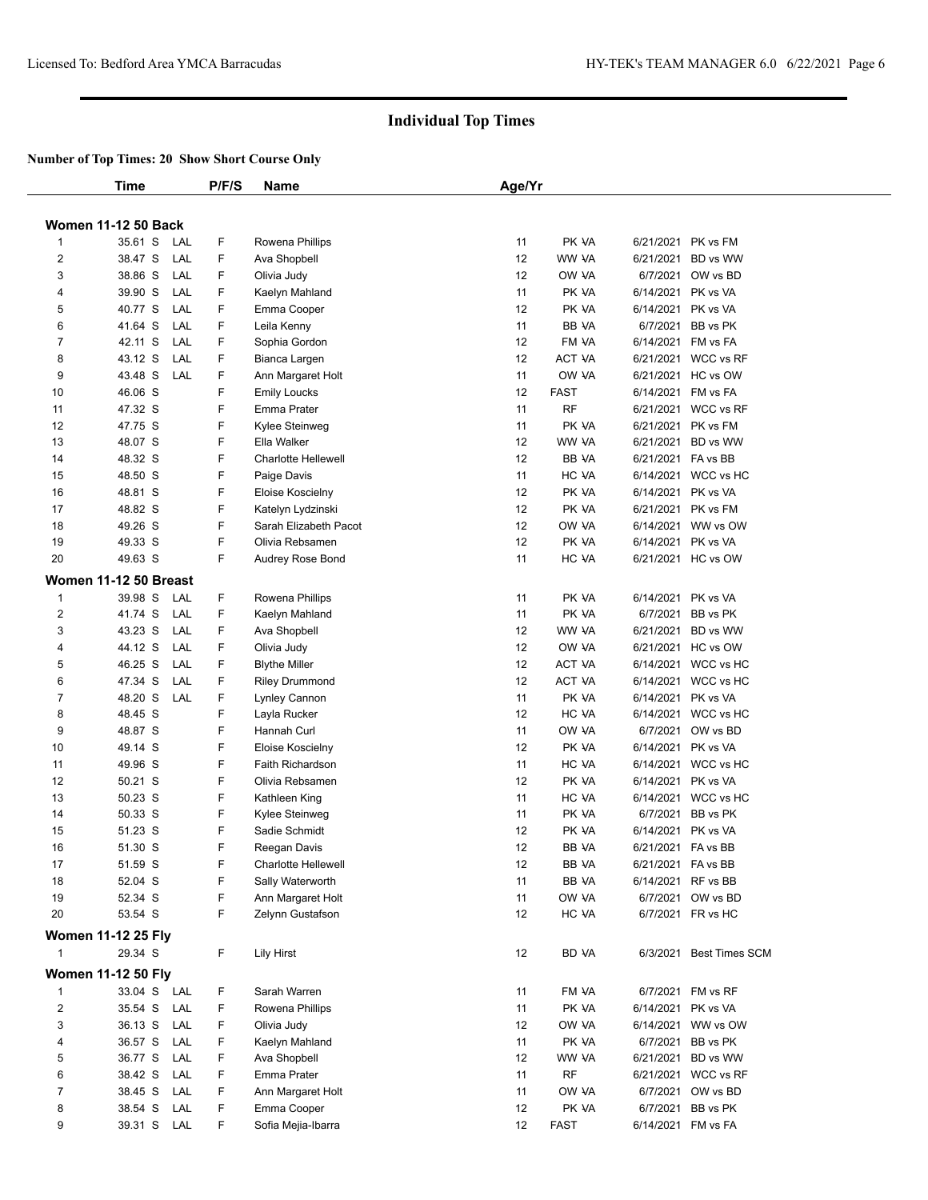|                     | Time                       | P/F/S  | <b>Name</b>                     | Age/Yr |                |                                         |
|---------------------|----------------------------|--------|---------------------------------|--------|----------------|-----------------------------------------|
|                     |                            |        |                                 |        |                |                                         |
|                     | <b>Women 11-12 50 Back</b> |        |                                 |        |                |                                         |
| $\mathbf{1}$        | 35.61 S<br>LAL             | F      | Rowena Phillips                 | 11     | PK VA          | 6/21/2021 PK vs FM                      |
| $\overline{2}$      | 38.47 S<br>LAL             | F      | Ava Shopbell                    | 12     | WW VA          | 6/21/2021 BD vs WW                      |
| 3                   | 38.86 S<br>LAL             | F      | Olivia Judy                     | 12     | OW VA          | 6/7/2021 OW vs BD                       |
| 4                   | LAL<br>39.90 S             | F      | Kaelyn Mahland                  | 11     | PK VA          | 6/14/2021 PK vs VA                      |
| 5                   | 40.77 S<br>LAL             | F      | Emma Cooper                     | 12     | PK VA          | 6/14/2021 PK vs VA                      |
| 6                   | 41.64 S<br>LAL             | F      | Leila Kenny                     | 11     | BB VA          | 6/7/2021 BB vs PK                       |
| $\overline{7}$      | 42.11 S<br>LAL             | F      | Sophia Gordon                   | 12     | FM VA          | 6/14/2021 FM vs FA                      |
| 8                   | 43.12 S<br>LAL             | F      | Bianca Largen                   | 12     | ACT VA         | 6/21/2021 WCC vs RF                     |
| 9                   | 43.48 S<br>LAL             | F      | Ann Margaret Holt               | 11     | OW VA          | 6/21/2021 HC vs OW                      |
| 10                  | 46.06 S                    | F      | <b>Emily Loucks</b>             | 12     | <b>FAST</b>    | 6/14/2021 FM vs FA                      |
| 11                  | 47.32 S                    | F      | Emma Prater                     | 11     | <b>RF</b>      | 6/21/2021 WCC vs RF                     |
| 12                  | 47.75 S                    | F      | Kylee Steinweg                  | 11     | PK VA          | 6/21/2021 PK vs FM                      |
| 13                  | 48.07 S                    | F      | Ella Walker                     | 12     | WW VA          | 6/21/2021 BD vs WW                      |
| 14                  | 48.32 S                    | F      | <b>Charlotte Hellewell</b>      | 12     | BB VA          | 6/21/2021 FA vs BB                      |
| 15                  | 48.50 S                    | F      | Paige Davis                     | 11     | HC VA          | 6/14/2021 WCC vs HC                     |
| 16                  | 48.81 S                    | F      | Eloise Koscielny                | 12     | PK VA          | 6/14/2021 PK vs VA                      |
| 17                  | 48.82 S                    | F      | Katelyn Lydzinski               | 12     | PK VA          | 6/21/2021 PK vs FM                      |
| 18                  | 49.26 S                    | F      | Sarah Elizabeth Pacot           | 12     | OW VA          | 6/14/2021 WW vs OW                      |
| 19                  | 49.33 S                    | F      | Olivia Rebsamen                 | 12     | PK VA          | 6/14/2021 PK vs VA                      |
| 20                  | 49.63 S                    | F      | Audrey Rose Bond                | 11     | HC VA          | 6/21/2021 HC vs OW                      |
|                     | Women 11-12 50 Breast      |        |                                 |        |                |                                         |
| 1                   | 39.98 S<br>LAL             | F      | Rowena Phillips                 | 11     | PK VA          | 6/14/2021 PK vs VA                      |
| $\overline{2}$      | 41.74 S<br>LAL             | F      | Kaelyn Mahland                  | 11     | PK VA          | 6/7/2021 BB vs PK                       |
| 3                   | 43.23 S<br>LAL             | F      | Ava Shopbell                    | 12     | WW VA          | 6/21/2021 BD vs WW                      |
| 4                   | LAL<br>44.12 S             | F      | Olivia Judy                     | 12     | OW VA          | 6/21/2021 HC vs OW                      |
| 5                   | 46.25 S<br>LAL             | F      | <b>Blythe Miller</b>            | 12     | ACT VA         | 6/14/2021 WCC vs HC                     |
| 6                   | LAL<br>47.34 S             | F      | <b>Riley Drummond</b>           | 12     | ACT VA         | 6/14/2021 WCC vs HC                     |
| $\overline{7}$      | 48.20 S<br>LAL             | F      | Lynley Cannon                   | 11     | PK VA          | 6/14/2021 PK vs VA                      |
| 8                   | 48.45 S                    | F      | Layla Rucker                    | 12     | HC VA          | 6/14/2021 WCC vs HC                     |
| 9                   | 48.87 S                    | F      | Hannah Curl                     | 11     | OW VA          | 6/7/2021 OW vs BD                       |
| 10                  | 49.14 S                    | F      | Eloise Koscielny                | 12     | PK VA          | 6/14/2021 PK vs VA                      |
| 11                  | 49.96 S                    | F      | Faith Richardson                | 11     | HC VA          | 6/14/2021 WCC vs HC                     |
| 12                  | 50.21 S                    | F      | Olivia Rebsamen                 | 12     | PK VA          | 6/14/2021 PK vs VA                      |
| 13                  | 50.23 S                    | F      | Kathleen King                   | 11     | HC VA          | 6/14/2021 WCC vs HC                     |
| 14                  | 50.33 S                    | F      | Kylee Steinweg                  | 11     | PK VA          | 6/7/2021 BB vs PK                       |
| 15                  | 51.23 S                    | F      | Sadie Schmidt                   | 12     | PK VA          | 6/14/2021 PK vs VA                      |
| 16                  | 51.30 S                    | F      | Reegan Davis                    | 12     | BB VA          | 6/21/2021 FA vs BB                      |
| 17                  | 51.59 S                    | F      | Charlotte Hellewell             | 12     | BB VA          | 6/21/2021 FA vs BB                      |
| 18                  | 52.04 S                    | F      | Sally Waterworth                | 11     | BB VA          | 6/14/2021 RF vs BB                      |
| 19                  | 52.34 S                    | F      | Ann Margaret Holt               | 11     | OW VA          | 6/7/2021 OW vs BD                       |
| 20                  | 53.54 S                    | F      | Zelynn Gustafson                | 12     | HC VA          | 6/7/2021 FR vs HC                       |
|                     | <b>Women 11-12 25 Fly</b>  |        |                                 |        |                |                                         |
| 1                   | 29.34 S                    | F      | Lily Hirst                      | 12     | BD VA          | 6/3/2021 Best Times SCM                 |
|                     | <b>Women 11-12 50 Fly</b>  |        |                                 |        |                |                                         |
|                     |                            |        |                                 |        |                |                                         |
| 1<br>$\overline{2}$ | 33.04 S LAL                | F<br>F | Sarah Warren<br>Rowena Phillips | 11     | FM VA<br>PK VA | 6/7/2021 FM vs RF<br>6/14/2021 PK vs VA |
|                     | 35.54 S<br>LAL             |        |                                 | 11     |                |                                         |
| 3                   | 36.13 S<br>LAL             | F      | Olivia Judy                     | 12     | OW VA          | 6/14/2021 WW vs OW                      |
| 4                   | 36.57 S<br>LAL             | F      | Kaelyn Mahland                  | 11     | PK VA          | 6/7/2021 BB vs PK                       |
| 5                   | 36.77 S<br>LAL             | F      | Ava Shopbell                    | 12     | WW VA          | 6/21/2021 BD vs WW                      |
| 6                   | 38.42 S<br>LAL             | F      | Emma Prater                     | 11     | <b>RF</b>      | 6/21/2021 WCC vs RF                     |
| 7                   | 38.45 S<br>LAL             | F      | Ann Margaret Holt               | 11     | OW VA          | 6/7/2021 OW vs BD                       |
| 8                   | 38.54 S<br>LAL             | F      | Emma Cooper                     | 12     | PK VA          | 6/7/2021 BB vs PK                       |
| 9                   | 39.31 S LAL                | F      | Sofia Mejia-Ibarra              | 12     | <b>FAST</b>    | 6/14/2021 FM vs FA                      |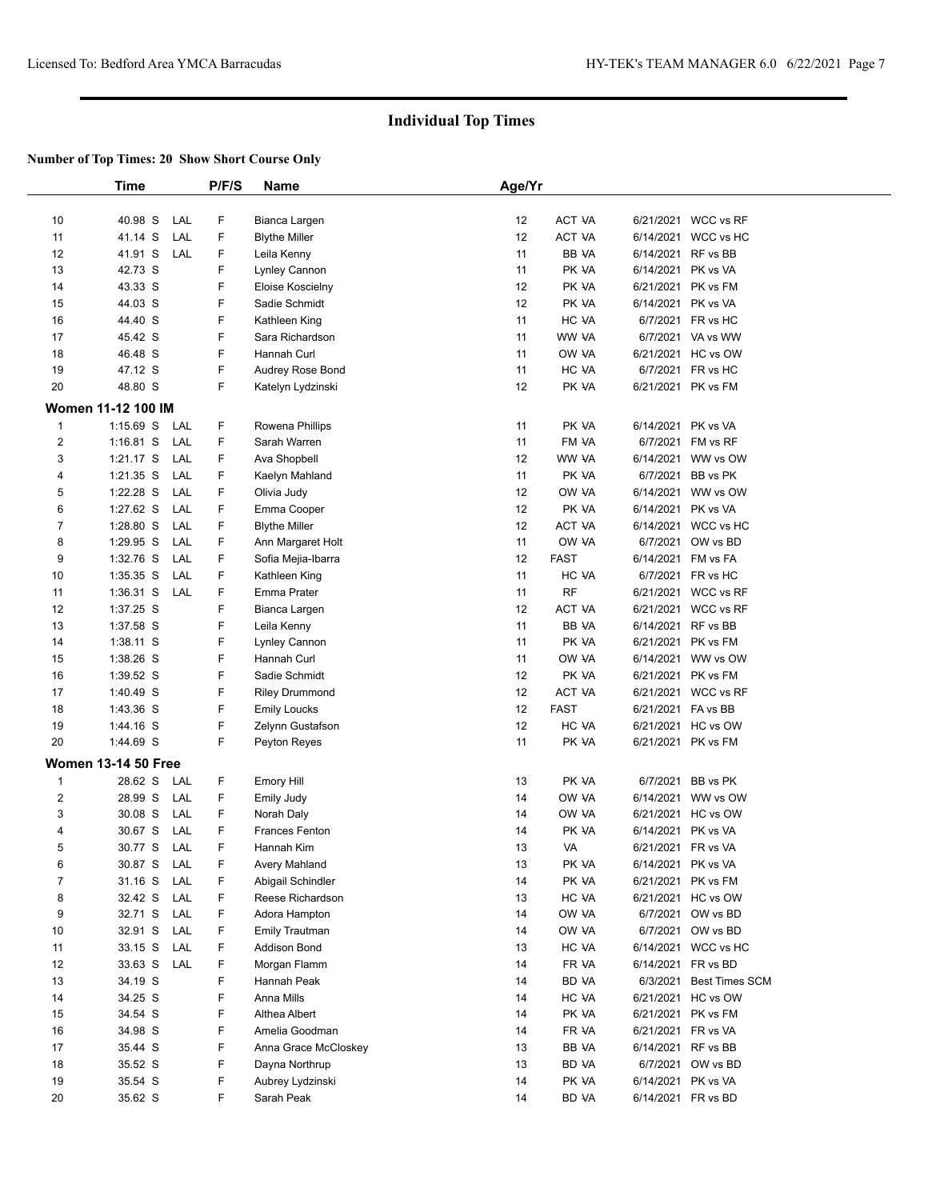|                         | <b>Time</b>                |     | P/F/S | Name                  | Age/Yr          |               |                    |                       |  |
|-------------------------|----------------------------|-----|-------|-----------------------|-----------------|---------------|--------------------|-----------------------|--|
|                         |                            |     |       |                       |                 |               |                    |                       |  |
| 10                      | 40.98 S                    | LAL | F     | Bianca Largen         | 12              | ACT VA        |                    | 6/21/2021 WCC vs RF   |  |
| 11                      | 41.14 S                    | LAL | F     | <b>Blythe Miller</b>  | 12              | ACT VA        | 6/14/2021          | WCC vs HC             |  |
| 12                      | 41.91 S                    | LAL | F     | Leila Kenny           | 11              | BB VA         | 6/14/2021          | RF vs BB              |  |
| 13                      | 42.73 S                    |     | F     | Lynley Cannon         | 11              | PK VA         | 6/14/2021          | PK vs VA              |  |
| 14                      | 43.33 S                    |     | F     | Eloise Koscielny      | 12              | PK VA         | 6/21/2021          | PK vs FM              |  |
| 15                      | 44.03 S                    |     | F     | Sadie Schmidt         | 12              | PK VA         | 6/14/2021          | PK vs VA              |  |
| 16                      | 44.40 S                    |     | F     | Kathleen King         | 11              | HC VA         |                    | 6/7/2021 FR vs HC     |  |
| 17                      | 45.42 S                    |     | F     | Sara Richardson       | 11              | WW VA         |                    | 6/7/2021 VA vs WW     |  |
| 18                      | 46.48 S                    |     | F     | Hannah Curl           | 11              | OW VA         |                    | 6/21/2021 HC vs OW    |  |
| 19                      | 47.12 S                    |     | F     | Audrey Rose Bond      | 11              | HC VA         | 6/7/2021           | FR vs HC              |  |
| 20                      | 48.80 S                    |     | F     | Katelyn Lydzinski     | 12              | PK VA         | 6/21/2021          | PK vs FM              |  |
|                         | <b>Women 11-12 100 IM</b>  |     |       |                       |                 |               |                    |                       |  |
| $\mathbf{1}$            | $1:15.69$ S                | LAL | F     | Rowena Phillips       | 11              | PK VA         | 6/14/2021          | PK vs VA              |  |
| $\overline{\mathbf{c}}$ | $1:16.81$ S                | LAL | F     | Sarah Warren          | 11              | FM VA         | 6/7/2021           | FM vs RF              |  |
| 3                       | $1:21.17$ S                | LAL | F     | Ava Shopbell          | 12              | WW VA         | 6/14/2021          | WW vs OW              |  |
| 4                       | 1:21.35 S                  | LAL | F     | Kaelyn Mahland        | 11              | PK VA         | 6/7/2021           | BB vs PK              |  |
| 5                       | 1:22.28 S                  | LAL | F     | Olivia Judy           | 12              | OW VA         | 6/14/2021          | WW vs OW              |  |
| 6                       | 1:27.62 S                  | LAL | F     | Emma Cooper           | 12 <sup>2</sup> | PK VA         | 6/14/2021          | PK vs VA              |  |
| $\overline{7}$          | 1:28.80 S                  | LAL | F     | <b>Blythe Miller</b>  | 12              | ACT VA        |                    | 6/14/2021 WCC vs HC   |  |
| 8                       | 1:29.95 S                  | LAL | F     | Ann Margaret Holt     | 11              | OW VA         | 6/7/2021           | OW vs BD              |  |
| 9                       | 1:32.76 S                  | LAL | F     | Sofia Mejia-Ibarra    | 12              | <b>FAST</b>   | 6/14/2021          | FM vs FA              |  |
| 10                      | 1:35.35 S                  | LAL | F     | Kathleen King         | 11              | HC VA         | 6/7/2021           | FR vs HC              |  |
| 11                      | 1:36.31 S                  | LAL | F     | Emma Prater           | 11              | <b>RF</b>     |                    | 6/21/2021 WCC vs RF   |  |
| 12                      | 1:37.25 S                  |     | F     | Bianca Largen         | 12              | <b>ACT VA</b> |                    | 6/21/2021 WCC vs RF   |  |
| 13                      | 1:37.58 S                  |     | F     | Leila Kenny           | 11              | BB VA         | 6/14/2021          | RF vs BB              |  |
| 14                      | 1:38.11 S                  |     | F     | Lynley Cannon         | 11              | PK VA         | 6/21/2021          | PK vs FM              |  |
| 15                      | 1:38.26 S                  |     | F     | Hannah Curl           | 11              | OW VA         | 6/14/2021          | WW vs OW              |  |
| 16                      | 1:39.52 S                  |     | F     | Sadie Schmidt         | 12 <sup>2</sup> | PK VA         | 6/21/2021          | PK vs FM              |  |
| 17                      | 1:40.49 S                  |     | F     | <b>Riley Drummond</b> | 12              | <b>ACT VA</b> | 6/21/2021          | WCC vs RF             |  |
| 18                      | 1:43.36 S                  |     | F     | <b>Emily Loucks</b>   | 12              | <b>FAST</b>   | 6/21/2021          | FA vs BB              |  |
| 19                      | 1:44.16 S                  |     | F     | Zelynn Gustafson      | 12              | HC VA         |                    | 6/21/2021 HC vs OW    |  |
| 20                      | 1:44.69 S                  |     | F     | Peyton Reyes          | 11              | PK VA         | 6/21/2021 PK vs FM |                       |  |
|                         | <b>Women 13-14 50 Free</b> |     |       |                       |                 |               |                    |                       |  |
| $\mathbf{1}$            | 28.62 S                    | LAL | F     | <b>Emory Hill</b>     | 13              | PK VA         | 6/7/2021           | BB vs PK              |  |
| $\overline{\mathbf{c}}$ | 28.99 S                    | LAL | F     | Emily Judy            | 14              | OW VA         |                    | 6/14/2021 WW vs OW    |  |
| 3                       | 30.08 S                    | LAL | F     | Norah Daly            | 14              | OW VA         | 6/21/2021          | HC vs OW              |  |
| 4                       | 30.67 S                    | LAL | F     | <b>Frances Fenton</b> | 14              | PK VA         | 6/14/2021          | PK vs VA              |  |
| 5                       | 30.77 S                    | LAL | F     | Hannah Kim            | 13              | VA            | 6/21/2021 FR vs VA |                       |  |
| 6                       | 30.87 S                    | LAL | F     | Avery Mahland         | 13              | PK VA         | 6/14/2021 PK vs VA |                       |  |
| $\overline{7}$          | 31.16 S                    | LAL | F     | Abigail Schindler     | 14              | PK VA         | 6/21/2021 PK vs FM |                       |  |
| 8                       | 32.42 S                    | LAL | F     | Reese Richardson      | 13              | HC VA         |                    | 6/21/2021 HC vs OW    |  |
| 9                       | 32.71 S                    | LAL | F     | Adora Hampton         | 14              | OW VA         | 6/7/2021           | OW vs BD              |  |
| 10                      | 32.91 S                    | LAL | F     | <b>Emily Trautman</b> | 14              | OW VA         |                    | 6/7/2021 OW vs BD     |  |
| 11                      | 33.15 S                    | LAL | F     | <b>Addison Bond</b>   | 13              | HC VA         |                    | 6/14/2021 WCC vs HC   |  |
| 12                      | 33.63 S                    | LAL | F     | Morgan Flamm          | 14              | FR VA         | 6/14/2021 FR vs BD |                       |  |
| 13                      | 34.19 S                    |     | F     | Hannah Peak           | 14              | BD VA         | 6/3/2021           | <b>Best Times SCM</b> |  |
| 14                      | 34.25 S                    |     | F     | Anna Mills            | 14              | HC VA         |                    | 6/21/2021 HC vs OW    |  |
| 15                      | 34.54 S                    |     | F     | Althea Albert         | 14              | PK VA         | 6/21/2021          | PK vs FM              |  |
| 16                      | 34.98 S                    |     | F     | Amelia Goodman        | 14              | FR VA         | 6/21/2021          | FR vs VA              |  |
| 17                      | 35.44 S                    |     | F     | Anna Grace McCloskey  | 13              | BB VA         | 6/14/2021 RF vs BB |                       |  |
| 18                      | 35.52 S                    |     | F     | Dayna Northrup        | 13              | BD VA         |                    | 6/7/2021 OW vs BD     |  |
| 19                      | 35.54 S                    |     | F     | Aubrey Lydzinski      | 14              | PK VA         | 6/14/2021 PK vs VA |                       |  |
| 20                      | 35.62 S                    |     | F     | Sarah Peak            | 14              | BD VA         | 6/14/2021 FR vs BD |                       |  |
|                         |                            |     |       |                       |                 |               |                    |                       |  |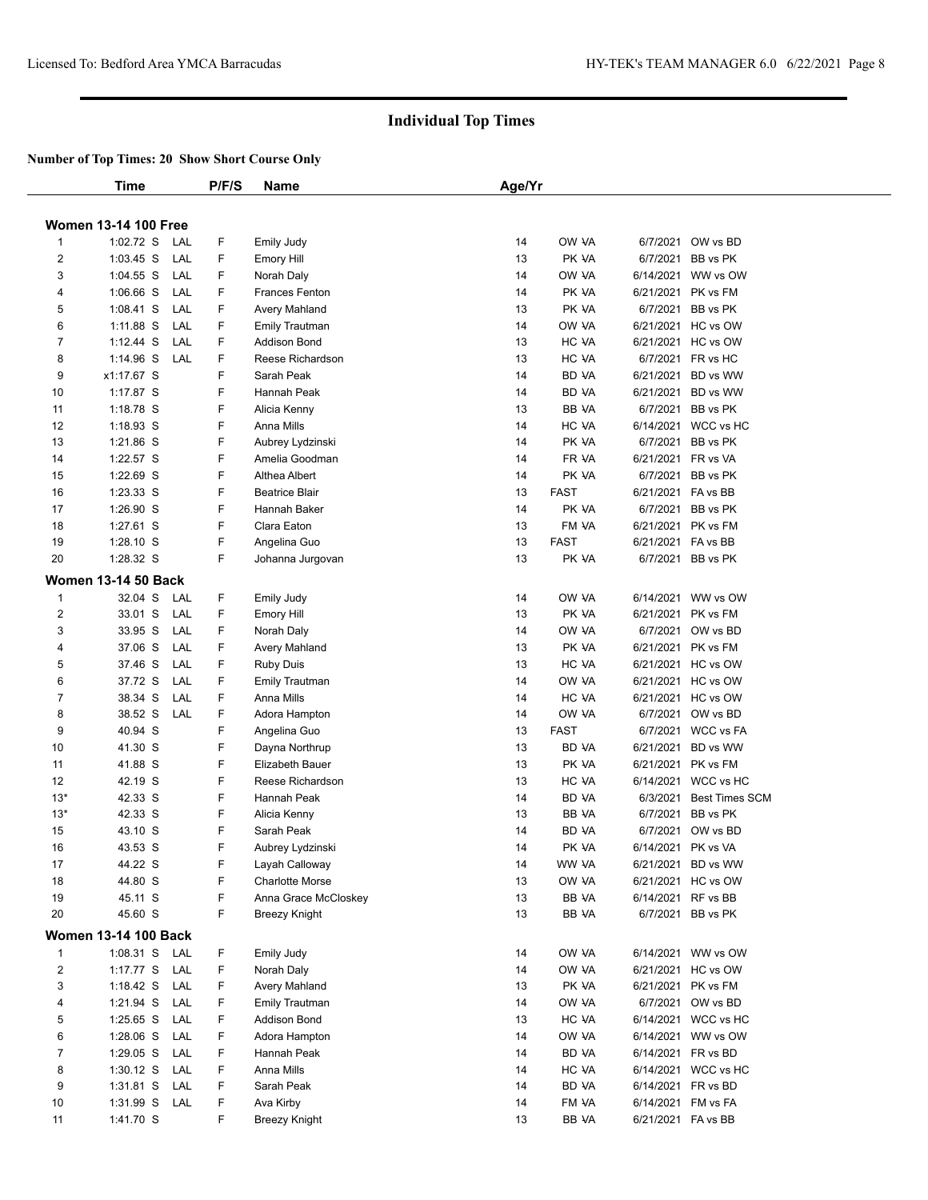|                         | <b>Time</b>                 |     | P/F/S | <b>Name</b>            | Age/Yr |             |          |                         |  |
|-------------------------|-----------------------------|-----|-------|------------------------|--------|-------------|----------|-------------------------|--|
|                         |                             |     |       |                        |        |             |          |                         |  |
|                         | <b>Women 13-14 100 Free</b> |     |       |                        |        |             |          |                         |  |
| 1                       | 1:02.72 S                   | LAL | F     | <b>Emily Judy</b>      | 14     | OW VA       | 6/7/2021 | OW vs BD                |  |
| $\overline{2}$          | $1:03.45$ S                 | LAL | F     | <b>Emory Hill</b>      | 13     | PK VA       |          | 6/7/2021 BB vs PK       |  |
| 3                       | $1:04.55$ S                 | LAL | F     | Norah Daly             | 14     | OW VA       |          | 6/14/2021 WW vs OW      |  |
| 4                       | $1:06.66$ S                 | LAL | F.    | <b>Frances Fenton</b>  | 14     | PK VA       |          | 6/21/2021 PK vs FM      |  |
| 5                       | $1:08.41$ S                 | LAL | F.    | Avery Mahland          | 13     | PK VA       |          | 6/7/2021 BB vs PK       |  |
| 6                       | 1:11.88 S                   | LAL | F     | <b>Emily Trautman</b>  | 14     | OW VA       |          | 6/21/2021 HC vs OW      |  |
| $\overline{7}$          | $1:12.44$ S                 | LAL | F     | <b>Addison Bond</b>    | 13     | HC VA       |          | 6/21/2021 HC vs OW      |  |
| 8                       | 1:14.96 S                   | LAL | F     | Reese Richardson       | 13     | HC VA       |          | 6/7/2021 FR vs HC       |  |
| 9                       | x1:17.67 S                  |     | F.    | Sarah Peak             | 14     | BD VA       |          | 6/21/2021 BD vs WW      |  |
| 10                      | 1:17.87 S                   |     | F     | Hannah Peak            | 14     | BD VA       |          | 6/21/2021 BD vs WW      |  |
| 11                      | $1:18.78$ S                 |     | F     | Alicia Kenny           | 13     | BB VA       |          | 6/7/2021 BB vs PK       |  |
| 12                      | 1:18.93 S                   |     | F     | Anna Mills             | 14     | HC VA       |          | 6/14/2021 WCC vs HC     |  |
| 13                      | 1:21.86 S                   |     | F     | Aubrey Lydzinski       | 14     | PK VA       |          | 6/7/2021 BB vs PK       |  |
| 14                      | 1:22.57 S                   |     | F     | Amelia Goodman         | 14     | FR VA       |          | 6/21/2021 FR vs VA      |  |
| 15                      | 1:22.69 S                   |     | F     | Althea Albert          | 14     | PK VA       |          | 6/7/2021 BB vs PK       |  |
| 16                      | 1:23.33 S                   |     | F     | <b>Beatrice Blair</b>  | 13     | <b>FAST</b> |          | 6/21/2021 FA vs BB      |  |
| 17                      | 1:26.90 S                   |     | F     | Hannah Baker           | 14     | PK VA       |          | 6/7/2021 BB vs PK       |  |
| 18                      | 1:27.61 S                   |     | F     | Clara Eaton            | 13     | FM VA       |          | 6/21/2021 PK vs FM      |  |
| 19                      | 1:28.10 S                   |     | F     | Angelina Guo           | 13     | <b>FAST</b> |          | 6/21/2021 FA vs BB      |  |
| 20                      | 1:28.32 S                   |     | F.    | Johanna Jurgovan       | 13     | PK VA       |          | 6/7/2021 BB vs PK       |  |
|                         | <b>Women 13-14 50 Back</b>  |     |       |                        |        |             |          |                         |  |
| 1                       | 32.04 S                     | LAL | F     | <b>Emily Judy</b>      | 14     | OW VA       |          | 6/14/2021 WW vs OW      |  |
| $\overline{\mathbf{c}}$ | 33.01 S                     | LAL | F     | <b>Emory Hill</b>      | 13     | PK VA       |          | 6/21/2021 PK vs FM      |  |
| 3                       | 33.95 S                     | LAL | F     | Norah Daly             | 14     | OW VA       |          | 6/7/2021 OW vs BD       |  |
| 4                       | 37.06 S                     | LAL | F.    | Avery Mahland          | 13     | PK VA       |          | 6/21/2021 PK vs FM      |  |
| 5                       | 37.46 S                     | LAL | F.    | <b>Ruby Duis</b>       | 13     | HC VA       |          | 6/21/2021 HC vs OW      |  |
| 6                       | 37.72 S                     | LAL | F     | Emily Trautman         | 14     | OW VA       |          | 6/21/2021 HC vs OW      |  |
| $\overline{7}$          | 38.34 S                     | LAL | F     | Anna Mills             | 14     | HC VA       |          | 6/21/2021 HC vs OW      |  |
| 8                       | 38.52 S                     | LAL | F.    | Adora Hampton          | 14     | OW VA       |          | 6/7/2021 OW vs BD       |  |
| 9                       | 40.94 S                     |     | F     | Angelina Guo           | 13     | <b>FAST</b> |          | 6/7/2021 WCC vs FA      |  |
| 10                      | 41.30 S                     |     | F     | Dayna Northrup         | 13     | BD VA       |          | 6/21/2021 BD vs WW      |  |
| 11                      | 41.88 S                     |     | F     | Elizabeth Bauer        | 13     | PK VA       |          | 6/21/2021 PK vs FM      |  |
| 12                      | 42.19 S                     |     | F     | Reese Richardson       | 13     | HC VA       |          | 6/14/2021 WCC vs HC     |  |
| $13*$                   | 42.33 S                     |     | F     | Hannah Peak            | 14     | BD VA       |          | 6/3/2021 Best Times SCM |  |
| $13*$                   | 42.33 S                     |     | F     | Alicia Kenny           | 13     | BB VA       |          | 6/7/2021 BB vs PK       |  |
| 15                      | 43.10 S                     |     | F     | Sarah Peak             | 14     | BD VA       | 6/7/2021 | OW vs BD                |  |
| 16                      | 43.53 S                     |     | F     | Aubrey Lydzinski       | 14     | PK VA       |          | 6/14/2021 PK vs VA      |  |
| 17                      | 44.22 S                     |     | F     | Layah Calloway         | 14     | WW VA       |          | 6/21/2021 BD vs WW      |  |
| 18                      | 44.80 S                     |     | F     | <b>Charlotte Morse</b> | 13     | OW VA       |          | 6/21/2021 HC vs OW      |  |
| 19                      | 45.11 S                     |     | F     | Anna Grace McCloskey   | 13     | BB VA       |          | 6/14/2021 RF vs BB      |  |
| 20                      | 45.60 S                     |     | F     | <b>Breezy Knight</b>   | 13     | BB VA       |          | 6/7/2021 BB vs PK       |  |
|                         |                             |     |       |                        |        |             |          |                         |  |
|                         | <b>Women 13-14 100 Back</b> |     |       |                        |        |             |          |                         |  |
| 1                       | 1:08.31 S                   | LAL | F     | <b>Emily Judy</b>      | 14     | OW VA       |          | 6/14/2021 WW vs OW      |  |
| $\overline{c}$          | 1:17.77 S                   | LAL | F     | Norah Daly             | 14     | OW VA       |          | 6/21/2021 HC vs OW      |  |
| 3                       | 1:18.42 $S$                 | LAL | F     | Avery Mahland          | 13     | PK VA       |          | 6/21/2021 PK vs FM      |  |
| 4                       | 1:21.94 S                   | LAL | F     | Emily Trautman         | 14     | OW VA       |          | 6/7/2021 OW vs BD       |  |
| 5                       | $1:25.65$ S                 | LAL | F     | Addison Bond           | 13     | HC VA       |          | 6/14/2021 WCC vs HC     |  |
| 6                       | $1:28.06$ S                 | LAL | F     | Adora Hampton          | 14     | OW VA       |          | 6/14/2021 WW vs OW      |  |
| $\overline{7}$          | 1:29.05 S                   | LAL | F     | Hannah Peak            | 14     | BD VA       |          | 6/14/2021 FR vs BD      |  |
| 8                       | $1:30.12$ S                 | LAL | F     | Anna Mills             | 14     | HC VA       |          | 6/14/2021 WCC vs HC     |  |
| 9                       | $1:31.81$ S                 | LAL | F     | Sarah Peak             | 14     | BD VA       |          | 6/14/2021 FR vs BD      |  |
| 10                      | 1:31.99 S                   | LAL | F     | Ava Kirby              | 14     | FM VA       |          | 6/14/2021 FM vs FA      |  |
| 11                      | 1:41.70 S                   |     | F.    | <b>Breezy Knight</b>   | 13     | BB VA       |          | 6/21/2021 FA vs BB      |  |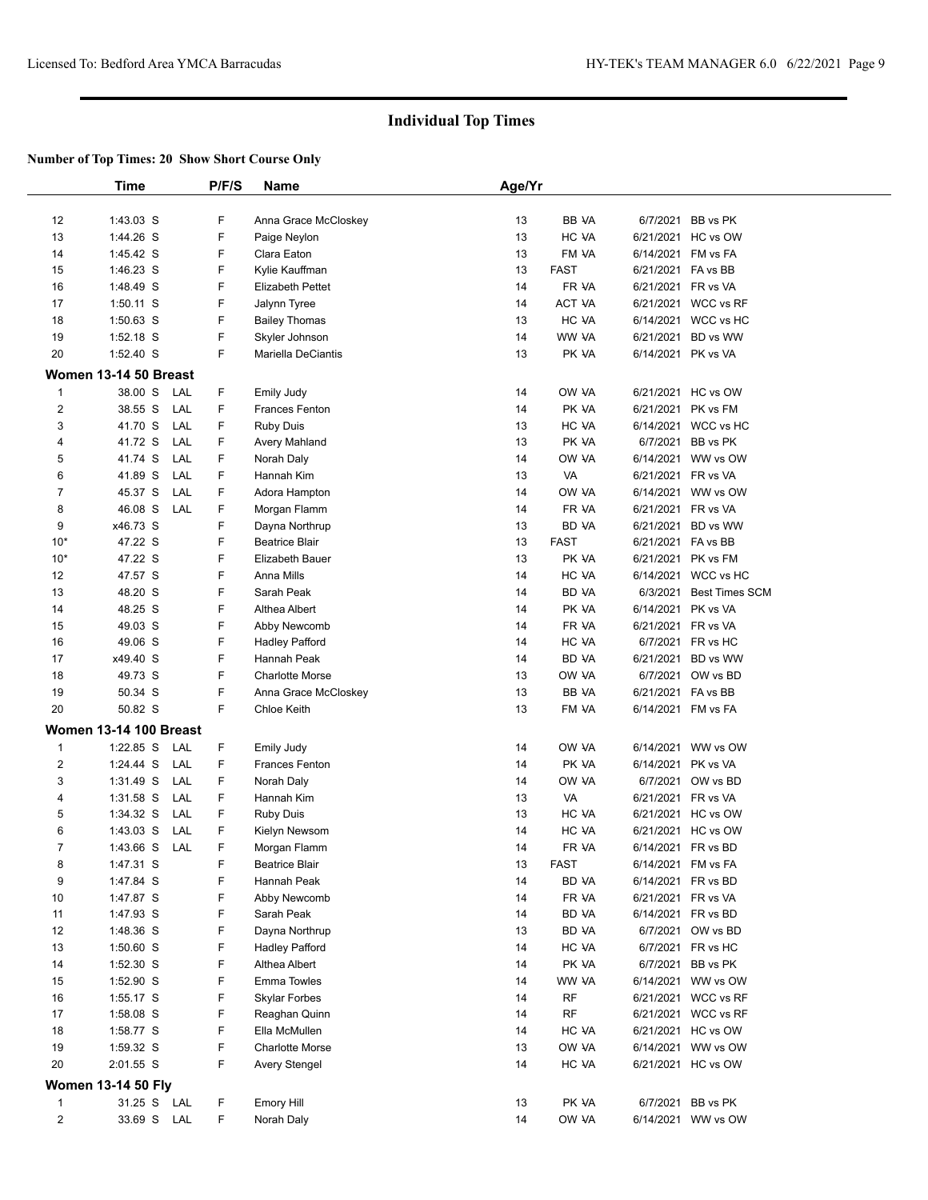|                                | Time                          | P/F/S                | Name                                       | Age/Yr   |                |                    |                                        |  |
|--------------------------------|-------------------------------|----------------------|--------------------------------------------|----------|----------------|--------------------|----------------------------------------|--|
|                                |                               |                      |                                            |          |                |                    |                                        |  |
| 12                             | 1:43.03 S                     | F                    | Anna Grace McCloskey                       | 13       | BB VA          |                    | 6/7/2021 BB vs PK                      |  |
| 13                             | 1:44.26 S                     | F                    | Paige Neylon                               | 13       | HC VA          |                    | 6/21/2021 HC vs OW                     |  |
| 14                             | 1:45.42 S                     | F                    | Clara Eaton                                | 13       | FM VA          |                    | 6/14/2021 FM vs FA                     |  |
| 15                             | 1:46.23 S                     | F                    | Kylie Kauffman                             | 13       | <b>FAST</b>    | 6/21/2021 FA vs BB |                                        |  |
| 16                             | 1:48.49 S                     | F                    | <b>Elizabeth Pettet</b>                    | 14       | FR VA          | 6/21/2021          | FR vs VA                               |  |
| 17                             | $1:50.11$ S                   | F                    | Jalynn Tyree                               | 14       | ACT VA         | 6/21/2021          | WCC vs RF                              |  |
| 18                             | 1:50.63 S                     | F                    | <b>Bailey Thomas</b>                       | 13       | HC VA          |                    | 6/14/2021 WCC vs HC                    |  |
| 19                             | 1:52.18 S                     | F                    | Skyler Johnson                             | 14       | WW VA          | 6/21/2021          | BD vs WW                               |  |
| 20                             | 1:52.40 S                     | F                    | Mariella DeCiantis                         | 13       | PK VA          | 6/14/2021 PK vs VA |                                        |  |
|                                | Women 13-14 50 Breast         |                      |                                            |          |                |                    |                                        |  |
| $\mathbf{1}$                   | 38.00 S                       | F<br>LAL             | <b>Emily Judy</b>                          | 14       | OW VA          |                    | 6/21/2021 HC vs OW                     |  |
| $\overline{2}$                 | 38.55 S                       | LAL<br>F             | Frances Fenton                             | 14       | PK VA          | 6/21/2021          | PK vs FM                               |  |
| 3                              | 41.70 S                       | LAL<br>F             | Ruby Duis                                  | 13       | HC VA          |                    | 6/14/2021 WCC vs HC                    |  |
| 4                              | 41.72 S                       | F<br>LAL             | Avery Mahland                              | 13       | PK VA          | 6/7/2021           | BB vs PK                               |  |
| 5                              | 41.74 S                       | LAL<br>F             | Norah Daly                                 | 14       | OW VA          | 6/14/2021          | WW vs OW                               |  |
| 6                              | 41.89 S                       | F<br>LAL             | Hannah Kim                                 | 13       | VA             | 6/21/2021 FR vs VA |                                        |  |
| $\overline{7}$                 | 45.37 S                       | F<br>LAL             | Adora Hampton                              | 14       | OW VA          |                    | 6/14/2021 WW vs OW                     |  |
| 8                              | 46.08 S                       | LAL<br>F             | Morgan Flamm                               | 14       | FR VA          | 6/21/2021          | FR vs VA                               |  |
| 9                              | x46.73 S                      | F                    | Dayna Northrup                             | 13       | BD VA          | 6/21/2021          | BD vs WW                               |  |
| $10*$                          | 47.22 S                       | F                    | <b>Beatrice Blair</b>                      | 13       | <b>FAST</b>    | 6/21/2021 FA vs BB |                                        |  |
| $10*$                          | 47.22 S                       | F                    | Elizabeth Bauer                            | 13       | PK VA          |                    | 6/21/2021 PK vs FM                     |  |
| 12                             | 47.57 S                       | F                    | Anna Mills                                 | 14       | HC VA          |                    | 6/14/2021 WCC vs HC                    |  |
| 13                             | 48.20 S                       | F                    | Sarah Peak                                 | 14       | BD VA          | 6/3/2021           | <b>Best Times SCM</b>                  |  |
| 14                             | 48.25 S                       | F                    | Althea Albert                              | 14       | PK VA          | 6/14/2021          | PK vs VA                               |  |
| 15                             | 49.03 S                       | F                    | Abby Newcomb                               | 14       | FR VA          | 6/21/2021 FR vs VA |                                        |  |
| 16                             | 49.06 S                       | F                    | Hadley Pafford                             | 14       | HC VA          |                    | 6/7/2021 FR vs HC                      |  |
| 17                             | x49.40 S                      | F                    | Hannah Peak                                | 14       | BD VA          | 6/21/2021          | BD vs WW                               |  |
| 18                             | 49.73 S                       | F                    | <b>Charlotte Morse</b>                     | 13       | OW VA          |                    | 6/7/2021 OW vs BD                      |  |
| 19                             | 50.34 S                       | F                    | Anna Grace McCloskey                       | 13       | BB VA          | 6/21/2021 FA vs BB |                                        |  |
| 20                             | 50.82 S                       | F                    | <b>Chloe Keith</b>                         | 13       | FM VA          |                    | 6/14/2021 FM vs FA                     |  |
|                                | <b>Women 13-14 100 Breast</b> |                      |                                            |          |                |                    |                                        |  |
|                                |                               |                      |                                            |          | OW VA          |                    |                                        |  |
| $\mathbf{1}$<br>$\overline{2}$ | $1:22.85$ S                   | F<br>LAL<br>F<br>LAL | <b>Emily Judy</b><br><b>Frances Fenton</b> | 14<br>14 | PK VA          |                    | 6/14/2021 WW vs OW                     |  |
|                                | 1:24.44 S                     | F                    |                                            |          |                | 6/14/2021          | PK vs VA                               |  |
| 3                              | 1:31.49 S                     | LAL<br>F             | Norah Daly                                 | 14<br>13 | OW VA<br>VA    | 6/7/2021           | OW vs BD                               |  |
| 4                              | 1:31.58 S                     | LAL<br>F             | Hannah Kim                                 | 13       | HC VA          | 6/21/2021 FR vs VA |                                        |  |
| 5                              | 1:34.32 S                     | LAL<br>F             | <b>Ruby Duis</b>                           |          |                |                    | 6/21/2021 HC vs OW                     |  |
| 6                              | 1:43.03 S                     | LAL<br>F             | Kielyn Newsom                              | 14<br>14 | HC VA          |                    | 6/21/2021 HC vs OW                     |  |
| $\overline{7}$                 | 1:43.66 S                     | LAL                  | Morgan Flamm                               |          | FR VA          |                    | 6/14/2021 FR vs BD                     |  |
| 8                              | 1:47.31 S                     | F<br>F               | <b>Beatrice Blair</b>                      | 13       | FAST           | 6/14/2021 FM vs FA |                                        |  |
| 9                              | 1:47.84 S                     | F                    | Hannah Peak<br>Abby Newcomb                | 14<br>14 | BD VA<br>FR VA | 6/21/2021 FR vs VA | 6/14/2021 FR vs BD                     |  |
| 10<br>11                       | 1:47.87 S                     | F                    |                                            | 14       | BD VA          | 6/14/2021 FR vs BD |                                        |  |
|                                | 1:47.93 S<br>1:48.36 S        |                      | Sarah Peak<br>Dayna Northrup               |          |                |                    | 6/7/2021 OW vs BD                      |  |
| 12                             |                               | F                    |                                            | 13       | BD VA          |                    |                                        |  |
| 13                             | 1:50.60 S                     | F                    | <b>Hadley Pafford</b>                      | 14       | HC VA          |                    | 6/7/2021 FR vs HC<br>6/7/2021 BB vs PK |  |
| 14                             | $1:52.30$ S                   | F                    | Althea Albert                              | 14       | PK VA          |                    |                                        |  |
| 15                             | 1:52.90 S                     | F                    | <b>Emma Towles</b>                         | 14       | WW VA          |                    | 6/14/2021 WW vs OW                     |  |
| 16                             | 1:55.17 S                     | F                    | <b>Skylar Forbes</b>                       | 14       | RF<br>RF       |                    | 6/21/2021 WCC vs RF                    |  |
| 17                             | 1:58.08 S                     | F                    | Reaghan Quinn                              | 14       |                |                    | 6/21/2021 WCC vs RF                    |  |
| 18                             | 1:58.77 S                     | F                    | Ella McMullen                              | 14       | HC VA          |                    | 6/21/2021 HC vs OW                     |  |
| 19                             | 1:59.32 S                     | F                    | <b>Charlotte Morse</b>                     | 13       | OW VA          |                    | 6/14/2021 WW vs OW                     |  |
| 20                             | 2:01.55 S                     | F                    | <b>Avery Stengel</b>                       | 14       | HC VA          |                    | 6/21/2021 HC vs OW                     |  |
|                                | <b>Women 13-14 50 Fly</b>     |                      |                                            |          |                |                    |                                        |  |
| $\mathbf{1}$                   | 31.25 S LAL                   | F                    | <b>Emory Hill</b>                          | 13       | PK VA          |                    | 6/7/2021 BB vs PK                      |  |
|                                | 33.69 S LAL                   |                      |                                            |          |                |                    |                                        |  |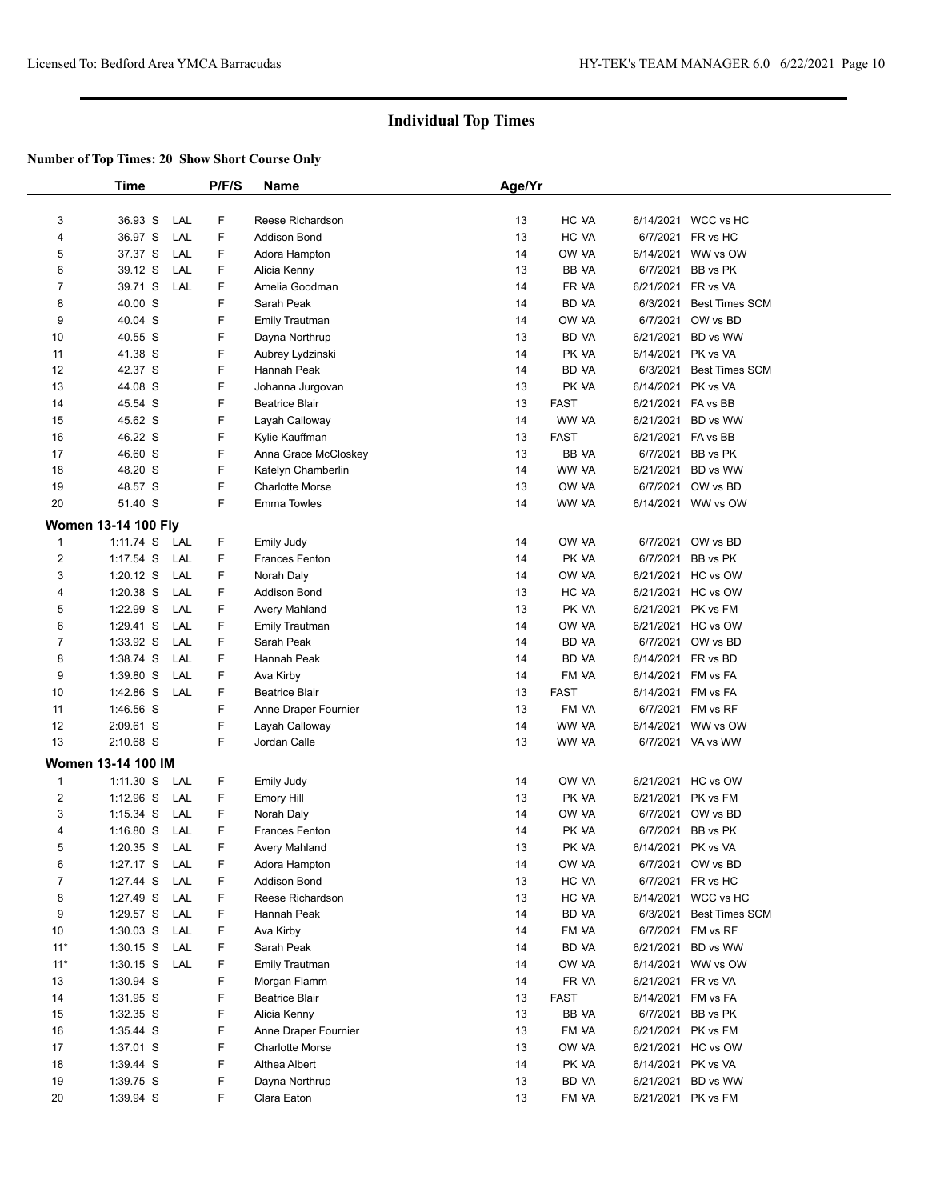|                         | Time                       |     | P/F/S | Name                                       | Age/Yr   |                      |                                 |                         |
|-------------------------|----------------------------|-----|-------|--------------------------------------------|----------|----------------------|---------------------------------|-------------------------|
| 3                       | 36.93 S                    | LAL | F     | Reese Richardson                           | 13       | HC VA                | 6/14/2021                       | WCC vs HC               |
| 4                       | 36.97 S                    | LAL | F     | <b>Addison Bond</b>                        | 13       | HC VA                |                                 | 6/7/2021 FR vs HC       |
| 5                       | 37.37 S                    | LAL | F     | Adora Hampton                              | 14       | ow ya                | 6/14/2021                       | WW vs OW                |
| 6                       | 39.12 S                    | LAL | F     | Alicia Kenny                               | 13       | BB VA                | 6/7/2021                        | BB vs PK                |
| 7                       | 39.71 S                    | LAL | F.    | Amelia Goodman                             | 14       | FR VA                | 6/21/2021 FR vs VA              |                         |
| 8                       | 40.00 S                    |     | F     | Sarah Peak                                 | 14       | BD VA                | 6/3/2021                        | <b>Best Times SCM</b>   |
| 9                       | 40.04 S                    |     | F     |                                            | 14       | OW VA                | 6/7/2021                        | OW vs BD                |
| 10                      | 40.55 S                    |     | F     | <b>Emily Trautman</b>                      | 13       | BD VA                |                                 | 6/21/2021 BD vs WW      |
|                         |                            |     | F     | Dayna Northrup                             | 14       |                      |                                 |                         |
| 11                      | 41.38 S                    |     | F     | Aubrey Lydzinski<br>Hannah Peak            | 14       | PK VA                | 6/14/2021 PK vs VA              | <b>Best Times SCM</b>   |
| 12                      | 42.37 S                    |     | F     |                                            | 13       | BD VA<br>PK VA       | 6/3/2021                        |                         |
| 13                      | 44.08 S                    |     | F     | Johanna Jurgovan                           |          |                      | 6/14/2021 PK vs VA              |                         |
| 14<br>15                | 45.54 S<br>45.62 S         |     | F     | <b>Beatrice Blair</b><br>Layah Calloway    | 13<br>14 | <b>FAST</b><br>WW VA | 6/21/2021 FA vs BB<br>6/21/2021 | BD vs WW                |
| 16                      | 46.22 S                    |     | F     |                                            | 13       | <b>FAST</b>          | 6/21/2021 FA vs BB              |                         |
|                         |                            |     | F     | Kylie Kauffman                             |          |                      |                                 | BB vs PK                |
| 17<br>18                | 46.60 S<br>48.20 S         |     | F     | Anna Grace McCloskey<br>Katelyn Chamberlin | 13<br>14 | BB VA<br>WW VA       | 6/7/2021<br>6/21/2021           | BD vs WW                |
| 19                      | 48.57 S                    |     | F     | <b>Charlotte Morse</b>                     | 13       | OW VA                |                                 | 6/7/2021 OW vs BD       |
|                         |                            |     | F     | <b>Emma Towles</b>                         | 14       | WW VA                |                                 | WW vs OW                |
| 20                      | 51.40 S                    |     |       |                                            |          |                      | 6/14/2021                       |                         |
|                         | <b>Women 13-14 100 Fly</b> |     |       |                                            |          |                      |                                 |                         |
| $\mathbf{1}$            | 1:11.74 S LAL              |     | F     | <b>Emily Judy</b>                          | 14       | OW VA                | 6/7/2021                        | OW vs BD                |
| $\overline{\mathbf{c}}$ | $1:17.54$ S                | LAL | F     | Frances Fenton                             | 14       | PK VA                | 6/7/2021                        | BB vs PK                |
| 3                       | $1:20.12$ S                | LAL | F     | Norah Daly                                 | 14       | ow ya                | 6/21/2021                       | HC vs OW                |
| 4                       | $1:20.38$ S                | LAL | F     | Addison Bond                               | 13       | HC VA                |                                 | 6/21/2021 HC vs OW      |
| 5                       | 1:22.99 S                  | LAL | F     | Avery Mahland                              | 13       | PK VA                | 6/21/2021                       | PK vs FM                |
| 6                       | 1:29.41 S                  | LAL | F     | <b>Emily Trautman</b>                      | 14       | OW VA                |                                 | 6/21/2021 HC vs OW      |
| $\overline{7}$          | 1:33.92 S                  | LAL | F     | Sarah Peak                                 | 14       | BD VA                |                                 | 6/7/2021 OW vs BD       |
| 8                       | 1:38.74 S                  | LAL | F     | Hannah Peak                                | 14       | BD VA                |                                 | 6/14/2021 FR vs BD      |
| 9                       | 1:39.80 S                  | LAL | F     | Ava Kirby                                  | 14       | FM VA                | 6/14/2021                       | FM vs FA                |
| 10                      | 1:42.86 S                  | LAL | F     | <b>Beatrice Blair</b>                      | 13       | <b>FAST</b>          | 6/14/2021                       | FM vs FA                |
| 11                      | 1:46.56 S                  |     | F     | Anne Draper Fournier                       | 13       | FM VA                |                                 | 6/7/2021 FM vs RF       |
| 12                      | 2:09.61 S                  |     | F     | Layah Calloway                             | 14       | WW VA                | 6/14/2021                       | WW vs OW                |
| 13                      | 2:10.68 S                  |     | F     | Jordan Calle                               | 13       | WW VA                |                                 | 6/7/2021 VA vs WW       |
|                         | <b>Women 13-14 100 IM</b>  |     |       |                                            |          |                      |                                 |                         |
| 1                       | $1:11.30$ S                | LAL | F     | <b>Emily Judy</b>                          | 14       | OW VA                |                                 | 6/21/2021 HC vs OW      |
| 2                       | $1:12.96$ S                | LAL | F     | <b>Emory Hill</b>                          | 13       | PK VA                |                                 | 6/21/2021 PK vs FM      |
| 3                       | $1:15.34$ S                | LAL | F     | Norah Daly                                 | 14       | OW VA                |                                 | 6/7/2021 OW vs BD       |
| 4                       | $1:16.80$ S                | LAL | F     | <b>Frances Fenton</b>                      | 14       | PK VA                | 6/7/2021                        | BB vs PK                |
| 5                       | 1:20.35 S LAL              |     | F     | Avery Mahland                              | 13       | PK VA                | 6/14/2021 PK vs VA              |                         |
| 6                       | 1:27.17 S LAL              |     | F     | Adora Hampton                              | 14       | OW VA                |                                 | 6/7/2021 OW vs BD       |
| 7                       | 1:27.44 S                  | LAL | F     | Addison Bond                               | 13       | HC VA                |                                 | 6/7/2021 FR vs HC       |
| 8                       | 1:27.49 S LAL              |     | F     | Reese Richardson                           | 13       | HC VA                |                                 | 6/14/2021 WCC vs HC     |
| 9                       | 1:29.57 S LAL              |     | F     | Hannah Peak                                | 14       | BD VA                |                                 | 6/3/2021 Best Times SCM |
| 10                      | $1:30.03$ S                | LAL | F     | Ava Kirby                                  | 14       | FM VA                |                                 | 6/7/2021 FM vs RF       |
| $11*$                   | $1:30.15$ S                | LAL | F     | Sarah Peak                                 | 14       | BD VA                | 6/21/2021                       | BD vs WW                |
| $11*$                   | 1:30.15 S LAL              |     | F     | Emily Trautman                             | 14       | OW VA                |                                 | 6/14/2021 WW vs OW      |
| 13                      | $1:30.94$ S                |     | F     | Morgan Flamm                               | 14       | FR VA                | 6/21/2021 FR vs VA              |                         |
| 14                      | 1:31.95 S                  |     | F     | <b>Beatrice Blair</b>                      | 13       | <b>FAST</b>          |                                 | 6/14/2021 FM vs FA      |
| 15                      | 1:32.35 S                  |     | F     | Alicia Kenny                               | 13       | BB VA                |                                 | 6/7/2021 BB vs PK       |
| 16                      | 1:35.44 S                  |     | F     | Anne Draper Fournier                       | 13       | FM VA                |                                 | 6/21/2021 PK vs FM      |
| 17                      | 1:37.01 S                  |     | F     | Charlotte Morse                            | 13       | OW VA                |                                 | 6/21/2021 HC vs OW      |
| 18                      | 1:39.44 S                  |     | F     | Althea Albert                              | 14       | PK VA                | 6/14/2021 PK vs VA              |                         |
| 19                      | 1:39.75 S                  |     | F     | Dayna Northrup                             | 13       | BD VA                |                                 | 6/21/2021 BD vs WW      |
| 20                      | 1:39.94 S                  |     | F.    | Clara Eaton                                | 13       | FM VA                |                                 | 6/21/2021 PK vs FM      |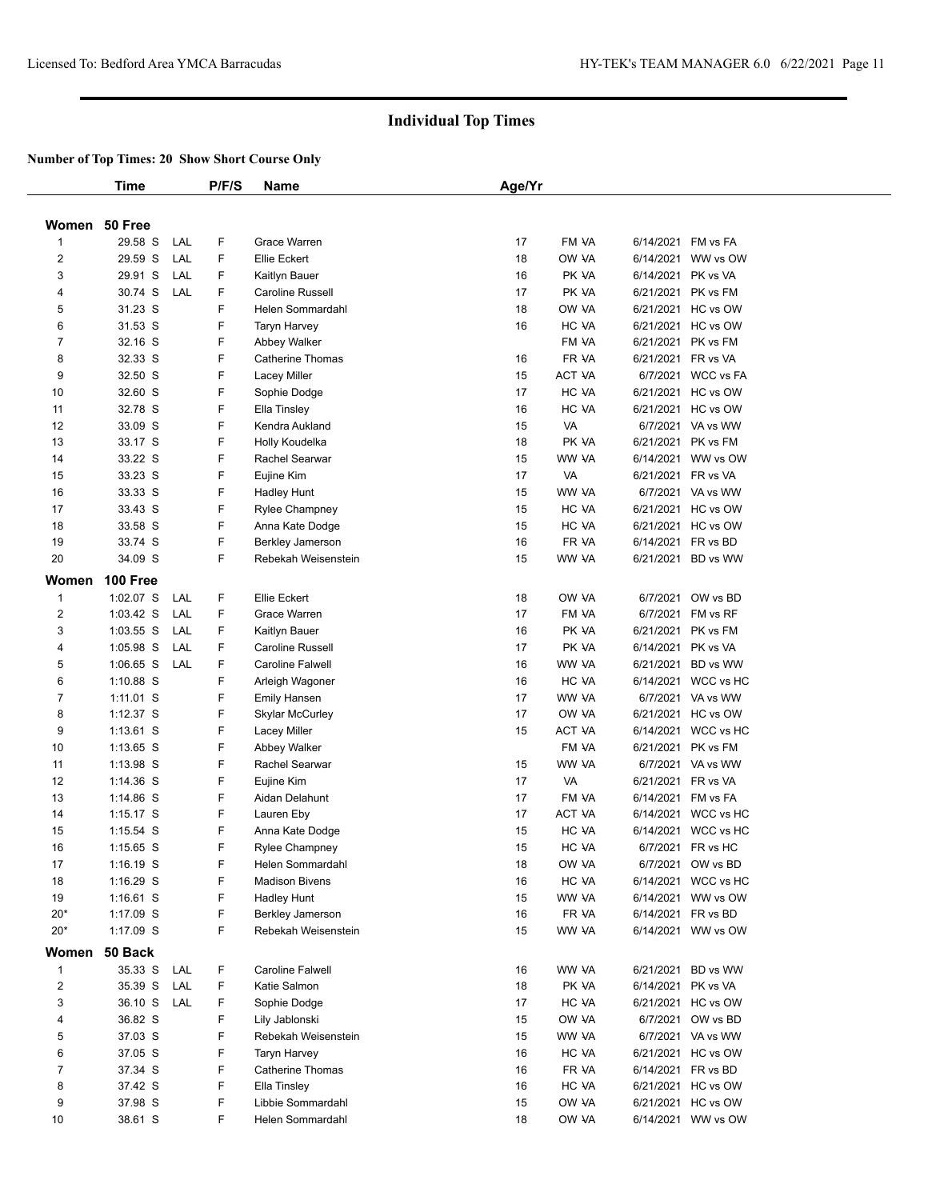|                         | Time          |     | P/F/S | <b>Name</b>                            | Age/Yr |               |                                          |
|-------------------------|---------------|-----|-------|----------------------------------------|--------|---------------|------------------------------------------|
|                         |               |     |       |                                        |        |               |                                          |
|                         | Women 50 Free |     |       |                                        |        |               |                                          |
| 1                       | 29.58 S       | LAL | F     | Grace Warren                           | 17     | FM VA         | 6/14/2021 FM vs FA                       |
| $\overline{2}$          | 29.59 S       | LAL | F     | Ellie Eckert                           | 18     | OW VA         | 6/14/2021 WW vs OW                       |
| 3                       | 29.91 S       | LAL | F     | Kaitlyn Bauer                          | 16     | PK VA         | 6/14/2021 PK vs VA                       |
| 4                       | 30.74 S       | LAL | F.    | Caroline Russell                       | 17     | PK VA         | 6/21/2021 PK vs FM                       |
| 5                       | 31.23 S       |     | F     | Helen Sommardahl                       | 18     | OW VA         | 6/21/2021 HC vs OW                       |
| 6                       | 31.53 S       |     | F     | Taryn Harvey                           | 16     | HC VA         | 6/21/2021 HC vs OW                       |
| $\overline{7}$          | 32.16 S       |     | F     | Abbey Walker                           |        | FM VA         | 6/21/2021 PK vs FM                       |
| 8                       | 32.33 S       |     | F.    | <b>Catherine Thomas</b>                | 16     | FR VA         | 6/21/2021 FR vs VA                       |
| 9                       | 32.50 S       |     | F     | Lacey Miller                           | 15     | ACT VA        | 6/7/2021 WCC vs FA                       |
| 10                      | 32.60 S       |     | F     | Sophie Dodge                           | 17     | HC VA         | 6/21/2021 HC vs OW                       |
| 11                      | 32.78 S       |     | F     | Ella Tinsley                           | 16     | HC VA         | 6/21/2021 HC vs OW                       |
| 12                      | 33.09 S       |     | F     | Kendra Aukland                         | 15     | VA            | 6/7/2021 VA vs WW                        |
| 13                      | 33.17 S       |     | F     | Holly Koudelka                         | 18     | PK VA         | 6/21/2021 PK vs FM                       |
| 14                      | 33.22 S       |     | F     | Rachel Searwar                         | 15     | WW VA         | 6/14/2021 WW vs OW                       |
| 15                      | 33.23 S       |     | F     | Eujine Kim                             | 17     | VA            | 6/21/2021 FR vs VA                       |
| 16                      | 33.33 S       |     | F     | Hadley Hunt                            | 15     | WW VA         | 6/7/2021 VA vs WW                        |
| 17                      | 33.43 S       |     | F     | Rylee Champney                         | 15     | HC VA         | 6/21/2021 HC vs OW                       |
| 18                      | 33.58 S       |     | F     | Anna Kate Dodge                        | 15     | HC VA         | 6/21/2021 HC vs OW                       |
| 19                      | 33.74 S       |     | F     | <b>Berkley Jamerson</b>                | 16     | FR VA         | 6/14/2021 FR vs BD                       |
| 20                      | 34.09 S       |     | F.    | Rebekah Weisenstein                    | 15     | WW VA         | 6/21/2021 BD vs WW                       |
| Women                   | 100 Free      |     |       |                                        |        |               |                                          |
| 1                       | $1:02.07$ S   | LAL | F     | Ellie Eckert                           | 18     | OW VA         | 6/7/2021 OW vs BD                        |
| $\overline{2}$          | 1:03.42 S     | LAL | F.    | Grace Warren                           | 17     | FM VA         | 6/7/2021 FM vs RF                        |
| 3                       | $1:03.55$ S   | LAL | F.    | Kaitlyn Bauer                          | 16     | PK VA         | 6/21/2021 PK vs FM                       |
| 4                       | 1:05.98 S     | LAL | F.    | Caroline Russell                       | 17     | PK VA         | 6/14/2021 PK vs VA                       |
| 5                       | $1:06.65$ S   | LAL | F     | Caroline Falwell                       | 16     | WW VA         | 6/21/2021 BD vs WW                       |
| 6                       | 1:10.88 S     |     | F     |                                        | 16     | HC VA         | 6/14/2021 WCC vs HC                      |
| $\overline{7}$          | 1:11.01 S     |     | F.    | Arleigh Wagoner                        | 17     | WW VA         | 6/7/2021 VA vs WW                        |
| 8                       | 1:12.37 S     |     | F     | <b>Emily Hansen</b><br>Skylar McCurley | 17     | OW VA         | 6/21/2021 HC vs OW                       |
| 9                       | 1:13.61 S     |     | F     | Lacey Miller                           | 15     | <b>ACT VA</b> | 6/14/2021 WCC vs HC                      |
| 10                      | $1:13.65$ S   |     | F     | Abbey Walker                           |        | FM VA         | 6/21/2021 PK vs FM                       |
|                         | 1:13.98 S     |     | F     | Rachel Searwar                         | 15     | WW VA         | 6/7/2021 VA vs WW                        |
| 11                      |               |     | F     |                                        |        |               |                                          |
| 12                      | 1:14.36 S     |     |       | Eujine Kim                             | 17     | VA            | 6/21/2021 FR vs VA<br>6/14/2021 FM vs FA |
| 13                      | $1:14.86$ S   |     | F     | Aidan Delahunt                         | 17     | FM VA         |                                          |
| 14                      | $1:15.17$ S   |     | F     | Lauren Eby                             | 17     | <b>ACT VA</b> | 6/14/2021 WCC vs HC                      |
| 15                      | 1:15.54 S     |     | F     | Anna Kate Dodge                        | 15     | HC VA         | 6/14/2021 WCC vs HC                      |
| 16                      | $1:15.65$ S   |     | F     | Rylee Champney                         | 15     | HC VA         | 6/7/2021 FR vs HC                        |
| 17                      | $1:16.19$ S   |     | F     | Helen Sommardahl                       | 18     | OW YA         | 6/7/2021 OW vs BD                        |
| 18                      | $1:16.29$ S   |     | F     | <b>Madison Bivens</b>                  | 16     | HC VA         | 6/14/2021 WCC vs HC                      |
| 19                      | $1:16.61$ S   |     | F     | Hadley Hunt                            | 15     | WW VA         | 6/14/2021 WW vs OW                       |
| $20*$                   | 1:17.09 S     |     | F     | <b>Berkley Jamerson</b>                | 16     | FR VA         | 6/14/2021 FR vs BD                       |
| $20*$                   | 1:17.09 S     |     | F     | Rebekah Weisenstein                    | 15     | WW VA         | 6/14/2021 WW vs OW                       |
| Women                   | 50 Back       |     |       |                                        |        |               |                                          |
| 1                       | 35.33 S       | LAL | F     | Caroline Falwell                       | 16     | WW VA         | 6/21/2021 BD vs WW                       |
| $\overline{\mathbf{c}}$ | 35.39 S       | LAL | F     | Katie Salmon                           | 18     | PK VA         | 6/14/2021 PK vs VA                       |
| 3                       | 36.10 S       | LAL | F.    | Sophie Dodge                           | 17     | HC VA         | 6/21/2021 HC vs OW                       |
| 4                       | 36.82 S       |     | F.    | Lily Jablonski                         | 15     | OW VA         | 6/7/2021 OW vs BD                        |
| 5                       | 37.03 S       |     | F     | Rebekah Weisenstein                    | 15     | WW VA         | 6/7/2021 VA vs WW                        |
| 6                       | 37.05 S       |     | F     | <b>Taryn Harvey</b>                    | 16     | HC VA         | 6/21/2021 HC vs OW                       |
| $\overline{7}$          | 37.34 S       |     | F     | <b>Catherine Thomas</b>                | 16     | FR VA         | 6/14/2021 FR vs BD                       |
| 8                       | 37.42 S       |     | F     | Ella Tinsley                           | 16     | HC VA         | 6/21/2021 HC vs OW                       |
| 9                       | 37.98 S       |     | F     | Libbie Sommardahl                      | 15     | OW VA         | 6/21/2021 HC vs OW                       |
| 10                      | 38.61 S       |     | F.    | Helen Sommardahl                       | 18     | OW VA         | 6/14/2021 WW vs OW                       |
|                         |               |     |       |                                        |        |               |                                          |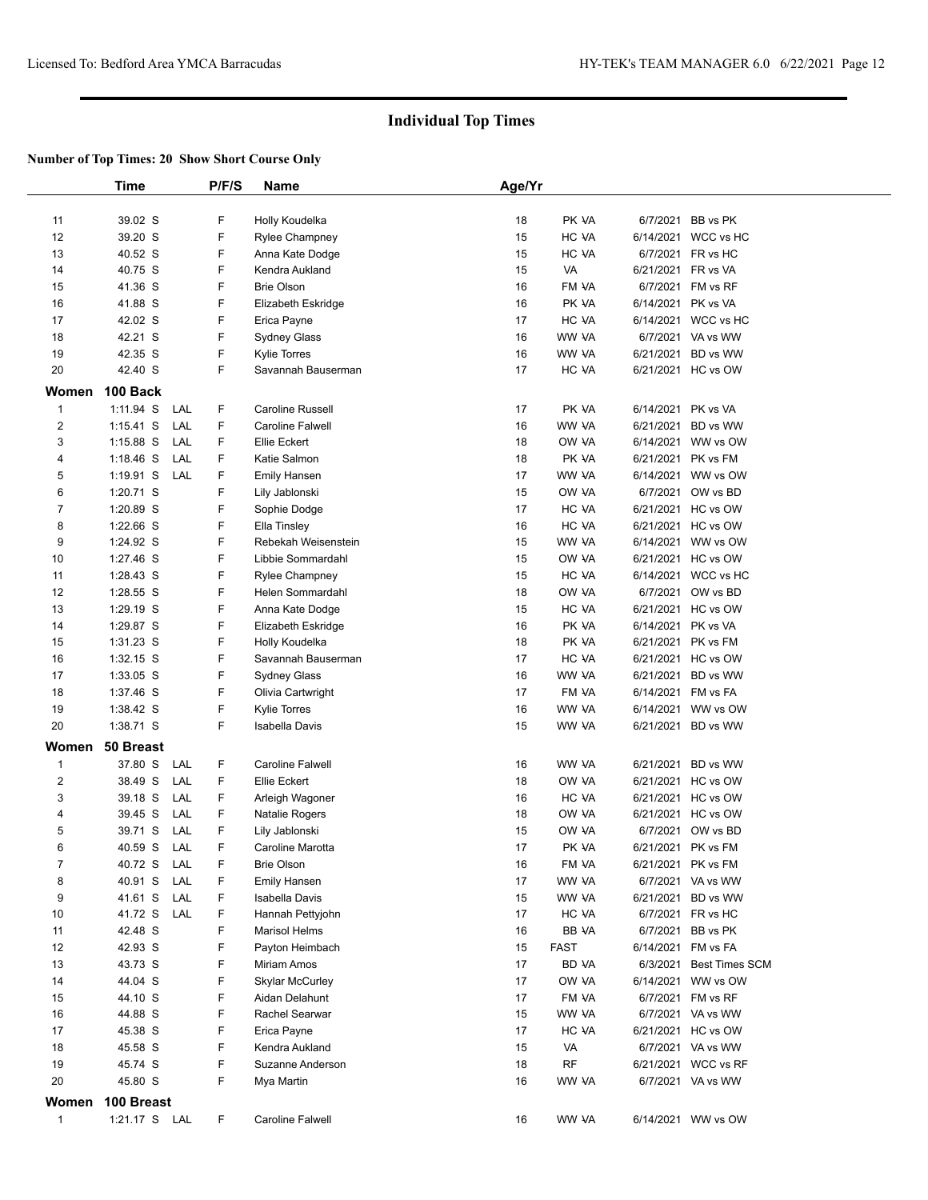|                  | Time          |     | P/F/S | <b>Name</b>             | Age/Yr |             |                    |                         |
|------------------|---------------|-----|-------|-------------------------|--------|-------------|--------------------|-------------------------|
|                  |               |     |       |                         |        |             |                    |                         |
| 11               | 39.02 S       |     | F     | Holly Koudelka          | 18     | PK VA       |                    | 6/7/2021 BB vs PK       |
| 12               | 39.20 S       |     | F     | <b>Rylee Champney</b>   | 15     | HC VA       |                    | 6/14/2021 WCC vs HC     |
| 13               | 40.52 S       |     | F     | Anna Kate Dodge         | 15     | HC VA       |                    | 6/7/2021 FR vs HC       |
| 14               | 40.75 S       |     | F     | Kendra Aukland          | 15     | VA          | 6/21/2021 FR vs VA |                         |
| 15               | 41.36 S       |     | F     | <b>Brie Olson</b>       | 16     | FM VA       |                    | 6/7/2021 FM vs RF       |
| 16               | 41.88 S       |     | F     | Elizabeth Eskridge      | 16     | PK VA       | 6/14/2021 PK vs VA |                         |
| 17               | 42.02 S       |     | F     | Erica Payne             | 17     | HC VA       |                    | 6/14/2021 WCC vs HC     |
| 18               | 42.21 S       |     | F     | Sydney Glass            | 16     | WW VA       |                    | 6/7/2021 VA vs WW       |
| 19               | 42.35 S       |     | F     | <b>Kylie Torres</b>     | 16     | WW VA       |                    | 6/21/2021 BD vs WW      |
| 20               | 42.40 S       |     | F.    | Savannah Bauserman      | 17     | HC VA       |                    | 6/21/2021 HC vs OW      |
|                  |               |     |       |                         |        |             |                    |                         |
| Women            | 100 Back      |     |       |                         |        |             |                    |                         |
| $\mathbf{1}$     | 1:11.94 S     | LAL | F.    | Caroline Russell        | 17     | PK VA       |                    | 6/14/2021 PK vs VA      |
| $\boldsymbol{2}$ | 1:15.41 S     | LAL | F     | Caroline Falwell        | 16     | WW VA       |                    | 6/21/2021 BD vs WW      |
| 3                | $1:15.88$ S   | LAL | F     | Ellie Eckert            | 18     | OW VA       |                    | 6/14/2021 WW vs OW      |
| 4                | 1:18.46 S     | LAL | F.    | Katie Salmon            | 18     | PK VA       |                    | 6/21/2021 PK vs FM      |
| 5                | $1:19.91$ S   | LAL | F     | <b>Emily Hansen</b>     | 17     | WW VA       |                    | 6/14/2021 WW vs OW      |
| 6                | 1:20.71 S     |     | F     | Lily Jablonski          | 15     | OW VA       |                    | 6/7/2021 OW vs BD       |
| 7                | 1:20.89 S     |     | F     | Sophie Dodge            | 17     | HC VA       |                    | 6/21/2021 HC vs OW      |
| 8                | 1:22.66 S     |     | F     | Ella Tinsley            | 16     | HC VA       |                    | 6/21/2021 HC vs OW      |
| 9                | 1:24.92 S     |     | F     | Rebekah Weisenstein     | 15     | WW VA       |                    | 6/14/2021 WW vs OW      |
| 10               | 1:27.46 S     |     | F     | Libbie Sommardahl       | 15     | OW VA       |                    | 6/21/2021 HC vs OW      |
| 11               | 1:28.43 S     |     | F     | <b>Rylee Champney</b>   | 15     | HC VA       |                    | 6/14/2021 WCC vs HC     |
| 12               | 1:28.55 S     |     | F     | Helen Sommardahl        | 18     | OW VA       |                    | 6/7/2021 OW vs BD       |
| 13               | 1:29.19 S     |     | F     | Anna Kate Dodge         | 15     | HC VA       |                    | 6/21/2021 HC vs OW      |
| 14               | 1:29.87 S     |     | F     | Elizabeth Eskridge      | 16     | PK VA       |                    | 6/14/2021 PK vs VA      |
| 15               | 1:31.23 S     |     | F     | Holly Koudelka          | 18     | PK VA       |                    | 6/21/2021 PK vs FM      |
| 16               | $1:32.15$ S   |     | F     | Savannah Bauserman      | 17     | HC VA       |                    | 6/21/2021 HC vs OW      |
| 17               | 1:33.05 S     |     | F     | <b>Sydney Glass</b>     | 16     | WW VA       |                    | 6/21/2021 BD vs WW      |
| 18               | 1:37.46 S     |     | F     | Olivia Cartwright       | 17     | FM VA       |                    | 6/14/2021 FM vs FA      |
| 19               | 1:38.42 S     |     | F     | <b>Kylie Torres</b>     | 16     | WW VA       |                    | 6/14/2021 WW vs OW      |
| 20               | 1:38.71 S     |     | F     | Isabella Davis          | 15     | WW VA       |                    | 6/21/2021 BD vs WW      |
| Women            | 50 Breast     |     |       |                         |        |             |                    |                         |
|                  |               |     |       | <b>Caroline Falwell</b> |        | WW VA       |                    |                         |
| $\mathbf{1}$     | 37.80 S       | LAL | F.    |                         | 16     |             |                    | 6/21/2021 BD vs WW      |
| $\boldsymbol{2}$ | 38.49 S       | LAL | F.    | Ellie Eckert            | 18     | OW VA       |                    | 6/21/2021 HC vs OW      |
| 3                | 39.18 S       | LAL | F     | Arleigh Wagoner         | 16     | HC VA       |                    | 6/21/2021 HC vs OW      |
| 4                | 39.45 S       | LAL | F     | Natalie Rogers          | 18     | OW VA       |                    | 6/21/2021 HC vs OW      |
| 5                | 39.71 S       | LAL | F     | Lily Jablonski          | 15     | OW VA       |                    | 6/7/2021 OW vs BD       |
| 6                | 40.59 S       | LAL | F.    | Caroline Marotta        | 17     | PK VA       |                    | 6/21/2021 PK vs FM      |
| 7                | 40.72 S       | LAL | F     | Brie Olson              | 16     | FM VA       |                    | 6/21/2021 PK vs FM      |
| 8                | 40.91 S       | LAL | F     | <b>Emily Hansen</b>     | 17     | WW VA       |                    | 6/7/2021 VA vs WW       |
| 9                | 41.61 S       | LAL | F     | Isabella Davis          | 15     | WW VA       |                    | 6/21/2021 BD vs WW      |
| 10               | 41.72 S       | LAL | F     | Hannah Pettyjohn        | 17     | HC VA       |                    | 6/7/2021 FR vs HC       |
| 11               | 42.48 S       |     | F     | <b>Marisol Helms</b>    | 16     | BB VA       |                    | 6/7/2021 BB vs PK       |
| 12               | 42.93 S       |     | F     | Payton Heimbach         | 15     | <b>FAST</b> |                    | 6/14/2021 FM vs FA      |
| 13               | 43.73 S       |     | F     | Miriam Amos             | 17     | BD VA       |                    | 6/3/2021 Best Times SCM |
| 14               | 44.04 S       |     | F     | <b>Skylar McCurley</b>  | 17     | OW VA       |                    | 6/14/2021 WW vs OW      |
| 15               | 44.10 S       |     | F     | Aidan Delahunt          | 17     | FM VA       |                    | 6/7/2021 FM vs RF       |
| 16               | 44.88 S       |     | F     | Rachel Searwar          | 15     | WW VA       |                    | 6/7/2021 VA vs WW       |
| 17               | 45.38 S       |     | F     | Erica Payne             | 17     | HC VA       |                    | 6/21/2021 HC vs OW      |
| 18               | 45.58 S       |     | F     | Kendra Aukland          | 15     | VA          |                    | 6/7/2021 VA vs WW       |
| 19               | 45.74 S       |     | F     | Suzanne Anderson        | 18     | <b>RF</b>   |                    | 6/21/2021 WCC vs RF     |
| 20               | 45.80 S       |     | F     | Mya Martin              | 16     | WW VA       |                    | 6/7/2021 VA vs WW       |
| Women            | 100 Breast    |     |       |                         |        |             |                    |                         |
| $\mathbf{1}$     | 1:21.17 S LAL |     | F     | Caroline Falwell        | 16     | WW VA       |                    | 6/14/2021 WW vs OW      |
|                  |               |     |       |                         |        |             |                    |                         |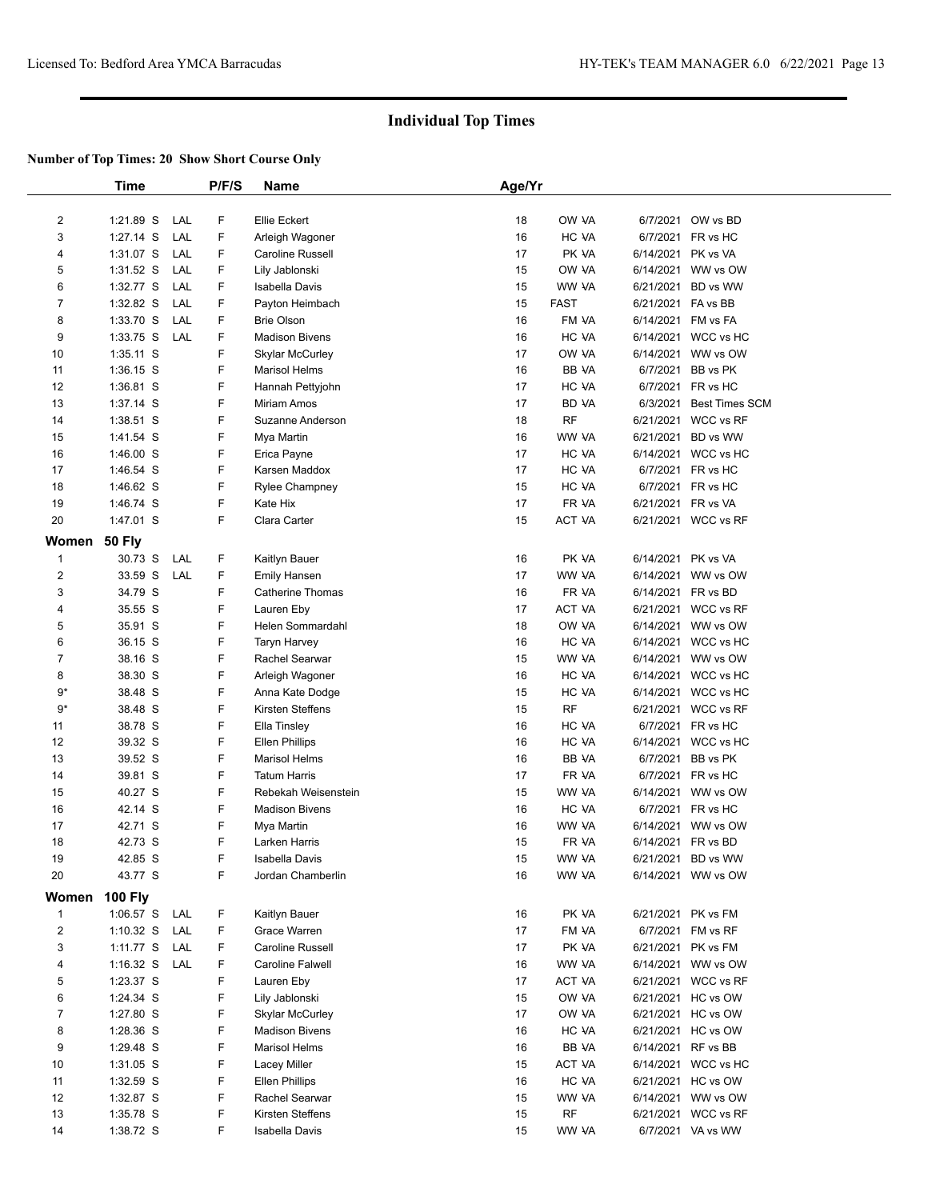|                | Time                   |     | P/F/S  | Name                            | Age/Yr   |                    |           |                                        |  |
|----------------|------------------------|-----|--------|---------------------------------|----------|--------------------|-----------|----------------------------------------|--|
| 2              | 1:21.89 S              | LAL | F      | Ellie Eckert                    | 18       | OW VA              |           | 6/7/2021 OW vs BD                      |  |
| 3              | $1:27.14$ S            | LAL | F.     | Arleigh Wagoner                 | 16       | HC VA              |           | 6/7/2021 FR vs HC                      |  |
| 4              | 1:31.07 S              | LAL | F      | Caroline Russell                | 17       | PK VA              | 6/14/2021 | PK vs VA                               |  |
| 5              | 1:31.52 S              | LAL | F      | Lily Jablonski                  | 15       | OW VA              | 6/14/2021 | WW vs OW                               |  |
| 6              | 1:32.77 S              | LAL | F.     | Isabella Davis                  | 15       | WW VA              | 6/21/2021 | BD vs WW                               |  |
| 7              | 1:32.82 S              | LAL | F      | Payton Heimbach                 | 15       | <b>FAST</b>        | 6/21/2021 | FA vs BB                               |  |
| 8              | 1:33.70 S              | LAL | F      | <b>Brie Olson</b>               | 16       | FM VA              |           | 6/14/2021 FM vs FA                     |  |
| 9              | 1:33.75 S              | LAL | F.     | <b>Madison Bivens</b>           | 16       | HC VA              |           | 6/14/2021 WCC vs HC                    |  |
| 10             | 1:35.11 S              |     | F      | <b>Skylar McCurley</b>          | 17       | OW VA              | 6/14/2021 | WW vs OW                               |  |
| 11             | 1:36.15 S              |     | F      | <b>Marisol Helms</b>            | 16       | BB VA              | 6/7/2021  | BB vs PK                               |  |
| 12             | 1:36.81 S              |     | F      |                                 | 17       | HC VA              | 6/7/2021  | FR vs HC                               |  |
|                |                        |     | F.     | Hannah Pettyjohn                |          |                    |           |                                        |  |
| 13             | 1:37.14 S              |     | F      | Miriam Amos<br>Suzanne Anderson | 17       | BD VA<br><b>RF</b> | 6/3/2021  | <b>Best Times SCM</b><br>WCC vs RF     |  |
| 14             | $1:38.51$ S            |     | F      |                                 | 18<br>16 | WW VA              | 6/21/2021 |                                        |  |
| 15             | 1:41.54 S              |     |        | Mya Martin                      |          |                    | 6/21/2021 | BD vs WW                               |  |
| 16             | $1:46.00$ S            |     | F<br>F | Erica Payne                     | 17<br>17 | HC VA<br>HC VA     |           | 6/14/2021 WCC vs HC                    |  |
| 17             | 1:46.54 S<br>1:46.62 S |     | F      | Karsen Maddox                   | 15       |                    |           | 6/7/2021 FR vs HC<br>6/7/2021 FR vs HC |  |
| 18             |                        |     |        | Rylee Champney                  |          | HC VA              |           |                                        |  |
| 19             | 1:46.74 S              |     | F<br>F | Kate Hix                        | 17       | FR VA              |           | 6/21/2021 FR vs VA                     |  |
| 20             | 1:47.01 S              |     |        | Clara Carter                    | 15       | ACT VA             |           | 6/21/2021 WCC vs RF                    |  |
| Women          | <b>50 Fly</b>          |     |        |                                 |          |                    |           |                                        |  |
| $\mathbf{1}$   | 30.73 S                | LAL | F.     | Kaitlyn Bauer                   | 16       | PK VA              | 6/14/2021 | PK vs VA                               |  |
| $\overline{c}$ | 33.59 S                | LAL | F.     | <b>Emily Hansen</b>             | 17       | WW VA              |           | 6/14/2021 WW vs OW                     |  |
| 3              | 34.79 S                |     | F      | Catherine Thomas                | 16       | FR VA              |           | 6/14/2021 FR vs BD                     |  |
| 4              | 35.55 S                |     | F      | Lauren Eby                      | 17       | ACT VA             | 6/21/2021 | WCC vs RF                              |  |
| 5              | 35.91 S                |     | F      | Helen Sommardahl                | 18       | OW VA              |           | 6/14/2021 WW vs OW                     |  |
| 6              | 36.15 S                |     | F      | <b>Taryn Harvey</b>             | 16       | HC VA              | 6/14/2021 | WCC vs HC                              |  |
| 7              | 38.16 S                |     | F      | Rachel Searwar                  | 15       | WW VA              | 6/14/2021 | WW vs OW                               |  |
| 8              | 38.30 S                |     | F      | Arleigh Wagoner                 | 16       | HC VA              |           | 6/14/2021 WCC vs HC                    |  |
| 9*             | 38.48 S                |     | F      | Anna Kate Dodge                 | 15       | HC VA              | 6/14/2021 | WCC vs HC                              |  |
| $9*$           | 38.48 S                |     | F      | Kirsten Steffens                | 15       | <b>RF</b>          | 6/21/2021 | WCC vs RF                              |  |
| 11             | 38.78 S                |     | F      | Ella Tinsley                    | 16       | HC VA              |           | 6/7/2021 FR vs HC                      |  |
| 12             | 39.32 S                |     | F      | <b>Ellen Phillips</b>           | 16       | HC VA              | 6/14/2021 | WCC vs HC                              |  |
| 13             | 39.52 S                |     | F      | <b>Marisol Helms</b>            | 16       | BB VA              | 6/7/2021  | BB vs PK                               |  |
| 14             | 39.81 S                |     | F      | <b>Tatum Harris</b>             | 17       | FR VA              |           | 6/7/2021 FR vs HC                      |  |
| 15             | 40.27 S                |     | F      | Rebekah Weisenstein             | 15       | WW VA              | 6/14/2021 | WW vs OW                               |  |
| 16             | 42.14 S                |     | F      | <b>Madison Bivens</b>           | 16       | HC VA              | 6/7/2021  | FR vs HC                               |  |
| 17             | 42.71 S                |     | F      | Mya Martin                      | 16       | WW VA              |           | 6/14/2021 WW vs OW                     |  |
| 18             | 42.73 S                |     | F      | Larken Harris                   | 15       | FR VA              |           | 6/14/2021 FR vs BD                     |  |
| 19             | 42.85 S                |     | F      | Isabella Davis                  | 15       | WW VA              |           | 6/21/2021 BD vs WW                     |  |
| 20             | 43.77 S                |     | F      | Jordan Chamberlin               | 16       | WW VA              |           | 6/14/2021 WW vs OW                     |  |
| Women          | <b>100 Fly</b>         |     |        |                                 |          |                    |           |                                        |  |
| $\mathbf{1}$   | 1:06.57 S              | LAL | F      | Kaitlyn Bauer                   | 16       | PK VA              |           | 6/21/2021 PK vs FM                     |  |
| 2              | $1:10.32$ S            | LAL | F      | Grace Warren                    | 17       | FM VA              | 6/7/2021  | FM vs RF                               |  |
| 3              | 1:11.77 S              | LAL | F      | Caroline Russell                | 17       | PK VA              |           | 6/21/2021 PK vs FM                     |  |
| 4              | $1:16.32$ S            | LAL | F      | Caroline Falwell                | 16       | WW VA              | 6/14/2021 | WW vs OW                               |  |
| 5              | 1:23.37 S              |     | F      | Lauren Eby                      | 17       | ACT VA             | 6/21/2021 | WCC vs RF                              |  |
| 6              | 1:24.34 S              |     | F      | Lily Jablonski                  | 15       | OW VA              |           | 6/21/2021 HC vs OW                     |  |
| 7              | 1:27.80 S              |     | F      | Skylar McCurley                 | 17       | OW VA              | 6/21/2021 | HC vs OW                               |  |
| 8              | 1:28.36 S              |     | F      | <b>Madison Bivens</b>           | 16       | HC VA              | 6/21/2021 | HC vs OW                               |  |
| 9              | 1:29.48 S              |     | F      | <b>Marisol Helms</b>            | 16       | BB VA              |           | 6/14/2021 RF vs BB                     |  |
| 10             | 1:31.05 S              |     | F      | Lacey Miller                    | 15       | ACT VA             | 6/14/2021 | WCC vs HC                              |  |
| 11             | 1:32.59 S              |     | F      | <b>Ellen Phillips</b>           | 16       | HC VA              | 6/21/2021 | HC vs OW                               |  |
| 12             | 1:32.87 S              |     | F      | Rachel Searwar                  | 15       | WW VA              | 6/14/2021 | WW vs OW                               |  |
| 13             | 1:35.78 S              |     | F      | Kirsten Steffens                | 15       | RF                 | 6/21/2021 | WCC vs RF                              |  |
| 14             | 1:38.72 S              |     | F      | Isabella Davis                  | 15       | WW VA              |           | 6/7/2021 VA vs WW                      |  |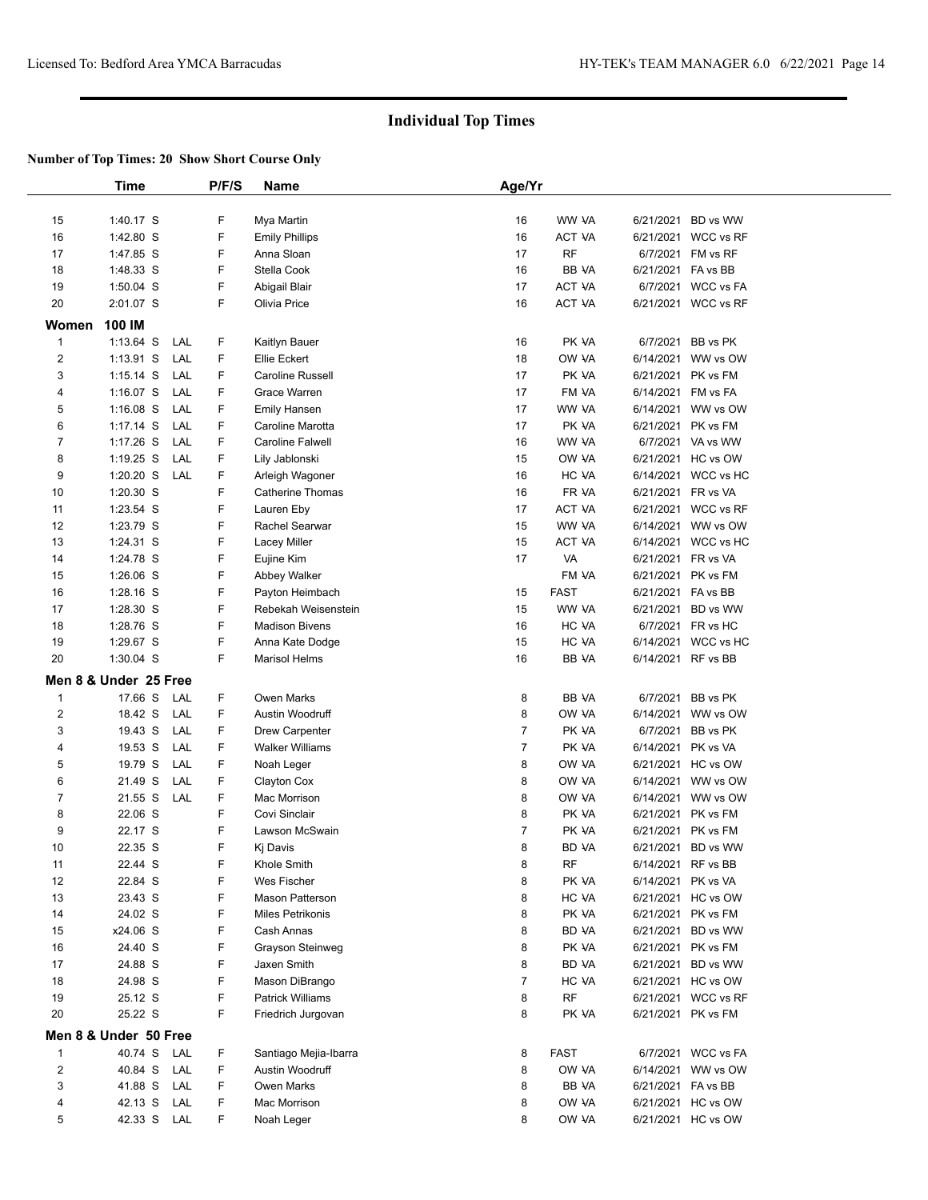|                         | Time                  |     | P/F/S | Name                    | Age/Yr         |               |                                |                     |  |
|-------------------------|-----------------------|-----|-------|-------------------------|----------------|---------------|--------------------------------|---------------------|--|
| 15                      | 1:40.17 S             |     | F     | Mya Martin              | 16             | WW VA         | 6/21/2021                      | BD vs WW            |  |
| 16                      | 1:42.80 S             |     | F     | <b>Emily Phillips</b>   | 16             | ACT VA        |                                | 6/21/2021 WCC vs RF |  |
|                         |                       |     | F     | Anna Sloan              | 17             | <b>RF</b>     |                                | FM vs RF            |  |
| 17                      | 1:47.85 S             |     | F     | Stella Cook             |                |               | 6/7/2021<br>6/21/2021 FA vs BB |                     |  |
| 18                      | 1:48.33 S             |     | F     |                         | 16             | BB VA         |                                |                     |  |
| 19                      | 1:50.04 S             |     |       | Abigail Blair           | 17             | ACT VA        |                                | 6/7/2021 WCC vs FA  |  |
| 20                      | 2:01.07 S             |     | F     | Olivia Price            | 16             | ACT VA        |                                | 6/21/2021 WCC vs RF |  |
| Women                   | 100 IM                |     |       |                         |                |               |                                |                     |  |
| $\mathbf{1}$            | $1:13.64$ S           | LAL | F     | Kaitlyn Bauer           | 16             | PK VA         | 6/7/2021                       | BB vs PK            |  |
| $\overline{\mathbf{c}}$ | $1:13.91$ S           | LAL | F     | Ellie Eckert            | 18             | OW VA         |                                | 6/14/2021 WW vs OW  |  |
| 3                       | $1:15.14$ S           | LAL | F     | <b>Caroline Russell</b> | 17             | PK VA         | 6/21/2021                      | PK vs FM            |  |
| 4                       | $1:16.07$ S           | LAL | F     | Grace Warren            | 17             | FM VA         | 6/14/2021                      | FM vs FA            |  |
| 5                       | $1:16.08$ S           | LAL | F     | <b>Emily Hansen</b>     | 17             | WW VA         |                                | 6/14/2021 WW vs OW  |  |
| 6                       | $1:17.14$ S           | LAL | F     | Caroline Marotta        | 17             | PK VA         |                                | 6/21/2021 PK vs FM  |  |
| $\overline{7}$          | $1:17.26$ S           | LAL | F     | Caroline Falwell        | 16             | WW VA         |                                | 6/7/2021 VA vs WW   |  |
| 8                       | 1:19.25 S             | LAL | F     | Lily Jablonski          | 15             | OW VA         |                                | 6/21/2021 HC vs OW  |  |
| 9                       | $1:20.20$ S           | LAL | F     | Arleigh Wagoner         | 16             | HC VA         |                                | 6/14/2021 WCC vs HC |  |
| 10                      | 1:20.30 S             |     | F     | <b>Catherine Thomas</b> | 16             | FR VA         | 6/21/2021 FR vs VA             |                     |  |
| 11                      | 1:23.54 S             |     | F     | Lauren Eby              | 17             | ACT VA        |                                | 6/21/2021 WCC vs RF |  |
| 12                      | 1:23.79 S             |     | F     | Rachel Searwar          | 15             | WW VA         |                                | 6/14/2021 WW vs OW  |  |
| 13                      | 1:24.31 S             |     | F     | Lacey Miller            | 15             | <b>ACT VA</b> |                                | 6/14/2021 WCC vs HC |  |
| 14                      | 1:24.78 S             |     | F     | Eujine Kim              | 17             | VA            | 6/21/2021 FR vs VA             |                     |  |
| 15                      | 1:26.06 S             |     | F     | Abbey Walker            |                | FM VA         | 6/21/2021                      | PK vs FM            |  |
| 16                      | 1:28.16 S             |     | F     | Payton Heimbach         | 15             | <b>FAST</b>   | 6/21/2021 FA vs BB             |                     |  |
| 17                      | 1:28.30 S             |     | F     | Rebekah Weisenstein     | 15             | WW VA         |                                | 6/21/2021 BD vs WW  |  |
| 18                      | 1:28.76 S             |     | F     | <b>Madison Bivens</b>   | 16             | HC VA         |                                | 6/7/2021 FR vs HC   |  |
| 19                      | 1:29.67 S             |     | F     | Anna Kate Dodge         | 15             | HC VA         |                                | 6/14/2021 WCC vs HC |  |
| 20                      | 1:30.04 S             |     | F     | <b>Marisol Helms</b>    | 16             | BB VA         |                                | 6/14/2021 RF vs BB  |  |
|                         |                       |     |       |                         |                |               |                                |                     |  |
|                         | Men 8 & Under 25 Free |     |       |                         |                |               |                                |                     |  |
| $\overline{1}$          | 17.66 S               | LAL | F     | <b>Owen Marks</b>       | 8              | BB VA         | 6/7/2021                       | BB vs PK            |  |
| $\mathbf 2$             | 18.42 S               | LAL | F     | Austin Woodruff         | 8              | OW VA         |                                | 6/14/2021 WW vs OW  |  |
| 3                       | 19.43 S               | LAL | F     | <b>Drew Carpenter</b>   | $\overline{7}$ | PK VA         | 6/7/2021                       | BB vs PK            |  |
| 4                       | 19.53 S               | LAL | F     | <b>Walker Williams</b>  | $\overline{7}$ | PK VA         | 6/14/2021                      | PK vs VA            |  |
| 5                       | 19.79 S               | LAL | F     | Noah Leger              | 8              | OW VA         |                                | 6/21/2021 HC vs OW  |  |
| 6                       | 21.49 S               | LAL | F     | Clayton Cox             | 8              | OW VA         |                                | 6/14/2021 WW vs OW  |  |
| $\overline{7}$          | 21.55 S               | LAL | F     | Mac Morrison            | 8              | OW VA         |                                | 6/14/2021 WW vs OW  |  |
| 8                       | 22.06 S               |     | F     | Covi Sinclair           | 8              | PK VA         | 6/21/2021                      | PK vs FM            |  |
| 9                       | 22.17 S               |     | F     | Lawson McSwain          | $\overline{7}$ | PK VA         |                                | 6/21/2021 PK vs FM  |  |
| 10                      | 22.35 S               |     | F     | Kj Davis                | 8              | BD YA         |                                | 6/21/2021 BD vs WW  |  |
| 11                      | 22.44 S               |     | F     | Khole Smith             | 8              | RF            |                                | 6/14/2021 RF vs BB  |  |
| 12                      | 22.84 S               |     | F     | Wes Fischer             | 8              | PK VA         |                                | 6/14/2021 PK vs VA  |  |
| 13                      | 23.43 S               |     | F     | <b>Mason Patterson</b>  | 8              | HC VA         |                                | 6/21/2021 HC vs OW  |  |
| 14                      | 24.02 S               |     | F     | Miles Petrikonis        | 8              | PK VA         |                                | 6/21/2021 PK vs FM  |  |
| 15                      | x24.06 S              |     | F     | Cash Annas              | 8              | BD VA         |                                | 6/21/2021 BD vs WW  |  |
| 16                      | 24.40 S               |     | F     | Grayson Steinweg        | 8              | PK VA         |                                | 6/21/2021 PK vs FM  |  |
| 17                      | 24.88 S               |     | F     | Jaxen Smith             | 8              | BD VA         |                                | 6/21/2021 BD vs WW  |  |
| 18                      | 24.98 S               |     | F     | Mason DiBrango          | $\overline{7}$ | HC VA         |                                | 6/21/2021 HC vs OW  |  |
| 19                      | 25.12 S               |     | F     | <b>Patrick Williams</b> | 8              | RF            |                                | 6/21/2021 WCC vs RF |  |
| 20                      | 25.22 S               |     | F     | Friedrich Jurgovan      | 8              | PK VA         |                                | 6/21/2021 PK vs FM  |  |
|                         | Men 8 & Under 50 Free |     |       |                         |                |               |                                |                     |  |
| $\mathbf{1}$            | 40.74 S               | LAL | F     | Santiago Mejia-Ibarra   | 8              | FAST          |                                | 6/7/2021 WCC vs FA  |  |
| $\overline{c}$          | 40.84 S               | LAL | F     | Austin Woodruff         | 8              | OW VA         |                                | 6/14/2021 WW vs OW  |  |
| 3                       | 41.88 S               | LAL | F     | <b>Owen Marks</b>       | 8              | BB VA         | 6/21/2021 FA vs BB             |                     |  |
| 4                       | 42.13 S               | LAL | F     | Mac Morrison            | 8              | OW VA         |                                | 6/21/2021 HC vs OW  |  |
| 5                       | 42.33 S LAL           |     | F.    | Noah Leger              | 8              | OW VA         |                                | 6/21/2021 HC vs OW  |  |
|                         |                       |     |       |                         |                |               |                                |                     |  |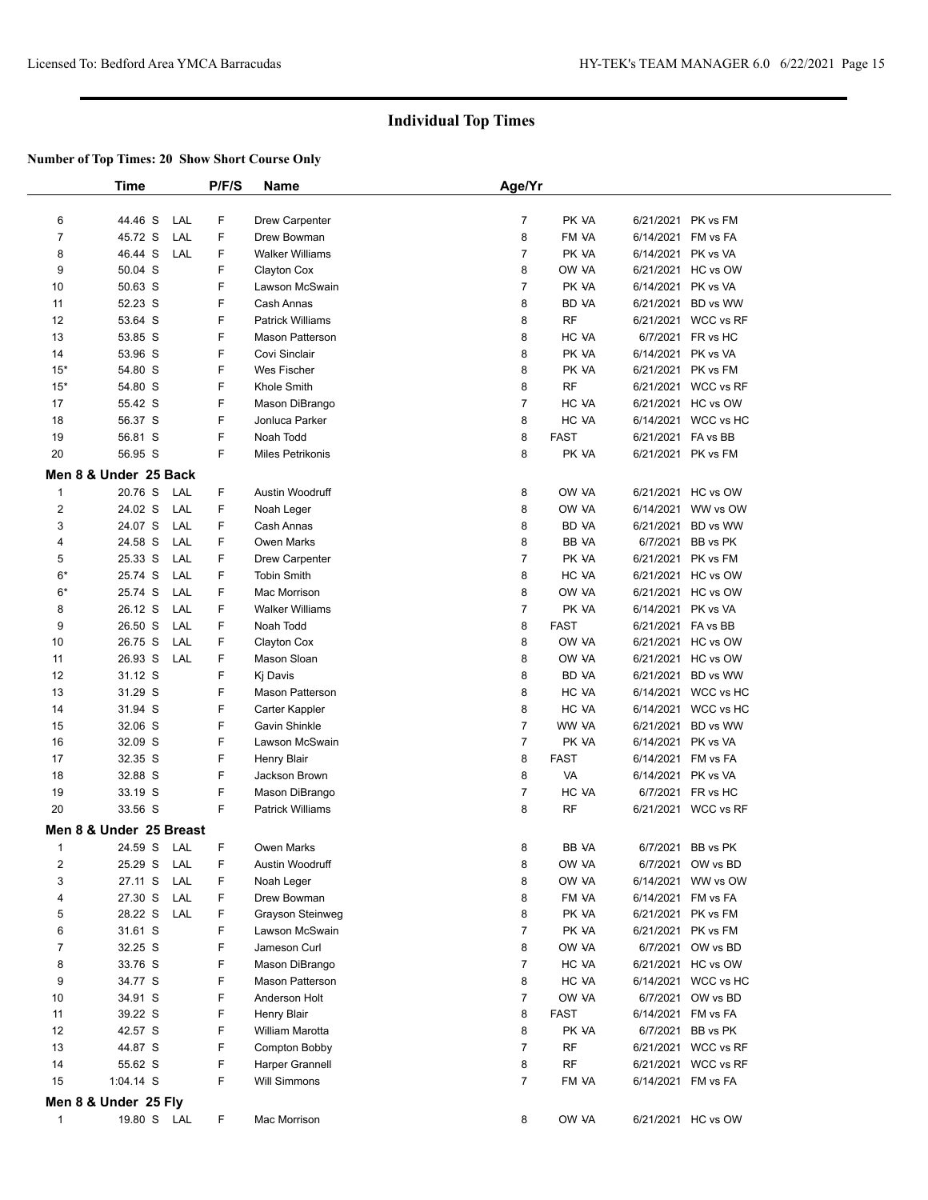|                | <b>Time</b>             |     | P/F/S | <b>Name</b>             | Age/Yr         |              |                    |                     |  |
|----------------|-------------------------|-----|-------|-------------------------|----------------|--------------|--------------------|---------------------|--|
|                |                         |     |       |                         |                |              |                    |                     |  |
| 6              | 44.46 S                 | LAL | F     | Drew Carpenter          | $\overline{7}$ | PK VA        | 6/21/2021 PK vs FM |                     |  |
| $\overline{7}$ | 45.72 S                 | LAL | F     | Drew Bowman             | 8              | FM VA        | 6/14/2021 FM vs FA |                     |  |
| 8              | 46.44 S                 | LAL | F     | <b>Walker Williams</b>  | $\overline{7}$ | PK VA        | 6/14/2021 PK vs VA |                     |  |
| 9              | 50.04 S                 |     | F     | Clayton Cox             | 8              | OW VA        |                    | 6/21/2021 HC vs OW  |  |
| 10             | 50.63 S                 |     | F     | Lawson McSwain          | $\overline{7}$ | PK VA        | 6/14/2021 PK vs VA |                     |  |
| 11             | 52.23 S                 |     | F     | Cash Annas              | 8              | BD VA        | 6/21/2021          | BD vs WW            |  |
| 12             | 53.64 S                 |     | F     | <b>Patrick Williams</b> | 8              | <b>RF</b>    |                    | 6/21/2021 WCC vs RF |  |
| 13             | 53.85 S                 |     | F     | <b>Mason Patterson</b>  | 8              | HC VA        |                    | 6/7/2021 FR vs HC   |  |
| 14             | 53.96 S                 |     | F     | Covi Sinclair           | 8              | PK VA        | 6/14/2021 PK vs VA |                     |  |
| $15*$          | 54.80 S                 |     | F     | Wes Fischer             | 8              | PK VA        | 6/21/2021 PK vs FM |                     |  |
| $15*$          | 54.80 S                 |     | F     | Khole Smith             | 8              | <b>RF</b>    |                    | 6/21/2021 WCC vs RF |  |
| 17             | 55.42 S                 |     | F     | Mason DiBrango          | $\overline{7}$ | HC VA        |                    | 6/21/2021 HC vs OW  |  |
| 18             | 56.37 S                 |     | F     | Jonluca Parker          | 8              | HC VA        |                    | 6/14/2021 WCC vs HC |  |
| 19             | 56.81 S                 |     | F     | Noah Todd               | 8              | <b>FAST</b>  | 6/21/2021 FA vs BB |                     |  |
| 20             | 56.95 S                 |     | F     | <b>Miles Petrikonis</b> | 8              | PK VA        | 6/21/2021 PK vs FM |                     |  |
|                | Men 8 & Under 25 Back   |     |       |                         |                |              |                    |                     |  |
| $\mathbf{1}$   | 20.76 S                 | LAL | F     | Austin Woodruff         | 8              | OW VA        |                    | 6/21/2021 HC vs OW  |  |
| $\overline{2}$ | 24.02 S                 | LAL | F     | Noah Leger              | 8              | OW VA        | 6/14/2021          | WW vs OW            |  |
| 3              | 24.07 S                 | LAL | F     | Cash Annas              | 8              | BD VA        | 6/21/2021          | BD vs WW            |  |
| 4              | 24.58 S                 | LAL | F     | <b>Owen Marks</b>       | 8              | <b>BB VA</b> | 6/7/2021           | BB vs PK            |  |
| 5              | 25.33 S                 | LAL | F     | Drew Carpenter          | $\overline{7}$ | PK VA        |                    | 6/21/2021 PK vs FM  |  |
| $6*$           | 25.74 S                 | LAL | F     | <b>Tobin Smith</b>      | 8              | HC VA        |                    | 6/21/2021 HC vs OW  |  |
| $6*$           | 25.74 S                 | LAL | F     | Mac Morrison            | 8              | OW VA        |                    | 6/21/2021 HC vs OW  |  |
| 8              | 26.12 S                 | LAL | F     | <b>Walker Williams</b>  | $\overline{7}$ | PK VA        | 6/14/2021 PK vs VA |                     |  |
| 9              | 26.50 S                 | LAL | F     | Noah Todd               | 8              | <b>FAST</b>  | 6/21/2021 FA vs BB |                     |  |
| 10             | 26.75 S                 | LAL | F     | Clayton Cox             | 8              | OW VA        |                    | 6/21/2021 HC vs OW  |  |
| 11             | 26.93 S                 | LAL | F     | Mason Sloan             | 8              | OW VA        |                    | 6/21/2021 HC vs OW  |  |
| 12             | 31.12 S                 |     | F     | Kj Davis                | 8              | BD VA        |                    | 6/21/2021 BD vs WW  |  |
| 13             | 31.29 S                 |     | F     | Mason Patterson         | 8              | HC VA        |                    | 6/14/2021 WCC vs HC |  |
| 14             | 31.94 S                 |     | F     | Carter Kappler          | 8              | HC VA        | 6/14/2021          | WCC vs HC           |  |
| 15             | 32.06 S                 |     | F     | Gavin Shinkle           | $\overline{7}$ | WW VA        |                    | 6/21/2021 BD vs WW  |  |
| 16             | 32.09 S                 |     | F     | Lawson McSwain          | $\overline{7}$ | PK VA        | 6/14/2021 PK vs VA |                     |  |
| 17             | 32.35 S                 |     | F     | Henry Blair             | 8              | <b>FAST</b>  | 6/14/2021          | FM vs FA            |  |
| 18             | 32.88 S                 |     | F     | Jackson Brown           | 8              | VA           | 6/14/2021 PK vs VA |                     |  |
| 19             | 33.19 S                 |     | F     | Mason DiBrango          | $\overline{7}$ | HC VA        |                    | 6/7/2021 FR vs HC   |  |
| 20             | 33.56 S                 |     | F     | <b>Patrick Williams</b> | 8              | <b>RF</b>    |                    | 6/21/2021 WCC vs RF |  |
|                | Men 8 & Under 25 Breast |     |       |                         |                |              |                    |                     |  |
| 1              | 24.59 S                 | LAL | F     | Owen Marks              | 8              | BB VA        |                    | 6/7/2021 BB vs PK   |  |
| $\overline{2}$ | 25.29 S                 | LAL | F     | Austin Woodruff         | 8              | OW VA        | 6/7/2021           | OW vs BD            |  |
| 3              | 27.11 S                 | LAL | F     | Noah Leger              | 8              | OW VA        |                    | 6/14/2021 WW vs OW  |  |
| 4              | 27.30 S                 | LAL | F     | Drew Bowman             | 8              | FM VA        | 6/14/2021 FM vs FA |                     |  |
| 5              | 28.22 S                 | LAL | F     | Grayson Steinweg        | 8              | PK VA        |                    | 6/21/2021 PK vs FM  |  |
| 6              | 31.61 S                 |     | F     | Lawson McSwain          | $\overline{7}$ | PK VA        |                    | 6/21/2021 PK vs FM  |  |
| $\overline{7}$ | 32.25 S                 |     | F     | Jameson Curl            | 8              | OW VA        |                    | 6/7/2021 OW vs BD   |  |
| 8              | 33.76 S                 |     | F     | Mason DiBrango          | $\overline{7}$ | HC VA        |                    | 6/21/2021 HC vs OW  |  |
| 9              | 34.77 S                 |     | F     | Mason Patterson         | 8              | HC VA        |                    | 6/14/2021 WCC vs HC |  |
| 10             | 34.91 S                 |     | F     | Anderson Holt           | $\overline{7}$ | OW VA        |                    | 6/7/2021 OW vs BD   |  |
| 11             | 39.22 S                 |     | F     | <b>Henry Blair</b>      | 8              | <b>FAST</b>  | 6/14/2021 FM vs FA |                     |  |
| 12             | 42.57 S                 |     | F     | William Marotta         | 8              | PK VA        |                    | 6/7/2021 BB vs PK   |  |
| 13             | 44.87 S                 |     | F     | Compton Bobby           | $\overline{7}$ | RF           |                    | 6/21/2021 WCC vs RF |  |
| 14             | 55.62 S                 |     | F     | Harper Grannell         | 8              | RF           |                    | 6/21/2021 WCC vs RF |  |
| 15             | 1:04.14 S               |     | F.    | <b>Will Simmons</b>     | $\overline{7}$ | FM VA        | 6/14/2021 FM vs FA |                     |  |
|                | Men 8 & Under 25 Fly    |     |       |                         |                |              |                    |                     |  |
| $\mathbf{1}$   | 19.80 S LAL             |     | F.    | Mac Morrison            | 8              | OW VA        |                    | 6/21/2021 HC vs OW  |  |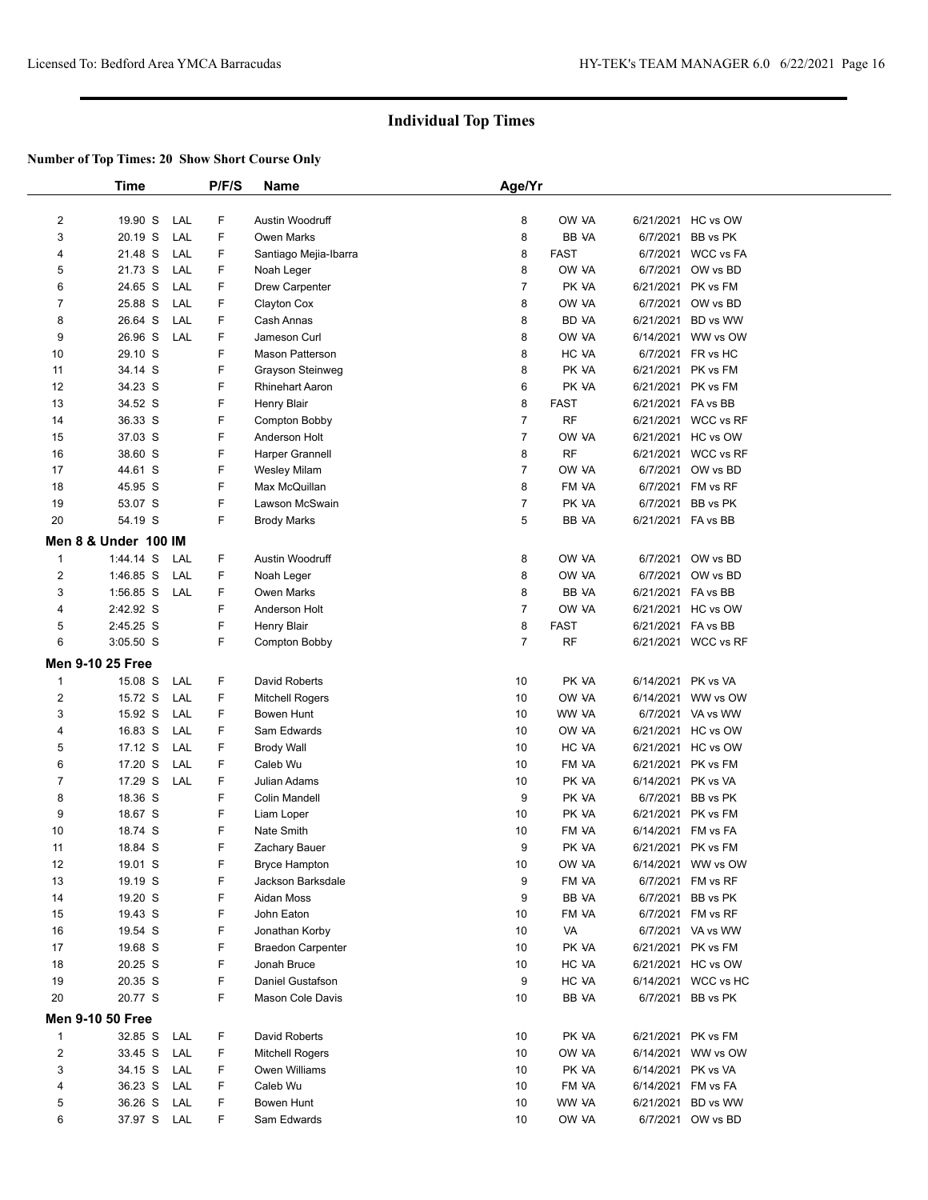|                | <b>Time</b>             |     | P/F/S   | Name                     | Age/Yr         |             |                    |                     |  |
|----------------|-------------------------|-----|---------|--------------------------|----------------|-------------|--------------------|---------------------|--|
|                |                         |     |         |                          |                |             |                    |                     |  |
| $\overline{c}$ | 19.90 S                 | LAL | F       | Austin Woodruff          | 8              | OW VA       |                    | 6/21/2021 HC vs OW  |  |
| 3              | 20.19 S                 | LAL | F       | Owen Marks               | 8              | BB VA       | 6/7/2021           | BB vs PK            |  |
| 4              | 21.48 S                 | LAL | F       | Santiago Mejia-Ibarra    | 8              | <b>FAST</b> | 6/7/2021           | <b>WCC vs FA</b>    |  |
| 5              | 21.73 S                 | LAL | F       | Noah Leger               | 8              | OW VA       | 6/7/2021           | OW vs BD            |  |
| 6              | 24.65 S                 | LAL | F       | Drew Carpenter           | $\overline{7}$ | PK VA       | 6/21/2021          | PK vs FM            |  |
| $\overline{7}$ | 25.88 S                 | LAL | F       | Clayton Cox              | 8              | OW VA       | 6/7/2021           | OW vs BD            |  |
| 8              | 26.64 S                 | LAL | F       | Cash Annas               | 8              | BD VA       | 6/21/2021          | BD vs WW            |  |
| 9              | 26.96 S                 | LAL | F       | Jameson Curl             | 8              | OW VA       | 6/14/2021          | WW vs OW            |  |
| 10             | 29.10 S                 |     | F       | Mason Patterson          | 8              | HC VA       | 6/7/2021           | FR vs HC            |  |
| 11             | 34.14 S                 |     | F       | Grayson Steinweg         | 8              | PK VA       | 6/21/2021          | PK vs FM            |  |
| 12             | 34.23 S                 |     | F       | Rhinehart Aaron          | 6              | PK VA       | 6/21/2021          | PK vs FM            |  |
| 13             | 34.52 S                 |     | F       | Henry Blair              | 8              | <b>FAST</b> | 6/21/2021 FA vs BB |                     |  |
| 14             | 36.33 S                 |     | F       | Compton Bobby            | $\overline{7}$ | <b>RF</b>   |                    | 6/21/2021 WCC vs RF |  |
| 15             | 37.03 S                 |     | F       | Anderson Holt            | $\overline{7}$ | OW VA       |                    | 6/21/2021 HC vs OW  |  |
| 16             | 38.60 S                 |     | F       | Harper Grannell          | 8              | RF          |                    | 6/21/2021 WCC vs RF |  |
| 17             | 44.61 S                 |     | F       | Wesley Milam             | $\overline{7}$ | OW VA       |                    | 6/7/2021 OW vs BD   |  |
| 18             | 45.95 S                 |     | F       | Max McQuillan            | 8              | FM VA       | 6/7/2021           | FM vs RF            |  |
| 19             | 53.07 S                 |     | F       | Lawson McSwain           | $\overline{7}$ | PK VA       | 6/7/2021           | BB vs PK            |  |
| 20             | 54.19 S                 |     | F       | <b>Brody Marks</b>       | 5              | BB VA       | 6/21/2021 FA vs BB |                     |  |
|                | Men 8 & Under 100 IM    |     |         |                          |                |             |                    |                     |  |
| $\mathbf{1}$   | 1:44.14 S               | LAL | F       | Austin Woodruff          | 8              | OW VA       |                    | 6/7/2021 OW vs BD   |  |
| $\overline{2}$ | 1:46.85 S               | LAL | F       | Noah Leger               | 8              | OW VA       | 6/7/2021           | OW vs BD            |  |
| 3              | $1:56.85$ S             | LAL | F       | <b>Owen Marks</b>        | 8              | BB VA       | 6/21/2021 FA vs BB |                     |  |
| 4              | 2:42.92 S               |     | F       | Anderson Holt            | $\overline{7}$ | OW VA       | 6/21/2021          | HC vs OW            |  |
| 5              | 2:45.25 S               |     | F       | Henry Blair              | 8              | <b>FAST</b> | 6/21/2021 FA vs BB |                     |  |
| 6              | $3:05.50$ S             |     | F       | Compton Bobby            | $\overline{7}$ | <b>RF</b>   |                    | 6/21/2021 WCC vs RF |  |
|                | <b>Men 9-10 25 Free</b> |     |         |                          |                |             |                    |                     |  |
| $\mathbf{1}$   | 15.08 S                 | LAL | F       | David Roberts            | 10             | PK VA       | 6/14/2021          | PK vs VA            |  |
| 2              | 15.72 S                 | LAL | F       | <b>Mitchell Rogers</b>   | 10             | OW VA       | 6/14/2021          | WW vs OW            |  |
| 3              | 15.92 S                 | LAL | F       | Bowen Hunt               | 10             | WW VA       |                    | 6/7/2021 VA vs WW   |  |
| 4              | 16.83 S                 | LAL | F       | Sam Edwards              | 10             | OW VA       |                    | 6/21/2021 HC vs OW  |  |
| 5              | 17.12 S                 | LAL | F       | <b>Brody Wall</b>        | 10             | HC VA       |                    | 6/21/2021 HC vs OW  |  |
| 6              | 17.20 S                 | LAL | F       | Caleb Wu                 | 10             | FM VA       | 6/21/2021          | PK vs FM            |  |
| 7              | 17.29 S                 | LAL | F       | Julian Adams             | 10             | PK VA       | 6/14/2021          | PK vs VA            |  |
| 8              | 18.36 S                 |     | F       | <b>Colin Mandell</b>     | 9              | PK VA       | 6/7/2021           | BB vs PK            |  |
| 9              | 18.67 S                 |     | F       | Liam Loper               | 10             | PK VA       | 6/21/2021          | PK vs FM            |  |
| 10             | 18.74 S                 |     | F       | Nate Smith               | 10             | FM VA       | 6/14/2021          | FM vs FA            |  |
| 11             | 18.84 S                 |     | F       | Zachary Bauer            | 9              | PK VA       | 6/21/2021 PK vs FM |                     |  |
| 12             | 19.01 S                 |     | F       | Bryce Hampton            | 10             | OW VA       |                    | 6/14/2021 WW vs OW  |  |
| 13             | 19.19 S                 |     | F       | Jackson Barksdale        | 9              | FM VA       | 6/7/2021           | FM vs RF            |  |
| 14             | 19.20 S                 |     | F       | Aidan Moss               | 9              | BB VA       | 6/7/2021           | BB vs PK            |  |
| 15             | 19.43 S                 |     | F       | John Eaton               | 10             | FM VA       |                    | 6/7/2021 FM vs RF   |  |
| 16             | 19.54 S                 |     | F       | Jonathan Korby           | 10             | VA          |                    | 6/7/2021 VA vs WW   |  |
| 17             | 19.68 S                 |     | F       | <b>Braedon Carpenter</b> | 10             | PK VA       | 6/21/2021 PK vs FM |                     |  |
| 18             | 20.25 S                 |     | F       | Jonah Bruce              | 10             | HC VA       |                    | 6/21/2021 HC vs OW  |  |
| 19             | 20.35 S                 |     | F       | Daniel Gustafson         | 9              | HC VA       |                    | 6/14/2021 WCC vs HC |  |
| 20             | 20.77 S                 |     | F       | Mason Cole Davis         | 10             | BB VA       | 6/7/2021           | BB vs PK            |  |
|                | <b>Men 9-10 50 Free</b> |     |         |                          |                |             |                    |                     |  |
| $\overline{1}$ | 32.85 S                 | LAL | F       | David Roberts            | 10             | PK VA       | 6/21/2021          | PK vs FM            |  |
| $\overline{c}$ | 33.45 S                 | LAL | F       | <b>Mitchell Rogers</b>   | 10             | OW VA       |                    | 6/14/2021 WW vs OW  |  |
| 3              | 34.15 S                 | LAL | F       | Owen Williams            | 10             | PK VA       | 6/14/2021          | PK vs VA            |  |
| 4              | 36.23 S                 | LAL | F       | Caleb Wu                 | 10             | FM VA       | 6/14/2021 FM vs FA |                     |  |
| 5              | 36.26 S                 | LAL | F<br>F. | Bowen Hunt               | 10             | WW VA       | 6/21/2021          | BD vs WW            |  |
| 6              | 37.97 S                 | LAL |         | Sam Edwards              | 10             | OW VA       |                    | 6/7/2021 OW vs BD   |  |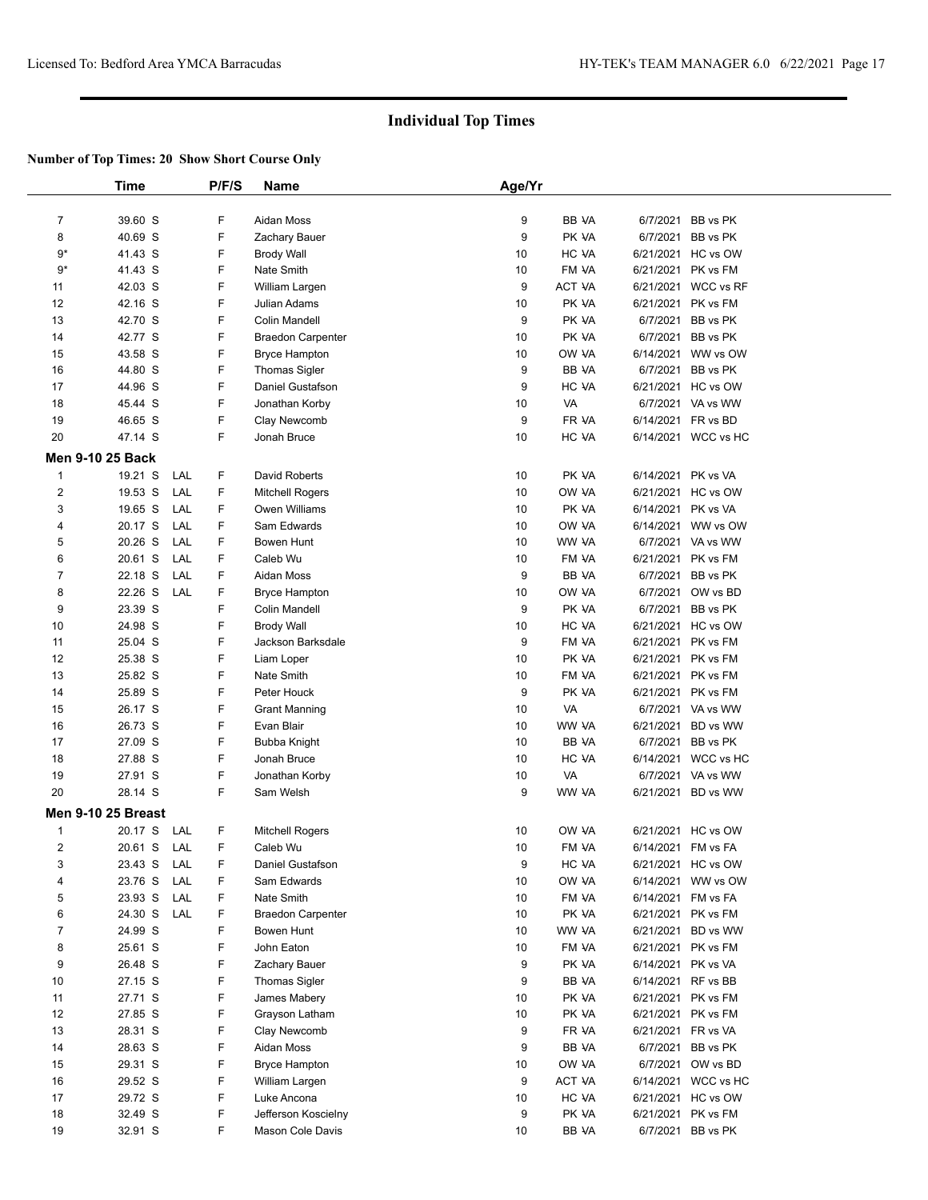|                | <b>Time</b>             | P/F/S           | <b>Name</b>               | Age/Yr   |                |                    |                                          |  |
|----------------|-------------------------|-----------------|---------------------------|----------|----------------|--------------------|------------------------------------------|--|
| $\overline{7}$ | 39.60 S                 | F               | Aidan Moss                | 9        | BB VA          |                    | 6/7/2021 BB vs PK                        |  |
| 8              | 40.69 S                 | F               | Zachary Bauer             | 9        | PK VA          |                    | 6/7/2021 BB vs PK                        |  |
| 9*             | 41.43 S                 | F               | <b>Brody Wall</b>         | 10       | HC VA          |                    | 6/21/2021 HC vs OW                       |  |
| $9*$           | 41.43 S                 | F               | Nate Smith                | 10       | FM VA          |                    | 6/21/2021 PK vs FM                       |  |
| 11             | 42.03 S                 | F               | William Largen            | 9        | ACT VA         |                    | 6/21/2021 WCC vs RF                      |  |
| 12             | 42.16 S                 | F               | Julian Adams              | 10       | PK VA          |                    | 6/21/2021 PK vs FM                       |  |
| 13             | 42.70 S                 | F               | <b>Colin Mandell</b>      | 9        | PK VA          |                    | 6/7/2021 BB vs PK                        |  |
| 14             | 42.77 S                 | F               | <b>Braedon Carpenter</b>  | 10       | PK VA          |                    | 6/7/2021 BB vs PK                        |  |
| 15             | 43.58 S                 | F               | <b>Bryce Hampton</b>      | 10       | OW VA          |                    | 6/14/2021 WW vs OW                       |  |
| 16             | 44.80 S                 | F               | <b>Thomas Sigler</b>      | 9        | BB VA          |                    | 6/7/2021 BB vs PK                        |  |
| 17             | 44.96 S                 | F               | Daniel Gustafson          | 9        | HC VA          |                    | 6/21/2021 HC vs OW                       |  |
| 18             | 45.44 S                 | F               | Jonathan Korby            | 10       | VA             |                    | 6/7/2021 VA vs WW                        |  |
| 19             | 46.65 S                 | F               | Clay Newcomb              | 9        | FR VA          | 6/14/2021 FR vs BD |                                          |  |
| 20             | 47.14 S                 | F               | Jonah Bruce               | 10       | HC VA          |                    | 6/14/2021 WCC vs HC                      |  |
|                | <b>Men 9-10 25 Back</b> |                 |                           |          |                |                    |                                          |  |
| 1              | 19.21 S                 | F<br>LAL        | David Roberts             | 10       | PK VA          | 6/14/2021 PK vs VA |                                          |  |
| 2              | 19.53 S                 | LAL<br>F        | <b>Mitchell Rogers</b>    | 10       | OW VA          |                    | 6/21/2021 HC vs OW                       |  |
| 3              | 19.65 S                 | LAL<br>F        | Owen Williams             | 10       | PK VA          | 6/14/2021 PK vs VA |                                          |  |
| 4              | 20.17 S                 | F.<br>LAL       | Sam Edwards               | 10       | OW VA          |                    | 6/14/2021 WW vs OW                       |  |
| 5              | 20.26 S                 | F<br>LAL        | Bowen Hunt                | 10       | WW VA          |                    | 6/7/2021 VA vs WW                        |  |
| 6              | 20.61 S                 | F.<br>LAL       | Caleb Wu                  | 10       | FM VA          |                    | 6/21/2021 PK vs FM                       |  |
| 7              | 22.18 S                 | F.<br>LAL       | Aidan Moss                | 9        | BB VA          |                    | 6/7/2021 BB vs PK                        |  |
| 8              | 22.26 S                 | F<br>LAL        | <b>Bryce Hampton</b>      | 10       | OW VA          |                    | 6/7/2021 OW vs BD                        |  |
| 9              | 23.39 S                 | F               | Colin Mandell             | 9        | PK VA          |                    | 6/7/2021 BB vs PK                        |  |
| 10             | 24.98 S                 | F               | <b>Brody Wall</b>         | 10       | HC VA          |                    | 6/21/2021 HC vs OW                       |  |
| 11             | 25.04 S                 | F               | Jackson Barksdale         | 9        | FM VA          |                    | 6/21/2021 PK vs FM                       |  |
| 12             | 25.38 S                 | F               | Liam Loper                | 10       | PK VA          |                    | 6/21/2021 PK vs FM                       |  |
| 13             | 25.82 S                 | F               | Nate Smith                | 10       | FM VA          |                    | 6/21/2021 PK vs FM                       |  |
| 14             | 25.89 S                 | F               | Peter Houck               | 9        | PK VA          |                    | 6/21/2021 PK vs FM                       |  |
| 15             | 26.17 S                 | F               | <b>Grant Manning</b>      | 10       | VA             |                    | 6/7/2021 VA vs WW                        |  |
| 16             | 26.73 S                 | F               | Evan Blair                | 10       | WW VA          |                    | 6/21/2021 BD vs WW                       |  |
| 17             | 27.09 S                 | F               | <b>Bubba Knight</b>       | 10       | BB VA          |                    | 6/7/2021 BB vs PK                        |  |
| 18             | 27.88 S                 | F               | Jonah Bruce               | 10       | HC VA          |                    | 6/14/2021 WCC vs HC                      |  |
| 19             | 27.91 S                 | F               | Jonathan Korby            | 10       | VA             |                    | 6/7/2021 VA vs WW                        |  |
| 20             | 28.14 S                 | F               | Sam Welsh                 | 9        | WW VA          |                    | 6/21/2021 BD vs WW                       |  |
|                | Men 9-10 25 Breast      |                 |                           |          |                |                    |                                          |  |
| 1              | 20.17 S                 | LAL<br>F        | <b>Mitchell Rogers</b>    | 10       | OW VA          |                    | 6/21/2021 HC vs OW                       |  |
| 2              | 20.61 S                 | F<br>LAL        | Caleb Wu                  | 10       | FM VA          | 6/14/2021 FM vs FA |                                          |  |
| 3<br>4         | 23.43 S                 | LAL<br>F<br>F   | Daniel Gustafson          | 9        | HC VA          |                    | 6/21/2021 HC vs OW                       |  |
| 5              | 23.76 S<br>23.93 S      | LAL<br>LAL<br>F | Sam Edwards<br>Nate Smith | 10<br>10 | OW VA<br>FM VA |                    | 6/14/2021 WW vs OW<br>6/14/2021 FM vs FA |  |
| 6              | 24.30 S                 | F.<br>LAL       | <b>Braedon Carpenter</b>  | 10       | PK VA          |                    | 6/21/2021 PK vs FM                       |  |
| $\overline{7}$ | 24.99 S                 | F               | Bowen Hunt                | 10       | WW VA          |                    | 6/21/2021 BD vs WW                       |  |
| 8              | 25.61 S                 | F               | John Eaton                | 10       | FM VA          |                    | 6/21/2021 PK vs FM                       |  |
| 9              | 26.48 S                 | F               | Zachary Bauer             | 9        | PK VA          | 6/14/2021 PK vs VA |                                          |  |
| 10             | 27.15 S                 | F               | Thomas Sigler             | 9        | BB VA          | 6/14/2021 RF vs BB |                                          |  |
| 11             | 27.71 S                 | F               | James Mabery              | 10       | PK VA          |                    | 6/21/2021 PK vs FM                       |  |
| 12             | 27.85 S                 | F               | Grayson Latham            | 10       | PK VA          |                    | 6/21/2021 PK vs FM                       |  |
| 13             | 28.31 S                 | F               | Clay Newcomb              | 9        | FR VA          | 6/21/2021 FR vs VA |                                          |  |
| 14             | 28.63 S                 | F               | Aidan Moss                | 9        | BB VA          |                    | 6/7/2021 BB vs PK                        |  |
| 15             | 29.31 S                 | F               | <b>Bryce Hampton</b>      | 10       | OW VA          |                    | 6/7/2021 OW vs BD                        |  |
| 16             | 29.52 S                 | F               | William Largen            | 9        | ACT VA         |                    | 6/14/2021 WCC vs HC                      |  |
| 17             | 29.72 S                 | F               | Luke Ancona               | 10       | HC VA          |                    | 6/21/2021 HC vs OW                       |  |
| 18             | 32.49 S                 | F               | Jefferson Koscielny       | 9        | PK VA          |                    | 6/21/2021 PK vs FM                       |  |
| 19             | 32.91 S                 | F               | Mason Cole Davis          | 10       | BB VA          |                    | 6/7/2021 BB vs PK                        |  |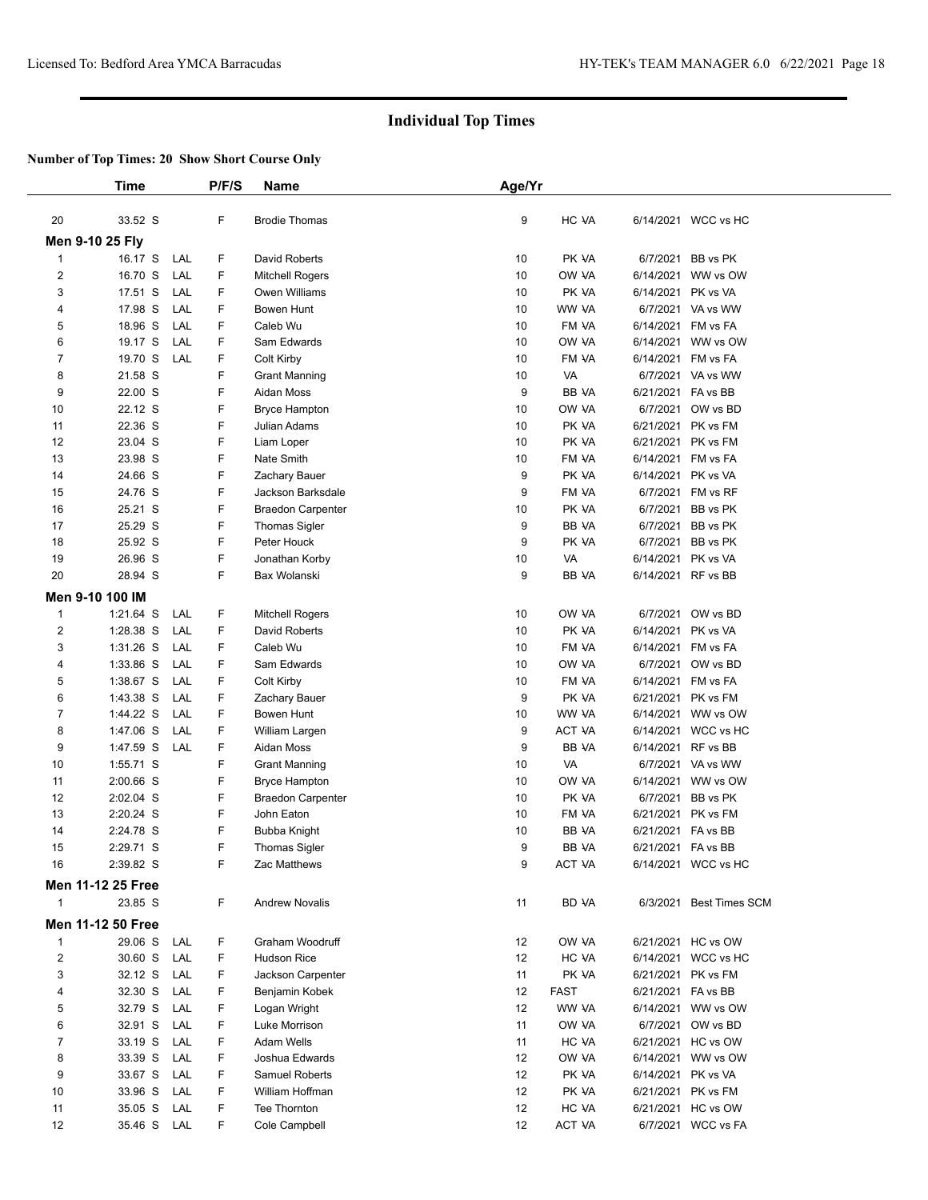|                         | Time                     |     | P/F/S  | <b>Name</b>              | Age/Yr   |                |                                          |                         |  |
|-------------------------|--------------------------|-----|--------|--------------------------|----------|----------------|------------------------------------------|-------------------------|--|
|                         |                          |     |        |                          |          |                |                                          |                         |  |
| 20                      | 33.52 S                  |     | F      | <b>Brodie Thomas</b>     | 9        | HC VA          |                                          | 6/14/2021 WCC vs HC     |  |
|                         | Men 9-10 25 Fly          |     |        |                          |          |                |                                          |                         |  |
| 1                       | 16.17 S                  | LAL | F.     | David Roberts            | 10       | PK VA          |                                          | 6/7/2021 BB vs PK       |  |
| $\overline{\mathbf{c}}$ | 16.70 S                  | LAL | F      | <b>Mitchell Rogers</b>   | 10       | OW VA          |                                          | 6/14/2021 WW vs OW      |  |
| 3                       | 17.51 S                  | LAL | F      | Owen Williams            | 10       | PK VA          | 6/14/2021 PK vs VA                       |                         |  |
| 4                       | 17.98 S                  | LAL | F      | Bowen Hunt               | 10       | WW VA          |                                          | 6/7/2021 VA vs WW       |  |
| 5                       | 18.96 S                  | LAL | F      | Caleb Wu                 | 10       | FM VA          | 6/14/2021 FM vs FA                       |                         |  |
| 6                       | 19.17 S                  | LAL | F      | Sam Edwards              | 10       | OW VA          | 6/14/2021                                | WW vs OW                |  |
| $\overline{7}$          | 19.70 S                  | LAL | F      | Colt Kirby               | 10       | FM VA          | 6/14/2021 FM vs FA                       |                         |  |
| 8                       | 21.58 S                  |     | F      | <b>Grant Manning</b>     | 10       | VA             |                                          | 6/7/2021 VA vs WW       |  |
| 9                       | 22.00 S                  |     | F      | Aidan Moss               | 9        | BB VA          | 6/21/2021 FA vs BB                       |                         |  |
| 10                      | 22.12 S<br>22.36 S       |     | F<br>F | <b>Bryce Hampton</b>     | 10       | OW VA          | 6/7/2021                                 | OW vs BD                |  |
| 11                      | 23.04 S                  |     | F      | Julian Adams             | 10       | PK VA          | 6/21/2021 PK vs FM                       |                         |  |
| 12<br>13                | 23.98 S                  |     | F      | Liam Loper<br>Nate Smith | 10<br>10 | PK VA<br>FM VA | 6/21/2021 PK vs FM<br>6/14/2021 FM vs FA |                         |  |
| 14                      | 24.66 S                  |     | F      | Zachary Bauer            | 9        | PK VA          |                                          | 6/14/2021 PK vs VA      |  |
| 15                      | 24.76 S                  |     | F      | <b>Jackson Barksdale</b> | 9        | FM VA          |                                          | 6/7/2021 FM vs RF       |  |
| 16                      | 25.21 S                  |     | F      | <b>Braedon Carpenter</b> | 10       | PK VA          |                                          | 6/7/2021 BB vs PK       |  |
| 17                      | 25.29 S                  |     | F      | <b>Thomas Sigler</b>     | 9        | BB VA          |                                          | 6/7/2021 BB vs PK       |  |
| 18                      | 25.92 S                  |     | F      | Peter Houck              | 9        | PK VA          |                                          | 6/7/2021 BB vs PK       |  |
| 19                      | 26.96 S                  |     | F      | Jonathan Korby           | 10       | VA             | 6/14/2021 PK vs VA                       |                         |  |
| 20                      | 28.94 S                  |     | F      | Bax Wolanski             | 9        | BB VA          |                                          | 6/14/2021 RF vs BB      |  |
|                         | Men 9-10 100 IM          |     |        |                          |          |                |                                          |                         |  |
| $\mathbf{1}$            | $1:21.64$ S              | LAL | F.     | <b>Mitchell Rogers</b>   | 10       | OW VA          |                                          | 6/7/2021 OW vs BD       |  |
| 2                       | 1:28.38 S                | LAL | F.     | David Roberts            | 10       | PK VA          | 6/14/2021 PK vs VA                       |                         |  |
| 3                       | $1:31.26$ S              | LAL | F      | Caleb Wu                 | 10       | FM VA          | 6/14/2021 FM vs FA                       |                         |  |
| 4                       | 1:33.86 S                | LAL | F.     | Sam Edwards              | 10       | OW VA          |                                          | 6/7/2021 OW vs BD       |  |
| 5                       | 1:38.67 S                | LAL | F      | Colt Kirby               | 10       | FM VA          | 6/14/2021 FM vs FA                       |                         |  |
| 6                       | 1:43.38 S                | LAL | F      | Zachary Bauer            | 9        | PK VA          | 6/21/2021 PK vs FM                       |                         |  |
| $\overline{7}$          | 1:44.22 S                | LAL | F.     | Bowen Hunt               | 10       | WW VA          |                                          | 6/14/2021 WW vs OW      |  |
| 8                       | 1:47.06 S                | LAL | F      | William Largen           | 9        | <b>ACT VA</b>  |                                          | 6/14/2021 WCC vs HC     |  |
| 9                       | 1:47.59 S                | LAL | F      | Aidan Moss               | 9        | BB VA          | 6/14/2021 RF vs BB                       |                         |  |
| 10                      | 1:55.71 S                |     | F      | <b>Grant Manning</b>     | 10       | VA             |                                          | 6/7/2021 VA vs WW       |  |
| 11                      | 2:00.66 S                |     | F      | Bryce Hampton            | 10       | OW VA          | 6/14/2021                                | WW vs OW                |  |
| 12                      | 2:02.04 S                |     | F      | <b>Braedon Carpenter</b> | 10       | PK VA          |                                          | 6/7/2021 BB vs PK       |  |
| 13                      | 2:20.24 S                |     | F      | John Eaton               | 10       | FM VA          | 6/21/2021 PK vs FM                       |                         |  |
| 14                      | 2:24.78 S                |     | F      | <b>Bubba Knight</b>      | 10       | BB VA          | 6/21/2021 FA vs BB                       |                         |  |
| 15                      | 2:29.71 S                |     | F      | <b>Thomas Sigler</b>     | 9        | <b>BB VA</b>   | 6/21/2021 FA vs BB                       |                         |  |
| 16                      | 2:39.82 S                |     | F      | Zac Matthews             | 9        | ACT VA         |                                          | 6/14/2021 WCC vs HC     |  |
|                         | <b>Men 11-12 25 Free</b> |     |        |                          |          |                |                                          |                         |  |
| 1                       | 23.85 S                  |     | F.     | <b>Andrew Novalis</b>    | 11       | BD VA          |                                          | 6/3/2021 Best Times SCM |  |
|                         | Men 11-12 50 Free        |     |        |                          |          |                |                                          |                         |  |
| $\mathbf{1}$            | 29.06 S                  | LAL | F.     | Graham Woodruff          | 12       | OW VA          |                                          | 6/21/2021 HC vs OW      |  |
| 2                       | 30.60 S                  | LAL | F.     | <b>Hudson Rice</b>       | 12       | HC VA          |                                          | 6/14/2021 WCC vs HC     |  |
| 3                       | 32.12 S                  | LAL | F      | Jackson Carpenter        | 11       | PK VA          |                                          | 6/21/2021 PK vs FM      |  |
| 4                       | 32.30 S                  | LAL | F.     | Benjamin Kobek           | 12       | <b>FAST</b>    | 6/21/2021 FA vs BB                       |                         |  |
| 5                       | 32.79 S                  | LAL | F      | Logan Wright             | 12       | WW VA          |                                          | 6/14/2021 WW vs OW      |  |
| 6                       | 32.91 S                  | LAL | F      | Luke Morrison            | 11       | OW VA          |                                          | 6/7/2021 OW vs BD       |  |
| $\overline{7}$          | 33.19 S                  | LAL | F.     | Adam Wells               | 11       | HC VA          |                                          | 6/21/2021 HC vs OW      |  |
| 8                       | 33.39 S                  | LAL | F.     | Joshua Edwards           | 12       | OW VA          |                                          | 6/14/2021 WW vs OW      |  |
| 9                       | 33.67 S                  | LAL | F      | Samuel Roberts           | 12       | PK VA          | 6/14/2021 PK vs VA                       |                         |  |
| 10                      | 33.96 S                  | LAL | F.     | William Hoffman          | 12       | PK VA          |                                          | 6/21/2021 PK vs FM      |  |
| 11                      | 35.05 S                  | LAL | F.     | Tee Thornton             | 12       | HC VA          |                                          | 6/21/2021 HC vs OW      |  |
| 12                      | 35.46 S LAL              |     | F.     | Cole Campbell            | 12       | ACT VA         |                                          | 6/7/2021 WCC vs FA      |  |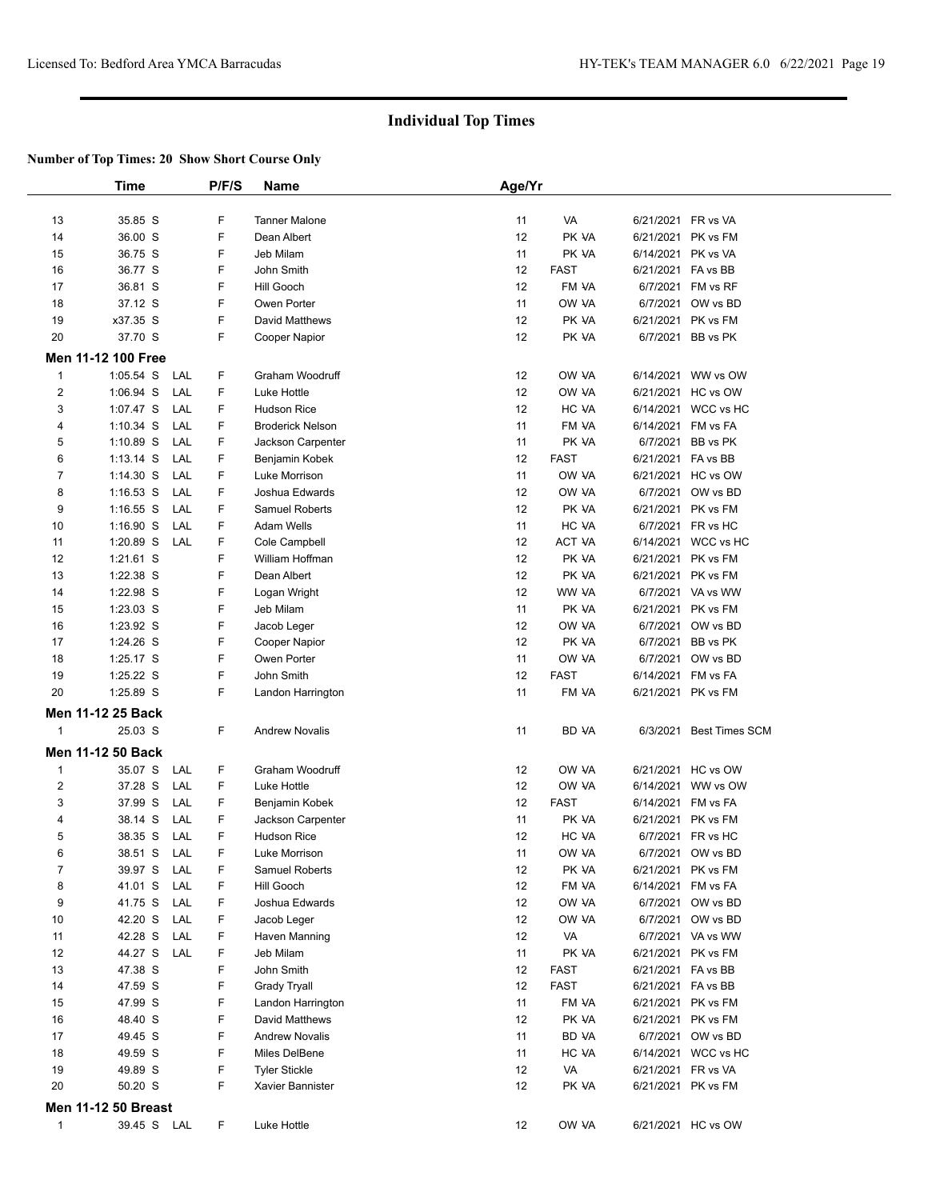|                | Time                       | P/F/S  | <b>Name</b>                              | Age/Yr   |                      |                       |                                          |
|----------------|----------------------------|--------|------------------------------------------|----------|----------------------|-----------------------|------------------------------------------|
|                |                            |        |                                          |          |                      |                       |                                          |
| 13             | 35.85 S                    | F      | <b>Tanner Malone</b>                     | 11       | VA                   |                       | 6/21/2021 FR vs VA                       |
| 14             | 36.00 S                    | F      | Dean Albert                              | 12       | PK VA                |                       | 6/21/2021 PK vs FM                       |
| 15             | 36.75 S                    | F      | Jeb Milam                                | 11       | PK VA                |                       | 6/14/2021 PK vs VA                       |
| 16             | 36.77 S                    | F      | John Smith                               | 12       | <b>FAST</b>          |                       | 6/21/2021 FA vs BB                       |
| 17             | 36.81 S                    | F      | Hill Gooch                               | 12       | FM VA                | 6/7/2021              | FM vs RF                                 |
| 18             | 37.12 S                    | F      | Owen Porter                              | 11       | OW VA                | 6/7/2021              | OW vs BD                                 |
| 19             | x37.35 S                   | F      | David Matthews                           | 12       | PK VA                | 6/21/2021             | PK vs FM                                 |
| 20             | 37.70 S                    | F      | <b>Cooper Napior</b>                     | 12       | PK VA                |                       | 6/7/2021 BB vs PK                        |
|                | Men 11-12 100 Free         |        |                                          |          |                      |                       |                                          |
| $\mathbf{1}$   | 1:05.54 S<br>LAL           | F      | Graham Woodruff                          | 12       | OW VA                |                       | 6/14/2021 WW vs OW                       |
| $\overline{2}$ | 1:06.94 S<br>LAL           | F      | Luke Hottle                              | 12       | OW VA                |                       | 6/21/2021 HC vs OW                       |
| 3              | LAL<br>1:07.47 S           | F      | <b>Hudson Rice</b>                       | 12       | HC VA                |                       | 6/14/2021 WCC vs HC                      |
| 4              | $1:10.34$ S<br>LAL         | F      | <b>Broderick Nelson</b>                  | 11       | FM VA                |                       | 6/14/2021 FM vs FA                       |
| 5              | 1:10.89 S<br>LAL           | F      | Jackson Carpenter                        | 11       | PK VA                | 6/7/2021              | BB vs PK                                 |
| 6              | LAL<br>$1:13.14$ S         | F      | Benjamin Kobek                           | 12       | <b>FAST</b>          |                       | 6/21/2021 FA vs BB                       |
| $\overline{7}$ | $1:14.30$ S<br>LAL         | F      | Luke Morrison                            | 11       | OW VA                |                       | 6/21/2021 HC vs OW                       |
| 8              | $1:16.53$ S<br>LAL         | F      | Joshua Edwards                           | 12       | OW VA                |                       | 6/7/2021 OW vs BD                        |
| 9              | LAL<br>$1:16.55$ S         | F      | Samuel Roberts                           | 12       | PK VA                |                       | 6/21/2021 PK vs FM                       |
| 10             | $1:16.90$ S<br>LAL         | F      | Adam Wells                               | 11       | HC VA                |                       | 6/7/2021 FR vs HC                        |
| 11             | 1:20.89 S<br>LAL           | F      | Cole Campbell                            | 12       | ACT VA               | 6/14/2021             | WCC vs HC                                |
| 12             | 1:21.61 S                  | F      | William Hoffman                          | 12       | PK VA                | 6/21/2021             | PK vs FM                                 |
| 13             | 1:22.38 S                  | F      | Dean Albert                              | 12       | PK VA                |                       | 6/21/2021 PK vs FM                       |
| 14             | 1:22.98 S                  | F      | Logan Wright                             | 12       | WW VA                |                       | 6/7/2021 VA vs WW                        |
| 15             | 1:23.03 S                  | F      | Jeb Milam                                | 11       | PK VA                |                       | 6/21/2021 PK vs FM                       |
| 16             | 1:23.92 S                  | F      | Jacob Leger                              | 12       | OW VA                | 6/7/2021              | OW vs BD                                 |
| 17             | 1:24.26 S                  | F      | Cooper Napior                            | 12       | PK VA                | 6/7/2021              | BB vs PK                                 |
| 18<br>19       | 1:25.17 S<br>1:25.22 S     | F<br>F | Owen Porter<br>John Smith                | 11<br>12 | OW VA<br><b>FAST</b> | 6/7/2021<br>6/14/2021 | OW vs BD<br>FM vs FA                     |
| 20             | 1:25.89 S                  | F      | Landon Harrington                        | 11       | FM VA                |                       | 6/21/2021 PK vs FM                       |
|                |                            |        |                                          |          |                      |                       |                                          |
|                | Men 11-12 25 Back          |        |                                          |          |                      |                       |                                          |
| $\mathbf 1$    | 25.03 S                    | F.     | <b>Andrew Novalis</b>                    | 11       | BD VA                | 6/3/2021              | <b>Best Times SCM</b>                    |
|                | Men 11-12 50 Back          |        |                                          |          |                      |                       |                                          |
| $\mathbf{1}$   | 35.07 S<br>LAL             | F      | Graham Woodruff                          | 12       | OW VA                | 6/21/2021             | HC vs OW                                 |
| $\overline{2}$ | 37.28 S<br>LAL             | F      | Luke Hottle                              | 12       | OW VA                | 6/14/2021             | WW vs OW                                 |
| 3              | 37.99 S<br>LAL             | F      | Benjamin Kobek                           | 12       | <b>FAST</b>          | 6/14/2021             | FM vs FA                                 |
| 4              | 38.14 S<br>LAL             | F      | Jackson Carpenter                        | 11       | PK VA                | 6/21/2021             | PK vs FM                                 |
| 5              | LAL<br>38.35 S             | F      | <b>Hudson Rice</b>                       | 12       | HC VA                | 6/7/2021              | FR vs HC                                 |
| 6              | 38.51 S<br>LAL             | F      | Luke Morrison                            | 11       | OW VA                |                       | 6/7/2021 OW vs BD                        |
| $\overline{7}$ | 39.97 S<br>LAL             | F      | Samuel Roberts                           | 12       | PK VA                |                       | 6/21/2021 PK vs FM                       |
| 8              | 41.01 S<br>LAL             | F      | Hill Gooch                               | 12       | FM VA                |                       | 6/14/2021 FM vs FA                       |
| 9              | 41.75 S<br>LAL             | F      | Joshua Edwards                           | 12       | ow ya                |                       | 6/7/2021 OW vs BD                        |
| 10             | 42.20 S<br>LAL             | F      | Jacob Leger                              | 12       | OW VA                |                       | 6/7/2021 OW vs BD                        |
| 11<br>12       | 42.28 S<br>LAL<br>LAL      | F<br>F | Haven Manning                            | 12<br>11 | VA                   |                       | 6/7/2021 VA vs WW                        |
|                | 44.27 S                    | F      | Jeb Milam<br>John Smith                  |          | PK VA                |                       | 6/21/2021 PK vs FM                       |
| 13<br>14       | 47.38 S<br>47.59 S         | F      |                                          | 12<br>12 | <b>FAST</b><br>FAST  |                       | 6/21/2021 FA vs BB<br>6/21/2021 FA vs BB |
| 15             | 47.99 S                    | F      | <b>Grady Tryall</b><br>Landon Harrington | 11       | FM VA                |                       | 6/21/2021 PK vs FM                       |
| 16             | 48.40 S                    | F      | David Matthews                           | 12       | PK VA                |                       | 6/21/2021 PK vs FM                       |
| 17             | 49.45 S                    | F      | <b>Andrew Novalis</b>                    | 11       | BD VA                |                       | 6/7/2021 OW vs BD                        |
| 18             | 49.59 S                    | F      | Miles DelBene                            | 11       | HC VA                |                       | 6/14/2021 WCC vs HC                      |
| 19             | 49.89 S                    | F      | <b>Tyler Stickle</b>                     | 12       | VA                   |                       | 6/21/2021 FR vs VA                       |
| 20             | 50.20 S                    | F      | Xavier Bannister                         | 12       | PK VA                |                       | 6/21/2021 PK vs FM                       |
|                | <b>Men 11-12 50 Breast</b> |        |                                          |          |                      |                       |                                          |
| $\mathbf{1}$   | 39.45 S LAL                | F.     | Luke Hottle                              | 12       | OW VA                |                       | 6/21/2021 HC vs OW                       |
|                |                            |        |                                          |          |                      |                       |                                          |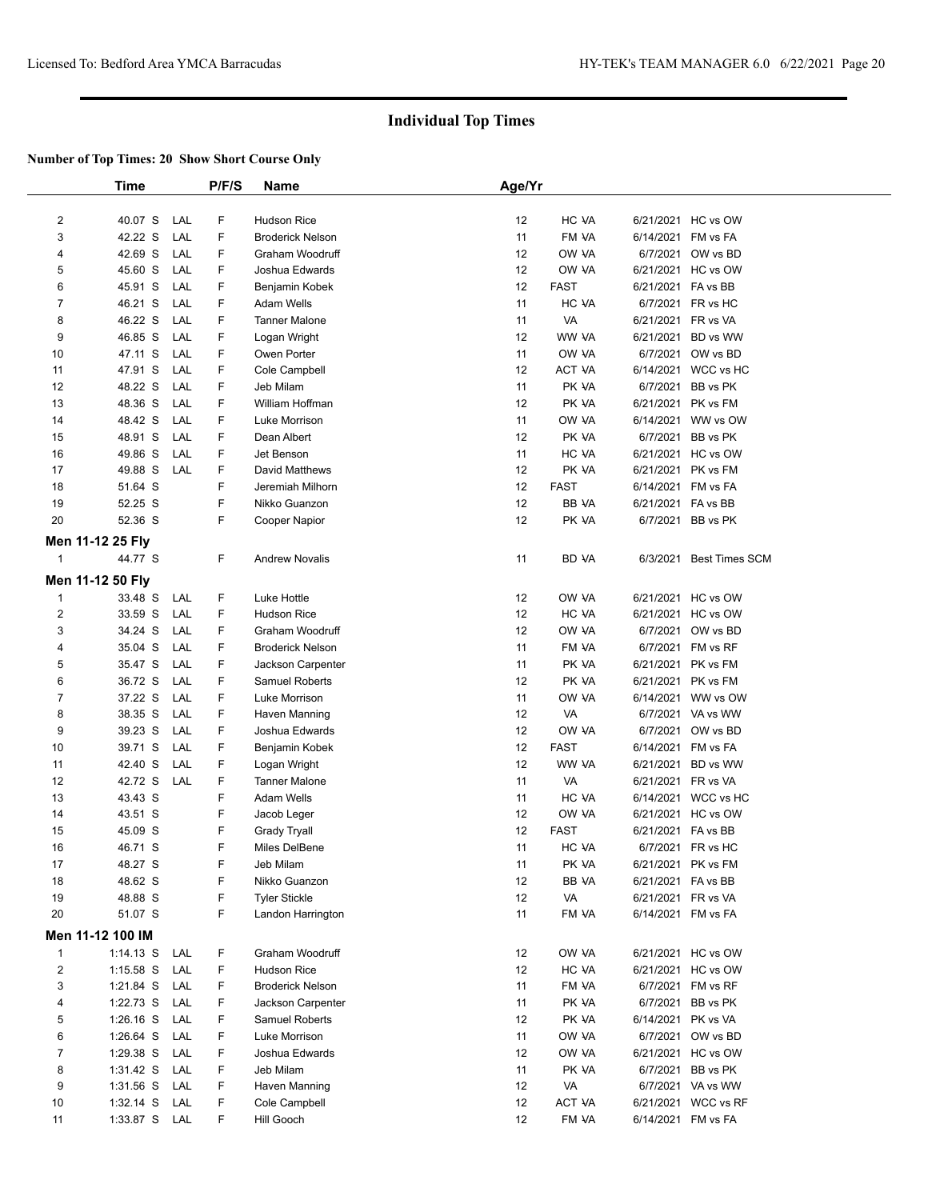|                | <b>Time</b>      |     | P/F/S | Name                    | Age/Yr |             |                    |                         |
|----------------|------------------|-----|-------|-------------------------|--------|-------------|--------------------|-------------------------|
|                |                  |     |       |                         |        |             |                    |                         |
| 2              | 40.07 S          | LAL | F     | Hudson Rice             | 12     | HC VA       |                    | 6/21/2021 HC vs OW      |
| 3              | 42.22 S          | LAL | F     | <b>Broderick Nelson</b> | 11     | FM VA       |                    | 6/14/2021 FM vs FA      |
| 4              | 42.69 S          | LAL | F     | Graham Woodruff         | 12     | OW VA       |                    | 6/7/2021 OW vs BD       |
| 5              | 45.60 S          | LAL | F     | Joshua Edwards          | 12     | OW VA       |                    | 6/21/2021 HC vs OW      |
| 6              | 45.91 S          | LAL | F     | Benjamin Kobek          | 12     | <b>FAST</b> | 6/21/2021 FA vs BB |                         |
| 7              | 46.21 S          | LAL | F     | Adam Wells              | 11     | HC VA       |                    | 6/7/2021 FR vs HC       |
| 8              | 46.22 S          | LAL | F     | <b>Tanner Malone</b>    | 11     | VA          |                    | 6/21/2021 FR vs VA      |
| 9              | 46.85 S          | LAL | F     | Logan Wright            | 12     | WW VA       |                    | 6/21/2021 BD vs WW      |
| 10             | 47.11 S          | LAL | F     | Owen Porter             | 11     | OW VA       |                    | 6/7/2021 OW vs BD       |
| 11             | 47.91 S          | LAL | F     | Cole Campbell           | 12     | ACT VA      |                    | 6/14/2021 WCC vs HC     |
| 12             | 48.22 S          | LAL | F     | Jeb Milam               | 11     | PK VA       |                    | 6/7/2021 BB vs PK       |
| 13             | 48.36 S          | LAL | F     | William Hoffman         | 12     | PK VA       |                    | 6/21/2021 PK vs FM      |
| 14             | 48.42 S          | LAL | F     | Luke Morrison           | 11     | OW VA       |                    | 6/14/2021 WW vs OW      |
| 15             | 48.91 S          | LAL | F     | Dean Albert             | 12     | PK VA       |                    | 6/7/2021 BB vs PK       |
| 16             | 49.86 S          | LAL | F     | Jet Benson              | 11     | HC VA       |                    | 6/21/2021 HC vs OW      |
| 17             | 49.88 S          | LAL | F     | David Matthews          | 12     | PK VA       |                    | 6/21/2021 PK vs FM      |
| 18             | 51.64 S          |     | F     | Jeremiah Milhorn        | 12     | <b>FAST</b> |                    | 6/14/2021 FM vs FA      |
| 19             | 52.25 S          |     | F     | Nikko Guanzon           | 12     | BB VA       | 6/21/2021 FA vs BB |                         |
| 20             | 52.36 S          |     | F     | Cooper Napior           | 12     | PK VA       |                    | 6/7/2021 BB vs PK       |
|                | Men 11-12 25 Fly |     |       |                         |        |             |                    |                         |
| $\mathbf{1}$   | 44.77 S          |     | F     | <b>Andrew Novalis</b>   | 11     | BD VA       |                    | 6/3/2021 Best Times SCM |
|                | Men 11-12 50 Fly |     |       |                         |        |             |                    |                         |
| $\mathbf{1}$   | 33.48 S          | LAL | F     | Luke Hottle             | 12     | OW VA       |                    | 6/21/2021 HC vs OW      |
| $\overline{2}$ | 33.59 S          | LAL | F     | <b>Hudson Rice</b>      | 12     | HC VA       |                    | 6/21/2021 HC vs OW      |
| 3              | 34.24 S          | LAL | F     | Graham Woodruff         | 12     | ow ya       |                    | 6/7/2021 OW vs BD       |
| 4              | 35.04 S          | LAL | F     | <b>Broderick Nelson</b> | 11     | FM VA       |                    | 6/7/2021 FM vs RF       |
| 5              | 35.47 S          | LAL | F     | Jackson Carpenter       | 11     | PK VA       |                    | 6/21/2021 PK vs FM      |
| 6              | 36.72 S          | LAL | F     | Samuel Roberts          | 12     | PK VA       |                    | 6/21/2021 PK vs FM      |
| $\overline{7}$ | 37.22 S          | LAL | F     | Luke Morrison           | 11     | OW VA       |                    | 6/14/2021 WW vs OW      |
| 8              | 38.35 S          | LAL | F     | Haven Manning           | 12     | VA          |                    | 6/7/2021 VA vs WW       |
| 9              | 39.23 S          | LAL | F     | Joshua Edwards          | 12     | ow ya       |                    | 6/7/2021 OW vs BD       |
| 10             | 39.71 S          | LAL | F     | Benjamin Kobek          | 12     | <b>FAST</b> |                    | 6/14/2021 FM vs FA      |
| 11             | 42.40 S          | LAL | F     | Logan Wright            | 12     | WW VA       |                    | 6/21/2021 BD vs WW      |
| 12             | 42.72 S          | LAL | F     | <b>Tanner Malone</b>    | 11     | VA          |                    | 6/21/2021 FR vs VA      |
| 13             | 43.43 S          |     | F     | Adam Wells              | 11     | HC VA       |                    | 6/14/2021 WCC vs HC     |
| 14             | 43.51 S          |     | F     | Jacob Leger             | 12     | OW VA       |                    | 6/21/2021 HC vs OW      |
| 15             | 45.09 S          |     | F     | <b>Grady Tryall</b>     | 12     | <b>FAST</b> | 6/21/2021 FA vs BB |                         |
| 16             | 46.71 S          |     | F     | Miles DelBene           | 11     | HC VA       |                    | 6/7/2021 FR vs HC       |
| 17             | 48.27 S          |     | F     | Jeb Milam               | 11     | PK VA       |                    | 6/21/2021 PK vs FM      |
| 18             | 48.62 S          |     | F     | Nikko Guanzon           | 12     | BB VA       | 6/21/2021 FA vs BB |                         |
| 19             | 48.88 S          |     | F     | <b>Tyler Stickle</b>    | 12     | VA          |                    | 6/21/2021 FR vs VA      |
| 20             | 51.07 S          |     | F     | Landon Harrington       | 11     | FM VA       |                    | 6/14/2021 FM vs FA      |
|                | Men 11-12 100 IM |     |       |                         |        |             |                    |                         |
| $\mathbf{1}$   | $1:14.13$ S      | LAL | F     | Graham Woodruff         | 12     | OW VA       |                    | 6/21/2021 HC vs OW      |
| $\overline{2}$ | $1:15.58$ S      | LAL | F     | <b>Hudson Rice</b>      | 12     | HC VA       |                    | 6/21/2021 HC vs OW      |
| 3              | $1:21.84$ S      | LAL | F     | <b>Broderick Nelson</b> | 11     | FM VA       |                    | 6/7/2021 FM vs RF       |
| 4              | 1:22.73 S        | LAL | F     | Jackson Carpenter       | 11     | PK VA       |                    | 6/7/2021 BB vs PK       |
| 5              | $1:26.16$ S      | LAL | F     | <b>Samuel Roberts</b>   | 12     | PK VA       |                    | 6/14/2021 PK vs VA      |
| 6              | 1:26.64 S        | LAL | F     | Luke Morrison           | 11     | OW VA       |                    | 6/7/2021 OW vs BD       |
| 7              | 1:29.38 S        | LAL | F     | Joshua Edwards          | 12     | OW VA       |                    | 6/21/2021 HC vs OW      |
| 8              | 1:31.42 S LAL    |     | F     | Jeb Milam               | 11     | PK VA       |                    | 6/7/2021 BB vs PK       |
| 9              | $1:31.56$ S      | LAL | F     | Haven Manning           | 12     | VA          |                    | 6/7/2021 VA vs WW       |
| 10             | $1:32.14$ S      | LAL | F     | Cole Campbell           | 12     | ACT VA      |                    | 6/21/2021 WCC vs RF     |
| 11             | 1:33.87 S LAL    |     | F     | Hill Gooch              | 12     | FM VA       |                    | 6/14/2021 FM vs FA      |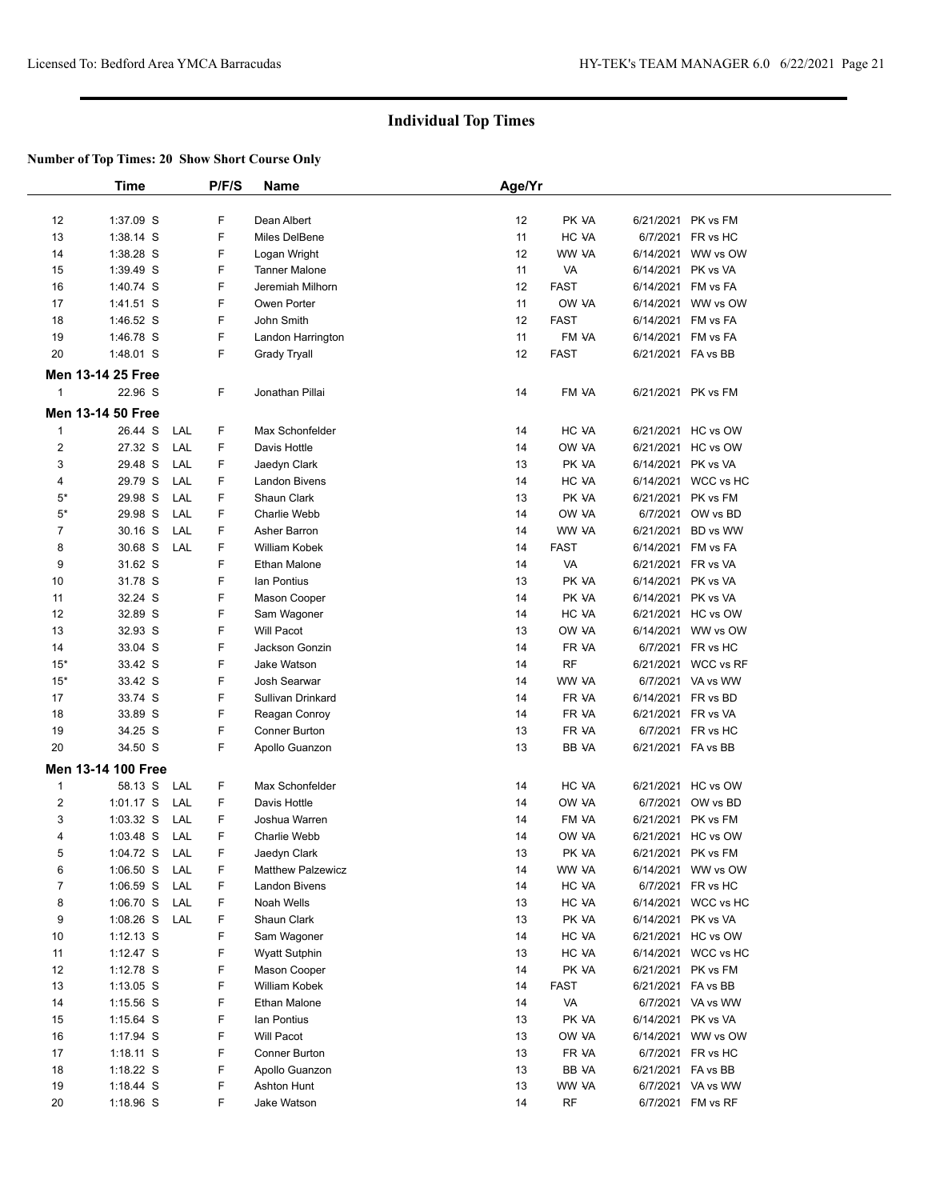|       | <b>Time</b>              |     | P/F/S | Name                     | Age/Yr |             |           |                     |  |
|-------|--------------------------|-----|-------|--------------------------|--------|-------------|-----------|---------------------|--|
| 12    | 1:37.09 S                |     | F     | Dean Albert              | 12     | PK VA       |           | 6/21/2021 PK vs FM  |  |
| 13    | 1:38.14 S                |     | F     | Miles DelBene            | 11     | HC VA       |           | 6/7/2021 FR vs HC   |  |
| 14    | 1:38.28 S                |     | F     | Logan Wright             | 12     | WW VA       |           | 6/14/2021 WW vs OW  |  |
| 15    | 1:39.49 S                |     | F     | <b>Tanner Malone</b>     | 11     | VA          |           | 6/14/2021 PK vs VA  |  |
| 16    | 1:40.74 S                |     | F     | Jeremiah Milhorn         | 12     | <b>FAST</b> |           | 6/14/2021 FM vs FA  |  |
| 17    | $1:41.51$ S              |     | F     | Owen Porter              | 11     | OW VA       |           | 6/14/2021 WW vs OW  |  |
| 18    | 1:46.52 S                |     | F     | John Smith               | 12     | <b>FAST</b> |           | 6/14/2021 FM vs FA  |  |
| 19    | 1:46.78 S                |     | F     | Landon Harrington        | 11     | FM VA       |           | 6/14/2021 FM vs FA  |  |
| 20    | 1:48.01 S                |     | F     | Grady Tryall             | 12     | <b>FAST</b> |           | 6/21/2021 FA vs BB  |  |
|       | <b>Men 13-14 25 Free</b> |     |       |                          |        |             |           |                     |  |
| 1     | 22.96 S                  |     | F     | Jonathan Pillai          | 14     | FM VA       |           | 6/21/2021 PK vs FM  |  |
|       | <b>Men 13-14 50 Free</b> |     |       |                          |        |             |           |                     |  |
| 1     | 26.44 S                  | LAL | F     | Max Schonfelder          | 14     | HC VA       |           | 6/21/2021 HC vs OW  |  |
| 2     | 27.32 S                  | LAL | F     | Davis Hottle             | 14     | OW VA       |           | 6/21/2021 HC vs OW  |  |
| 3     | 29.48 S                  | LAL | F     | Jaedyn Clark             | 13     | PK VA       |           | 6/14/2021 PK vs VA  |  |
| 4     | 29.79 S                  | LAL | F     | Landon Bivens            | 14     | HC VA       |           | 6/14/2021 WCC vs HC |  |
| $5*$  | 29.98 S                  | LAL | F     | Shaun Clark              | 13     | PK VA       |           | 6/21/2021 PK vs FM  |  |
| $5*$  | 29.98 S                  | LAL | F     | Charlie Webb             | 14     | OW VA       |           | 6/7/2021 OW vs BD   |  |
| 7     | 30.16 S                  | LAL | F     | Asher Barron             | 14     | WW VA       | 6/21/2021 | BD vs WW            |  |
| 8     | 30.68 S                  | LAL | F     | William Kobek            | 14     | <b>FAST</b> |           | 6/14/2021 FM vs FA  |  |
| 9     | 31.62 S                  |     | F     | Ethan Malone             | 14     | VA          |           | 6/21/2021 FR vs VA  |  |
| 10    | 31.78 S                  |     | F     | lan Pontius              | 13     | PK VA       |           | 6/14/2021 PK vs VA  |  |
| 11    | 32.24 S                  |     | F     | Mason Cooper             | 14     | PK VA       |           | 6/14/2021 PK vs VA  |  |
| 12    | 32.89 S                  |     | F     | Sam Wagoner              | 14     | HC VA       |           | 6/21/2021 HC vs OW  |  |
| 13    | 32.93 S                  |     | F     | Will Pacot               | 13     | OW VA       |           | 6/14/2021 WW vs OW  |  |
| 14    | 33.04 S                  |     | F     | Jackson Gonzin           | 14     | FR VA       |           | 6/7/2021 FR vs HC   |  |
| $15*$ | 33.42 S                  |     | F     | Jake Watson              | 14     | <b>RF</b>   |           | 6/21/2021 WCC vs RF |  |
| $15*$ | 33.42 S                  |     | F     | Josh Searwar             | 14     | WW VA       |           | 6/7/2021 VA vs WW   |  |
| 17    | 33.74 S                  |     | F     | Sullivan Drinkard        | 14     | FR VA       |           | 6/14/2021 FR vs BD  |  |
| 18    | 33.89 S                  |     | F     | Reagan Conroy            | 14     | FR VA       |           | 6/21/2021 FR vs VA  |  |
| 19    | 34.25 S                  |     | F     | Conner Burton            | 13     | FR VA       |           | 6/7/2021 FR vs HC   |  |
| 20    | 34.50 S                  |     | F     | Apollo Guanzon           | 13     | BB VA       |           | 6/21/2021 FA vs BB  |  |
|       | Men 13-14 100 Free       |     |       |                          |        |             |           |                     |  |
| 1     | 58.13 S                  | LAL | F     | Max Schonfelder          | 14     | HC VA       |           | 6/21/2021 HC vs OW  |  |
| 2     | $1:01.17$ S              | LAL | F     | Davis Hottle             | 14     | OW VA       |           | 6/7/2021 OW vs BD   |  |
| 3     | 1:03.32 S                | LAL | F     | Joshua Warren            | 14     | FM VA       |           | 6/21/2021 PK vs FM  |  |
| 4     | $1:03.48$ S              | LAL | F     | <b>Charlie Webb</b>      | 14     | OW VA       |           | 6/21/2021 HC vs OW  |  |
| 5     | 1:04.72 S                | LAL | F     | Jaedyn Clark             | 13     | PK VA       |           | 6/21/2021 PK vs FM  |  |
| 6     | $1:06.50$ S              | LAL | F     | <b>Matthew Palzewicz</b> | 14     | WW VA       |           | 6/14/2021 WW vs OW  |  |
| 7     | $1:06.59$ S              | LAL | F     | <b>Landon Bivens</b>     | 14     | HC VA       |           | 6/7/2021 FR vs HC   |  |
| 8     | $1:06.70$ S              | LAL | F     | Noah Wells               | 13     | HC VA       |           | 6/14/2021 WCC vs HC |  |
| 9     | $1:08.26$ S              | LAL | F     | Shaun Clark              | 13     | PK VA       |           | 6/14/2021 PK vs VA  |  |
| 10    | $1:12.13$ S              |     | F     | Sam Wagoner              | 14     | HC VA       |           | 6/21/2021 HC vs OW  |  |
| 11    | 1:12.47 S                |     | F     | <b>Wyatt Sutphin</b>     | 13     | HC VA       |           | 6/14/2021 WCC vs HC |  |
| 12    | 1:12.78 S                |     | F     | Mason Cooper             | 14     | PK VA       |           | 6/21/2021 PK vs FM  |  |
| 13    | $1:13.05$ S              |     | F     | William Kobek            | 14     | <b>FAST</b> |           | 6/21/2021 FA vs BB  |  |
| 14    | 1:15.56 S                |     | F     | Ethan Malone             | 14     | VA          |           | 6/7/2021 VA vs WW   |  |
| 15    | $1:15.64$ S              |     | F     | lan Pontius              | 13     | PK VA       |           | 6/14/2021 PK vs VA  |  |
| 16    | 1:17.94 S                |     | F     | <b>Will Pacot</b>        | 13     | OW VA       |           | 6/14/2021 WW vs OW  |  |
| 17    | 1:18.11 S                |     | F     | Conner Burton            | 13     | FR VA       |           | 6/7/2021 FR vs HC   |  |
| 18    | $1:18.22$ S              |     | F     | Apollo Guanzon           | 13     | BB VA       |           | 6/21/2021 FA vs BB  |  |
| 19    | 1:18.44 S                |     | F     | Ashton Hunt              | 13     | WW VA       |           | 6/7/2021 VA vs WW   |  |
| 20    | 1:18.96 S                |     | F     | Jake Watson              | 14     | RF          |           | 6/7/2021 FM vs RF   |  |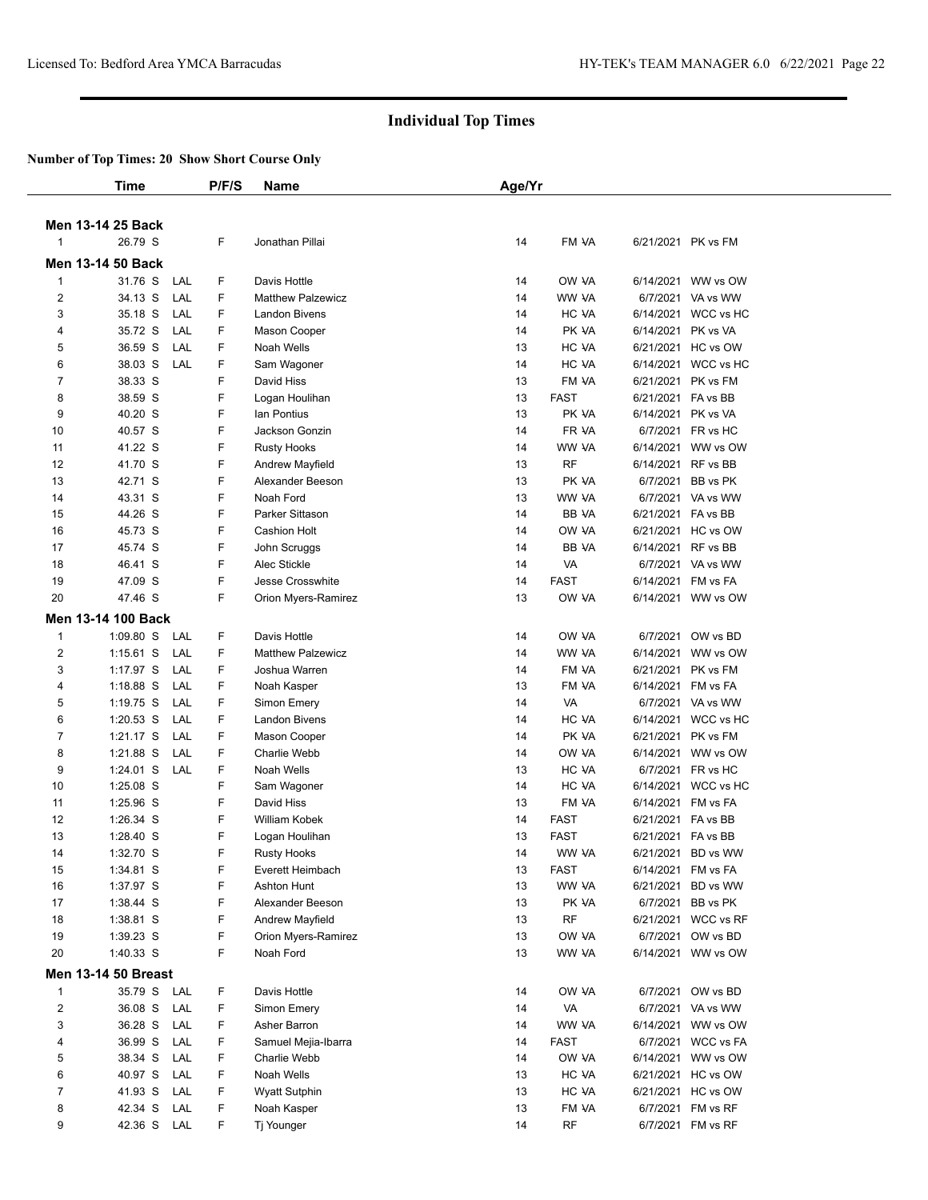|                         | Time                       |     | P/F/S | <b>Name</b>              | Age/Yr |              |                    |                     |  |
|-------------------------|----------------------------|-----|-------|--------------------------|--------|--------------|--------------------|---------------------|--|
|                         |                            |     |       |                          |        |              |                    |                     |  |
|                         | Men 13-14 25 Back          |     |       |                          |        |              |                    |                     |  |
| $\mathbf{1}$            | 26.79 S                    |     | F     | Jonathan Pillai          | 14     | FM VA        |                    | 6/21/2021 PK vs FM  |  |
|                         | <b>Men 13-14 50 Back</b>   |     |       |                          |        |              |                    |                     |  |
| $\mathbf{1}$            | 31.76 S                    | LAL | F     | Davis Hottle             | 14     | OW VA        |                    | 6/14/2021 WW vs OW  |  |
| 2                       | 34.13 S                    | LAL | F     | <b>Matthew Palzewicz</b> | 14     | WW VA        |                    | 6/7/2021 VA vs WW   |  |
| 3                       | 35.18 S                    | LAL | F.    | <b>Landon Bivens</b>     | 14     | HC VA        | 6/14/2021          | WCC vs HC           |  |
| 4                       | 35.72 S                    | LAL | F     | Mason Cooper             | 14     | PK VA        | 6/14/2021          | PK vs VA            |  |
| 5                       | 36.59 S                    | LAL | F     | Noah Wells               | 13     | HC VA        |                    | 6/21/2021 HC vs OW  |  |
| 6                       | 38.03 S                    | LAL | F     | Sam Wagoner              | 14     | HC VA        |                    | 6/14/2021 WCC vs HC |  |
| 7                       | 38.33 S                    |     | F     | David Hiss               | 13     | FM VA        | 6/21/2021          | PK vs FM            |  |
| 8                       | 38.59 S                    |     | F     | Logan Houlihan           | 13     | <b>FAST</b>  | 6/21/2021 FA vs BB |                     |  |
| 9                       | 40.20 S                    |     | F     | lan Pontius              | 13     | PK VA        | 6/14/2021          | PK vs VA            |  |
| 10                      | 40.57 S                    |     | F     | Jackson Gonzin           | 14     | FR VA        | 6/7/2021           | FR vs HC            |  |
| 11                      | 41.22 S                    |     | F     | <b>Rusty Hooks</b>       | 14     | WW VA        |                    | 6/14/2021 WW vs OW  |  |
| 12                      | 41.70 S                    |     | F     | Andrew Mayfield          | 13     | <b>RF</b>    |                    | 6/14/2021 RF vs BB  |  |
| 13                      | 42.71 S                    |     | F     | Alexander Beeson         | 13     | PK VA        | 6/7/2021           | BB vs PK            |  |
| 14                      | 43.31 S                    |     | F     | Noah Ford                | 13     | WW VA        |                    | 6/7/2021 VA vs WW   |  |
| 15                      | 44.26 S                    |     | F     | Parker Sittason          | 14     | <b>BB VA</b> | 6/21/2021 FA vs BB |                     |  |
| 16                      | 45.73 S                    |     | F     | <b>Cashion Holt</b>      | 14     | OW VA        | 6/21/2021          | HC vs OW            |  |
| 17                      | 45.74 S                    |     | F     | John Scruggs             | 14     | BB VA        |                    | 6/14/2021 RF vs BB  |  |
| 18                      | 46.41 S                    |     | F     | Alec Stickle             | 14     | VA           |                    | 6/7/2021 VA vs WW   |  |
| 19                      | 47.09 S                    |     | F     | Jesse Crosswhite         | 14     | <b>FAST</b>  | 6/14/2021          | FM vs FA            |  |
| 20                      | 47.46 S                    |     | F     | Orion Myers-Ramirez      | 13     | OW VA        |                    | 6/14/2021 WW vs OW  |  |
|                         | Men 13-14 100 Back         |     |       |                          |        |              |                    |                     |  |
| $\mathbf{1}$            | 1:09.80 S                  | LAL | F     | Davis Hottle             | 14     | OW VA        | 6/7/2021           | OW vs BD            |  |
| $\overline{\mathbf{c}}$ | $1:15.61$ S                | LAL | F     | <b>Matthew Palzewicz</b> | 14     | WW VA        |                    | 6/14/2021 WW vs OW  |  |
| 3                       | 1:17.97 S                  | LAL | F     | Joshua Warren            | 14     | FM VA        | 6/21/2021          | PK vs FM            |  |
| 4                       | $1:18.88$ S                | LAL | F     | Noah Kasper              | 13     | FM VA        | 6/14/2021          | FM vs FA            |  |
| 5                       | $1:19.75$ S                | LAL | F     | Simon Emery              | 14     | VA           |                    | 6/7/2021 VA vs WW   |  |
| 6                       | $1:20.53$ S                | LAL | F     | <b>Landon Bivens</b>     | 14     | HC VA        | 6/14/2021          | WCC vs HC           |  |
| $\overline{7}$          | $1:21.17$ S                | LAL | F     | Mason Cooper             | 14     | PK VA        | 6/21/2021          | PK vs FM            |  |
| 8                       | 1:21.88 S                  | LAL | F     | Charlie Webb             | 14     | OW VA        |                    | 6/14/2021 WW vs OW  |  |
| 9                       | $1:24.01$ S                | LAL | F     | Noah Wells               | 13     | HC VA        |                    | 6/7/2021 FR vs HC   |  |
| 10                      | 1:25.08 S                  |     | F     | Sam Wagoner              | 14     | HC VA        | 6/14/2021          | WCC vs HC           |  |
| 11                      | 1:25.96 S                  |     | F     | David Hiss               | 13     | FM VA        |                    | 6/14/2021 FM vs FA  |  |
| 12                      | 1:26.34 S                  |     | F     | William Kobek            | 14     | <b>FAST</b>  | 6/21/2021 FA vs BB |                     |  |
| 13                      | 1:28.40 S                  |     | F     | Logan Houlihan           | 13     | <b>FAST</b>  | 6/21/2021          | FA vs BB            |  |
| 14                      | 1:32.70 S                  |     | F     | Rusty Hooks              | 14     | WW VA        |                    | 6/21/2021 BD vs WW  |  |
| 15                      | 1:34.81 S                  |     | F     | Everett Heimbach         | 13     | <b>FAST</b>  |                    | 6/14/2021 FM vs FA  |  |
| 16                      | 1:37.97 S                  |     | F     | <b>Ashton Hunt</b>       | 13     | WW VA        | 6/21/2021          | BD vs WW            |  |
| 17                      | 1:38.44 S                  |     | F     | Alexander Beeson         | 13     | PK VA        |                    | 6/7/2021 BB vs PK   |  |
| 18                      | 1:38.81 S                  |     | F     | Andrew Mayfield          | 13     | RF           |                    | 6/21/2021 WCC vs RF |  |
| 19                      | 1:39.23 S                  |     | F     | Orion Myers-Ramirez      | 13     | OW VA        |                    | 6/7/2021 OW vs BD   |  |
| 20                      | 1:40.33 S                  |     | F.    | Noah Ford                | 13     | WW VA        |                    | 6/14/2021 WW vs OW  |  |
|                         | <b>Men 13-14 50 Breast</b> |     |       |                          |        |              |                    |                     |  |
| 1                       | 35.79 S LAL                |     | F     | Davis Hottle             | 14     | OW VA        |                    | 6/7/2021 OW vs BD   |  |
| $\overline{c}$          | 36.08 S                    | LAL | F     | Simon Emery              | 14     | VA           |                    | 6/7/2021 VA vs WW   |  |
| 3                       | 36.28 S                    | LAL | F     | Asher Barron             | 14     | WW VA        |                    | 6/14/2021 WW vs OW  |  |
| 4                       | 36.99 S                    | LAL | F     | Samuel Mejia-Ibarra      | 14     | FAST         | 6/7/2021           | WCC vs FA           |  |
| 5                       | 38.34 S                    | LAL | F     | Charlie Webb             | 14     | OW VA        |                    | 6/14/2021 WW vs OW  |  |
| 6                       | 40.97 S                    | LAL | F     | Noah Wells               | 13     | HC VA        |                    | 6/21/2021 HC vs OW  |  |
| 7                       | 41.93 S                    | LAL | F     | <b>Wyatt Sutphin</b>     | 13     | HC VA        |                    | 6/21/2021 HC vs OW  |  |
| 8                       | 42.34 S                    | LAL | F     | Noah Kasper              | 13     | FM VA        |                    | 6/7/2021 FM vs RF   |  |
| 9                       | 42.36 S LAL                |     | F.    | Tj Younger               | 14     | RF           |                    | 6/7/2021 FM vs RF   |  |
|                         |                            |     |       |                          |        |              |                    |                     |  |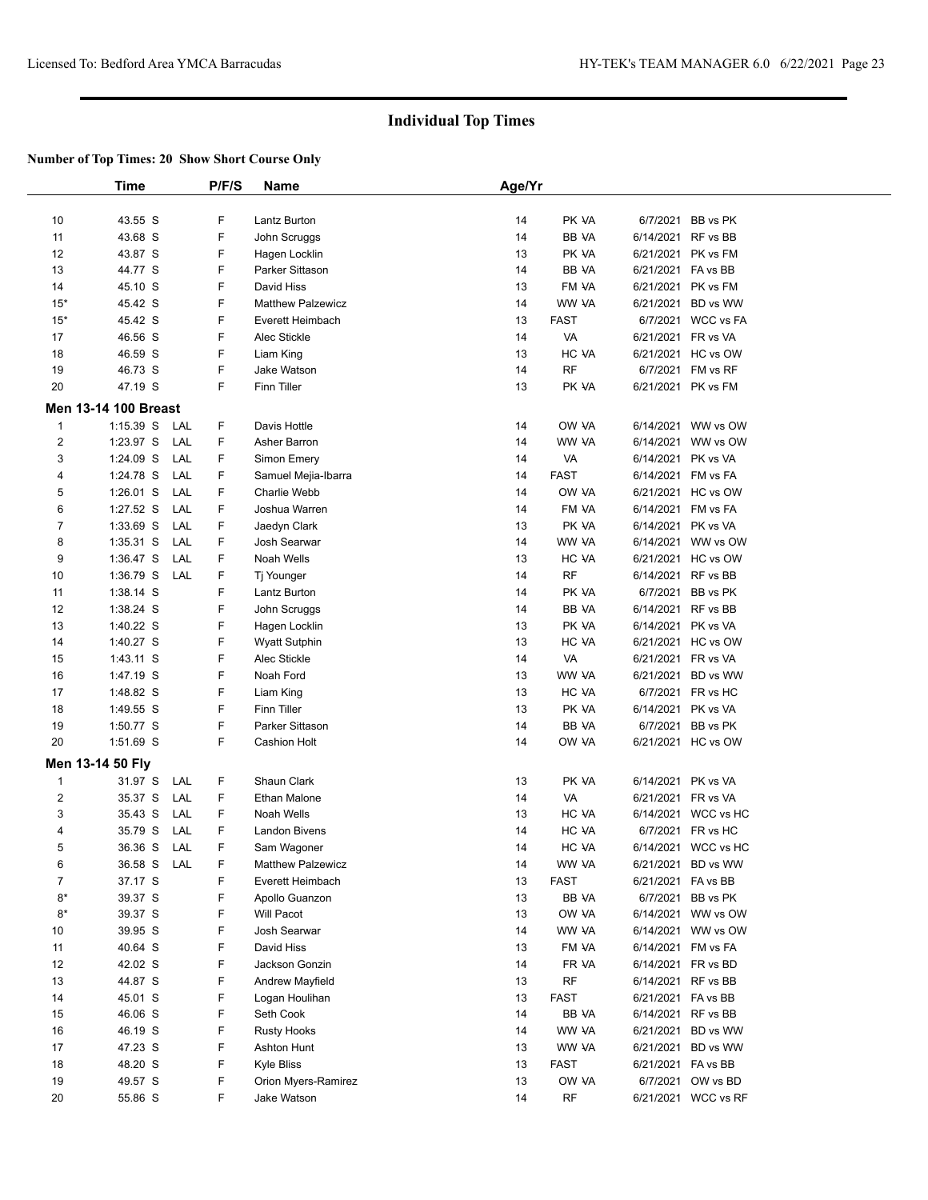|                | <b>Time</b>                 | P/F/S     | Name                     | Age/Yr |              |                    |                     |  |
|----------------|-----------------------------|-----------|--------------------------|--------|--------------|--------------------|---------------------|--|
|                |                             |           |                          |        |              |                    |                     |  |
| 10             | 43.55 S                     | F         | Lantz Burton             | 14     | PK VA        |                    | 6/7/2021 BB vs PK   |  |
| 11             | 43.68 S                     | F         | John Scruggs             | 14     | BB VA        | 6/14/2021 RF vs BB |                     |  |
| 12             | 43.87 S                     | F         | Hagen Locklin            | 13     | PK VA        | 6/21/2021 PK vs FM |                     |  |
| 13             | 44.77 S                     | F         | Parker Sittason          | 14     | <b>BB VA</b> | 6/21/2021 FA vs BB |                     |  |
| 14             | 45.10 S                     | F         | David Hiss               | 13     | FM VA        | 6/21/2021 PK vs FM |                     |  |
| $15*$          | 45.42 S                     | F         | <b>Matthew Palzewicz</b> | 14     | WW VA        |                    | 6/21/2021 BD vs WW  |  |
| $15*$          | 45.42 S                     | F         | Everett Heimbach         | 13     | <b>FAST</b>  |                    | 6/7/2021 WCC vs FA  |  |
| 17             | 46.56 S                     | F         | Alec Stickle             | 14     | VA           | 6/21/2021 FR vs VA |                     |  |
| 18             | 46.59 S                     | F         | Liam King                | 13     | HC VA        |                    | 6/21/2021 HC vs OW  |  |
| 19             | 46.73 S                     | F         | Jake Watson              | 14     | <b>RF</b>    |                    | 6/7/2021 FM vs RF   |  |
| 20             | 47.19 S                     | F         | Finn Tiller              | 13     | PK VA        | 6/21/2021 PK vs FM |                     |  |
|                | <b>Men 13-14 100 Breast</b> |           |                          |        |              |                    |                     |  |
| $\mathbf{1}$   | $1:15.39$ S                 | F.<br>LAL | Davis Hottle             | 14     | OW VA        |                    | 6/14/2021 WW vs OW  |  |
| $\overline{2}$ | 1:23.97 S                   | LAL<br>F  | Asher Barron             | 14     | WW VA        |                    | 6/14/2021 WW vs OW  |  |
| 3              | 1:24.09 S                   | LAL<br>F  | Simon Emery              | 14     | VA           | 6/14/2021 PK vs VA |                     |  |
| 4              | 1:24.78 S                   | LAL<br>F  | Samuel Mejia-Ibarra      | 14     | <b>FAST</b>  | 6/14/2021 FM vs FA |                     |  |
| 5              | $1:26.01$ S                 | F<br>LAL  | Charlie Webb             | 14     | OW VA        |                    | 6/21/2021 HC vs OW  |  |
| 6              | 1:27.52 S                   | LAL<br>F  | Joshua Warren            | 14     | FM VA        | 6/14/2021 FM vs FA |                     |  |
| $\overline{7}$ | 1:33.69 S                   | F<br>LAL  | Jaedyn Clark             | 13     | PK VA        | 6/14/2021 PK vs VA |                     |  |
| 8              | $1:35.31$ S                 | F<br>LAL  | Josh Searwar             | 14     | WW VA        |                    | 6/14/2021 WW vs OW  |  |
| 9              | 1:36.47 S                   | F<br>LAL  | Noah Wells               | 13     | HC VA        |                    | 6/21/2021 HC vs OW  |  |
| 10             | 1:36.79 S                   | F<br>LAL  | Tj Younger               | 14     | RF           | 6/14/2021 RF vs BB |                     |  |
| 11             | 1:38.14 S                   | F         | Lantz Burton             | 14     | PK VA        |                    | 6/7/2021 BB vs PK   |  |
| 12             | 1:38.24 S                   | F         | John Scruggs             | 14     | BB VA        | 6/14/2021 RF vs BB |                     |  |
| 13             | 1:40.22 S                   | F         | Hagen Locklin            | 13     | PK VA        | 6/14/2021 PK vs VA |                     |  |
| 14             | 1:40.27 S                   | F         | Wyatt Sutphin            | 13     | HC VA        |                    | 6/21/2021 HC vs OW  |  |
| 15             | 1:43.11 S                   | F         | Alec Stickle             | 14     | VA           | 6/21/2021 FR vs VA |                     |  |
| 16             | 1:47.19 S                   | F         | Noah Ford                | 13     | WW VA        |                    | 6/21/2021 BD vs WW  |  |
| 17             | 1:48.82 S                   | F         | Liam King                | 13     | HC VA        |                    | 6/7/2021 FR vs HC   |  |
| 18             | 1:49.55 S                   | F         | <b>Finn Tiller</b>       | 13     | PK VA        | 6/14/2021 PK vs VA |                     |  |
| 19             | 1:50.77 S                   | F         | Parker Sittason          | 14     | BB VA        |                    | 6/7/2021 BB vs PK   |  |
| 20             | 1:51.69 S                   | F         | <b>Cashion Holt</b>      | 14     | OW VA        |                    | 6/21/2021 HC vs OW  |  |
|                |                             |           |                          |        |              |                    |                     |  |
|                | Men 13-14 50 Fly            |           |                          |        |              |                    |                     |  |
| $\mathbf{1}$   | 31.97 S                     | F<br>LAL  | Shaun Clark              | 13     | PK VA        | 6/14/2021 PK vs VA |                     |  |
| $\overline{2}$ | 35.37 S                     | F<br>LAL  | <b>Ethan Malone</b>      | 14     | VA           | 6/21/2021 FR vs VA |                     |  |
| 3              | 35.43 S                     | F<br>LAL  | Noah Wells               | 13     | HC VA        |                    | 6/14/2021 WCC vs HC |  |
| 4              | 35.79 S                     | F<br>LAL  | Landon Bivens            | 14     | HC VA        |                    | 6/7/2021 FR vs HC   |  |
| 5              | 36.36 S                     | F<br>LAL  | Sam Wagoner              | 14     | HC VA        |                    | 6/14/2021 WCC vs HC |  |
| 6              | 36.58 S                     | LAL<br>F  | Matthew Palzewicz        | 14     | WW VA        |                    | 6/21/2021 BD vs WW  |  |
| $\overline{7}$ | 37.17 S                     | F         | Everett Heimbach         | 13     | FAST         | 6/21/2021 FA vs BB |                     |  |
| $8*$           | 39.37 S                     | F         | Apollo Guanzon           | 13     | BB VA        |                    | 6/7/2021 BB vs PK   |  |
| $8*$           | 39.37 S                     | F         | Will Pacot               | 13     | OW VA        |                    | 6/14/2021 WW vs OW  |  |
| 10             | 39.95 S                     | F         | Josh Searwar             | 14     | WW VA        |                    | 6/14/2021 WW vs OW  |  |
| 11             | 40.64 S                     | F         | David Hiss               | 13     | FM VA        |                    | 6/14/2021 FM vs FA  |  |
| 12             | 42.02 S                     | F         | Jackson Gonzin           | 14     | FR VA        |                    | 6/14/2021 FR vs BD  |  |
| 13             | 44.87 S                     | F         | Andrew Mayfield          | 13     | <b>RF</b>    | 6/14/2021 RF vs BB |                     |  |
| 14             | 45.01 S                     | F         | Logan Houlihan           | 13     | <b>FAST</b>  | 6/21/2021 FA vs BB |                     |  |
| 15             | 46.06 S                     | F         | Seth Cook                | 14     | BB VA        | 6/14/2021 RF vs BB |                     |  |
| 16             | 46.19 S                     | F         | <b>Rusty Hooks</b>       | 14     | WW VA        |                    | 6/21/2021 BD vs WW  |  |
| 17             | 47.23 S                     | F         | Ashton Hunt              | 13     | WW VA        |                    | 6/21/2021 BD vs WW  |  |
| 18             | 48.20 S                     | F         | Kyle Bliss               | 13     | <b>FAST</b>  | 6/21/2021 FA vs BB |                     |  |
| 19             | 49.57 S                     | F         | Orion Myers-Ramirez      | 13     | OW VA        |                    | 6/7/2021 OW vs BD   |  |
| 20             | 55.86 S                     | F         | Jake Watson              | 14     | RF           |                    | 6/21/2021 WCC vs RF |  |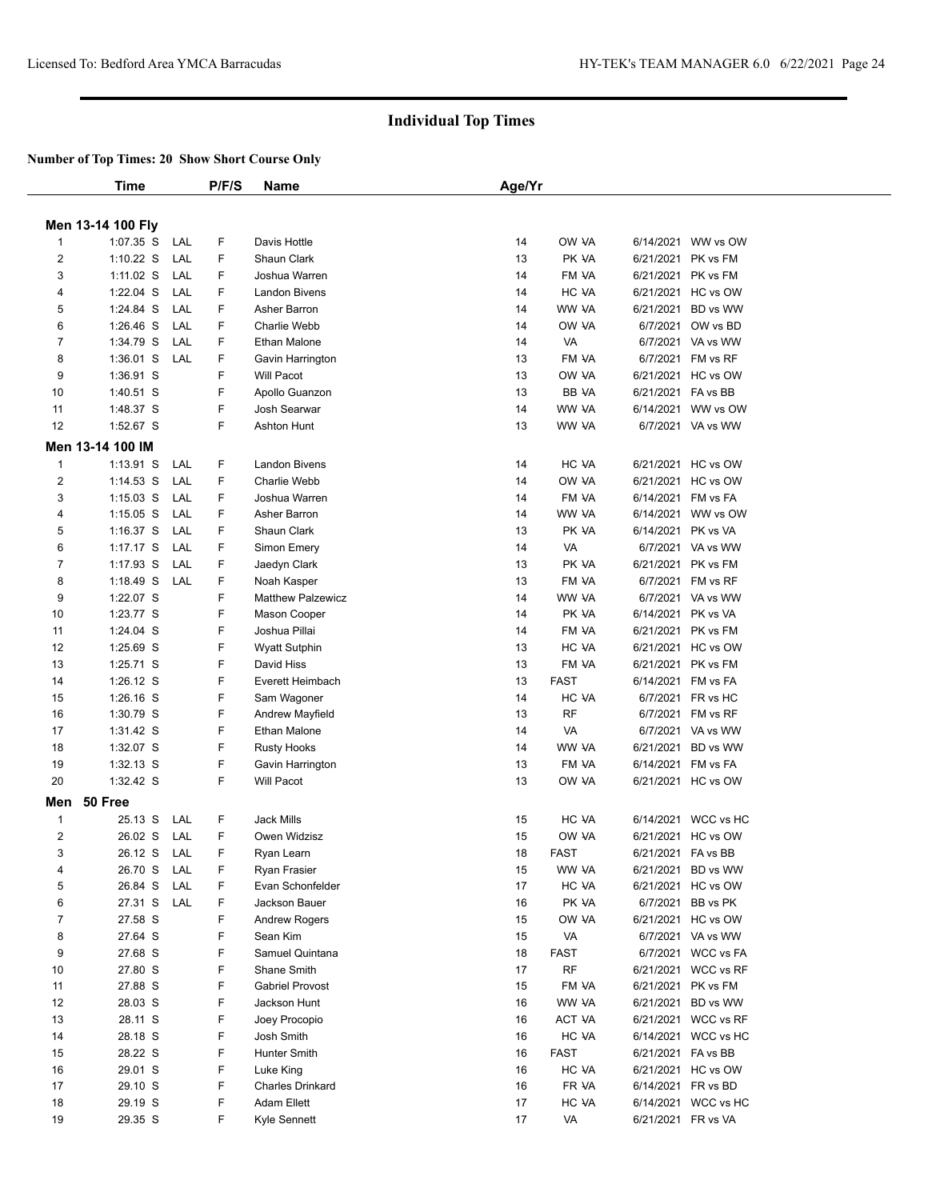|                | Time              |     | P/F/S | Name                     | Age/Yr |              |                    |                     |
|----------------|-------------------|-----|-------|--------------------------|--------|--------------|--------------------|---------------------|
|                |                   |     |       |                          |        |              |                    |                     |
|                | Men 13-14 100 Fly |     |       |                          |        |              |                    |                     |
| $\mathbf{1}$   | 1:07.35 S         | LAL | F     | Davis Hottle             | 14     | OW VA        |                    | 6/14/2021 WW vs OW  |
| 2              | $1:10.22$ S       | LAL | F     | Shaun Clark              | 13     | PK VA        |                    | 6/21/2021 PK vs FM  |
| 3              | $1:11.02$ S       | LAL | F     | Joshua Warren            | 14     | FM VA        |                    | 6/21/2021 PK vs FM  |
| 4              | 1:22.04 S         | LAL | F     | <b>Landon Bivens</b>     | 14     | HC VA        |                    | 6/21/2021 HC vs OW  |
| 5              | 1:24.84 S         | LAL | F     | Asher Barron             | 14     | WW VA        |                    | 6/21/2021 BD vs WW  |
| 6              | $1:26.46$ S       | LAL | F     | Charlie Webb             | 14     | OW VA        |                    | 6/7/2021 OW vs BD   |
| 7              | 1:34.79 S         | LAL | F     | <b>Ethan Malone</b>      | 14     | VA           |                    | 6/7/2021 VA vs WW   |
| 8              | $1:36.01$ S       | LAL | F     | Gavin Harrington         | 13     | FM VA        |                    | 6/7/2021 FM vs RF   |
| 9              | 1:36.91 S         |     | F     | <b>Will Pacot</b>        | 13     | OW VA        |                    | 6/21/2021 HC vs OW  |
| 10             | 1:40.51 S         |     | F     | Apollo Guanzon           | 13     | <b>BB VA</b> | 6/21/2021 FA vs BB |                     |
| 11             | 1:48.37 S         |     | F     | Josh Searwar             | 14     | WW VA        |                    | 6/14/2021 WW vs OW  |
| 12             | 1:52.67 S         |     | F.    | <b>Ashton Hunt</b>       | 13     | WW VA        |                    | 6/7/2021 VA vs WW   |
|                | Men 13-14 100 IM  |     |       |                          |        |              |                    |                     |
| $\mathbf{1}$   | $1:13.91$ S       | LAL | F     | <b>Landon Bivens</b>     | 14     | HC VA        |                    | 6/21/2021 HC vs OW  |
| 2              | $1:14.53$ S       | LAL | F     | Charlie Webb             | 14     | OW VA        |                    | 6/21/2021 HC vs OW  |
| 3              | $1:15.03$ S       | LAL | F     | Joshua Warren            | 14     | FM VA        |                    | 6/14/2021 FM vs FA  |
| 4              | $1:15.05$ S       | LAL | F     | Asher Barron             | 14     | WW VA        |                    | 6/14/2021 WW vs OW  |
| 5              | $1:16.37$ S       | LAL | F     | Shaun Clark              | 13     | PK VA        | 6/14/2021 PK vs VA |                     |
| 6              | $1:17.17$ S       | LAL | F     | Simon Emery              | 14     | VA           |                    | 6/7/2021 VA vs WW   |
| $\overline{7}$ | 1:17.93 S         | LAL | F     | Jaedyn Clark             | 13     | PK VA        |                    | 6/21/2021 PK vs FM  |
| 8              | $1:18.49$ S       | LAL | F     | Noah Kasper              | 13     | FM VA        |                    | 6/7/2021 FM vs RF   |
| 9              | 1:22.07 S         |     | F     | <b>Matthew Palzewicz</b> | 14     | WW VA        |                    | 6/7/2021 VA vs WW   |
| 10             | 1:23.77 S         |     | F     | Mason Cooper             | 14     | PK VA        | 6/14/2021 PK vs VA |                     |
| 11             | $1:24.04$ S       |     | F     | Joshua Pillai            | 14     | FM VA        |                    | 6/21/2021 PK vs FM  |
| 12             | 1:25.69 S         |     | F     | <b>Wyatt Sutphin</b>     | 13     | HC VA        |                    | 6/21/2021 HC vs OW  |
| 13             | 1:25.71 S         |     | F     | David Hiss               | 13     | FM VA        |                    | 6/21/2021 PK vs FM  |
| 14             | $1:26.12$ S       |     | F     | Everett Heimbach         | 13     | <b>FAST</b>  |                    | 6/14/2021 FM vs FA  |
| 15             | $1:26.16$ S       |     | F     | Sam Wagoner              | 14     | HC VA        |                    | 6/7/2021 FR vs HC   |
| 16             | 1:30.79 S         |     | F     | Andrew Mayfield          | 13     | <b>RF</b>    |                    | 6/7/2021 FM vs RF   |
| 17             | 1:31.42 S         |     | F     | Ethan Malone             | 14     | VA           |                    | 6/7/2021 VA vs WW   |
| 18             | 1:32.07 S         |     | F     | <b>Rusty Hooks</b>       | 14     | WW VA        |                    | 6/21/2021 BD vs WW  |
| 19             | $1:32.13$ S       |     | F     | Gavin Harrington         | 13     | FM VA        |                    | 6/14/2021 FM vs FA  |
| 20             | $1:32.42$ S       |     | F.    | <b>Will Pacot</b>        | 13     | OW VA        |                    | 6/21/2021 HC vs OW  |
|                |                   |     |       |                          |        |              |                    |                     |
| Men            | 50 Free           |     |       |                          |        |              |                    |                     |
| 1              | 25.13 S           | LAL | F     | <b>Jack Mills</b>        | 15     | HC VA        |                    | 6/14/2021 WCC vs HC |
| $\overline{2}$ | 26.02 S           | LAL | F     | Owen Widzisz             | 15     | OW VA        |                    | 6/21/2021 HC vs OW  |
| 3              | 26.12 S           | LAL | F     | Ryan Learn               | 18     | <b>FAST</b>  | 6/21/2021 FA vs BB |                     |
| 4              | 26.70 S           | LAL | F     | Ryan Frasier             | 15     | WW VA        |                    | 6/21/2021 BD vs WW  |
| 5              | 26.84 S           | LAL | F     | Evan Schonfelder         | 17     | HC VA        |                    | 6/21/2021 HC vs OW  |
| 6              | 27.31 S           | LAL | F     | Jackson Bauer            | 16     | PK VA        |                    | 6/7/2021 BB vs PK   |
| $\overline{7}$ | 27.58 S           |     | F     | <b>Andrew Rogers</b>     | 15     | OW VA        |                    | 6/21/2021 HC vs OW  |
| 8              | 27.64 S           |     | F     | Sean Kim                 | 15     | VA           |                    | 6/7/2021 VA vs WW   |
| 9              | 27.68 S           |     | F     | Samuel Quintana          | 18     | <b>FAST</b>  |                    | 6/7/2021 WCC vs FA  |
| 10             | 27.80 S           |     | F     | Shane Smith              | 17     | RF           |                    | 6/21/2021 WCC vs RF |
| 11             | 27.88 S           |     | F     | <b>Gabriel Provost</b>   | 15     | FM VA        |                    | 6/21/2021 PK vs FM  |
| 12             | 28.03 S           |     | F     | Jackson Hunt             | 16     | WW VA        |                    | 6/21/2021 BD vs WW  |
| 13             | 28.11 S           |     | F     | Joey Procopio            | 16     | ACT VA       |                    | 6/21/2021 WCC vs RF |
| 14             | 28.18 S           |     | F     | Josh Smith               | 16     | HC VA        |                    | 6/14/2021 WCC vs HC |
| 15             | 28.22 S           |     | F     | Hunter Smith             | 16     | <b>FAST</b>  | 6/21/2021 FA vs BB |                     |
| 16             | 29.01 S           |     | F     | Luke King                | 16     | HC VA        |                    | 6/21/2021 HC vs OW  |
| 17             | 29.10 S           |     | F     | Charles Drinkard         | 16     | FR VA        |                    | 6/14/2021 FR vs BD  |
| 18             | 29.19 S           |     | F     | Adam Ellett              | 17     | HC VA        |                    | 6/14/2021 WCC vs HC |
| 19             | 29.35 S           |     | F.    | Kyle Sennett             | 17     | VA           | 6/21/2021 FR vs VA |                     |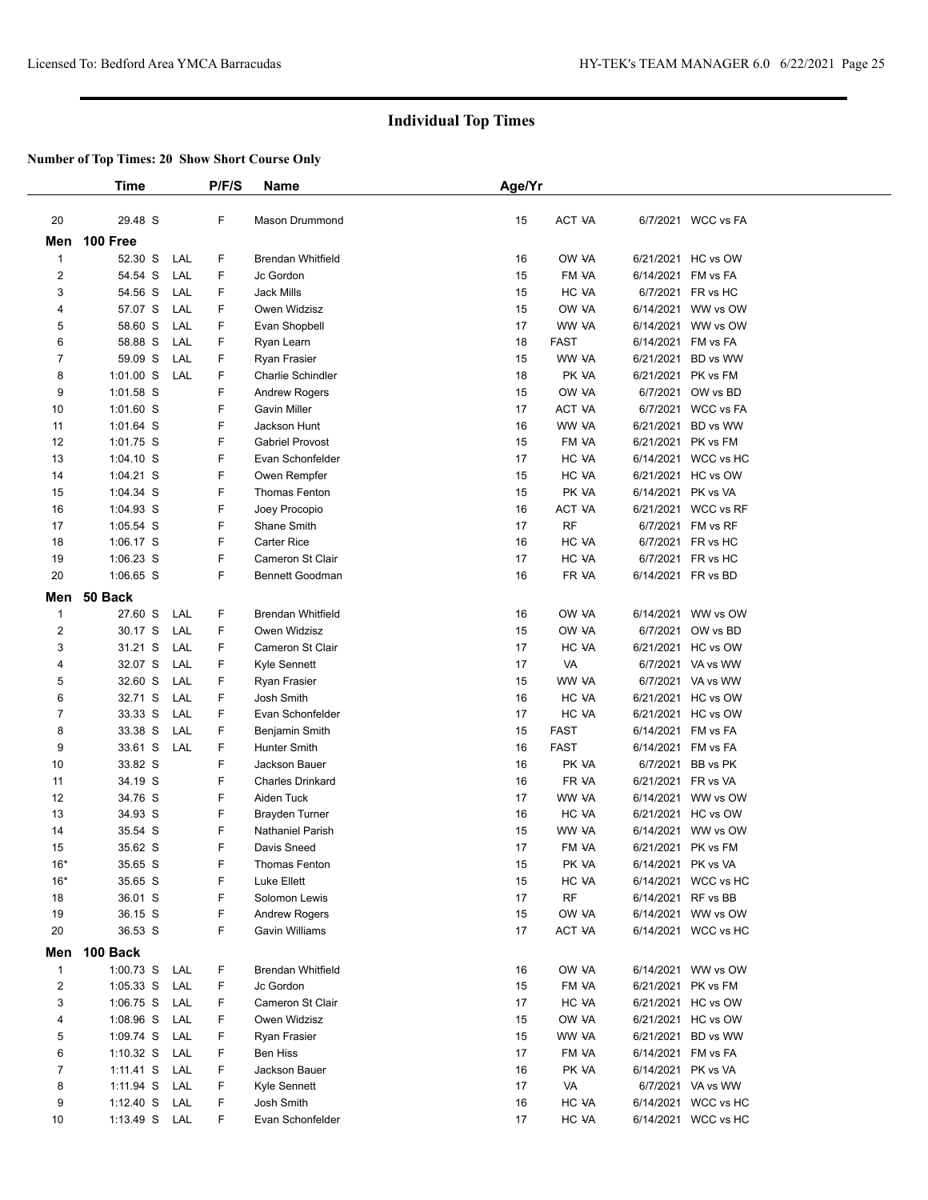|                | <b>Time</b>   |     | P/F/S | <b>Name</b>              | Age/Yr |               |                    |                     |  |
|----------------|---------------|-----|-------|--------------------------|--------|---------------|--------------------|---------------------|--|
| 20             | 29.48 S       |     | F     | Mason Drummond           | 15     | <b>ACT VA</b> |                    | 6/7/2021 WCC vs FA  |  |
|                | Men 100 Free  |     |       |                          |        |               |                    |                     |  |
| 1              | 52.30 S       | LAL | F     | <b>Brendan Whitfield</b> | 16     | OW VA         |                    | 6/21/2021 HC vs OW  |  |
| 2              | 54.54 S       | LAL | F     | Jc Gordon                | 15     | FM VA         | 6/14/2021 FM vs FA |                     |  |
| 3              | 54.56 S       | LAL | F     | Jack Mills               | 15     | HC VA         |                    | 6/7/2021 FR vs HC   |  |
| 4              | 57.07 S       | LAL | F     | Owen Widzisz             | 15     | OW VA         |                    | 6/14/2021 WW vs OW  |  |
| 5              | 58.60 S       | LAL | F     | Evan Shopbell            | 17     | WW VA         |                    | 6/14/2021 WW vs OW  |  |
| 6              | 58.88 S       | LAL | F     | Ryan Learn               | 18     | <b>FAST</b>   | 6/14/2021 FM vs FA |                     |  |
| 7              | 59.09 S       | LAL | F     | Ryan Frasier             | 15     | WW VA         |                    | 6/21/2021 BD vs WW  |  |
| 8              | $1:01.00$ S   | LAL | F     | Charlie Schindler        | 18     | PK VA         | 6/21/2021 PK vs FM |                     |  |
| 9              | 1:01.58 S     |     | F     | <b>Andrew Rogers</b>     | 15     | OW VA         |                    | 6/7/2021 OW vs BD   |  |
| 10             | 1:01.60 S     |     | F     | <b>Gavin Miller</b>      | 17     | ACT VA        |                    | 6/7/2021 WCC vs FA  |  |
| 11             | 1:01.64 S     |     | F     | Jackson Hunt             | 16     | WW VA         |                    | 6/21/2021 BD vs WW  |  |
| 12             | 1:01.75 S     |     | F     | <b>Gabriel Provost</b>   | 15     | FM VA         | 6/21/2021 PK vs FM |                     |  |
| 13             | $1:04.10$ S   |     | F     | Evan Schonfelder         | 17     | HC VA         |                    | 6/14/2021 WCC vs HC |  |
| 14             | 1:04.21 S     |     | F     | Owen Rempfer             | 15     | HC VA         |                    | 6/21/2021 HC vs OW  |  |
| 15             | 1:04.34 S     |     | F     | Thomas Fenton            | 15     | PK VA         | 6/14/2021 PK vs VA |                     |  |
| 16             | 1:04.93 S     |     | F     | Joey Procopio            | 16     | ACT VA        |                    | 6/21/2021 WCC vs RF |  |
| 17             | 1:05.54 S     |     | F     | Shane Smith              | 17     | <b>RF</b>     |                    | 6/7/2021 FM vs RF   |  |
| 18             | 1:06.17 S     |     | F     | <b>Carter Rice</b>       | 16     | HC VA         |                    | 6/7/2021 FR vs HC   |  |
| 19             | $1:06.23$ S   |     | F     | Cameron St Clair         | 17     | HC VA         |                    | 6/7/2021 FR vs HC   |  |
| 20             | 1:06.65 S     |     | F     | <b>Bennett Goodman</b>   | 16     | FR VA         | 6/14/2021 FR vs BD |                     |  |
| Men            | 50 Back       |     |       |                          |        |               |                    |                     |  |
| 1              | 27.60 S       | LAL | F     | <b>Brendan Whitfield</b> | 16     | OW VA         |                    | 6/14/2021 WW vs OW  |  |
| 2              | 30.17 S       | LAL | F     | Owen Widzisz             | 15     | OW VA         |                    | 6/7/2021 OW vs BD   |  |
| 3              | 31.21 S       | LAL | F     | Cameron St Clair         | 17     | HC VA         |                    | 6/21/2021 HC vs OW  |  |
| 4              | 32.07 S       | LAL | F     | Kyle Sennett             | 17     | VA            |                    | 6/7/2021 VA vs WW   |  |
| 5              | 32.60 S       | LAL | F     | Ryan Frasier             | 15     | WW VA         |                    | 6/7/2021 VA vs WW   |  |
| 6              | 32.71 S       | LAL | F     | Josh Smith               | 16     | HC VA         |                    | 6/21/2021 HC vs OW  |  |
| 7              | 33.33 S       | LAL | F     | Evan Schonfelder         | 17     | HC VA         |                    | 6/21/2021 HC vs OW  |  |
| 8              | 33.38 S       | LAL | F     | Benjamin Smith           | 15     | FAST          | 6/14/2021 FM vs FA |                     |  |
| 9              | 33.61 S       | LAL | F     | Hunter Smith             | 16     | <b>FAST</b>   | 6/14/2021 FM vs FA |                     |  |
| 10             | 33.82 S       |     | F     | Jackson Bauer            | 16     | PK VA         |                    | 6/7/2021 BB vs PK   |  |
| 11             | 34.19 S       |     | F     | <b>Charles Drinkard</b>  | 16     | FR VA         | 6/21/2021 FR vs VA |                     |  |
| 12             | 34.76 S       |     | F     | Aiden Tuck               | 17     | WW VA         |                    | 6/14/2021 WW vs OW  |  |
| 13             | 34.93 S       |     | F     | <b>Brayden Turner</b>    | 16     | HC VA         |                    | 6/21/2021 HC vs OW  |  |
| 14             | 35.54 S       |     | F     | Nathaniel Parish         | 15     | WW VA         |                    | 6/14/2021 WW vs OW  |  |
| 15             | 35.62 S       |     | F     | Davis Sneed              | 17     | FM VA         |                    | 6/21/2021 PK vs FM  |  |
| $16*$          | 35.65 S       |     | F     | <b>Thomas Fenton</b>     | 15     | PK VA         | 6/14/2021 PK vs VA |                     |  |
| $16*$          | 35.65 S       |     | F     | Luke Ellett              | 15     | HC VA         |                    | 6/14/2021 WCC vs HC |  |
| 18             | 36.01 S       |     | F     | Solomon Lewis            | 17     | <b>RF</b>     | 6/14/2021 RF vs BB |                     |  |
| 19             | 36.15 S       |     | F     | <b>Andrew Rogers</b>     | 15     | OW VA         |                    | 6/14/2021 WW vs OW  |  |
| 20             | 36.53 S       |     | F     | Gavin Williams           | 17     | ACT VA        |                    | 6/14/2021 WCC vs HC |  |
| Men            | 100 Back      |     |       |                          |        |               |                    |                     |  |
| $\mathbf{1}$   | 1:00.73 S LAL |     | F     | <b>Brendan Whitfield</b> | 16     | OW VA         |                    | 6/14/2021 WW vs OW  |  |
| $\overline{2}$ | 1:05.33 S LAL |     | F     | Jc Gordon                | 15     | FM VA         |                    | 6/21/2021 PK vs FM  |  |
| 3              | 1:06.75 S     | LAL | F     | Cameron St Clair         | 17     | HC VA         |                    | 6/21/2021 HC vs OW  |  |
| 4              | $1:08.96$ S   | LAL | F     | Owen Widzisz             | 15     | OW VA         |                    | 6/21/2021 HC vs OW  |  |
| 5              | 1:09.74 S LAL |     | F     | Ryan Frasier             | 15     | WW VA         |                    | 6/21/2021 BD vs WW  |  |
| 6              | 1:10.32 S LAL |     | F     | Ben Hiss                 | 17     | FM VA         | 6/14/2021 FM vs FA |                     |  |
| $\overline{7}$ | 1:11.41 S LAL |     | F     | Jackson Bauer            | 16     | PK VA         | 6/14/2021 PK vs VA |                     |  |
| 8              | 1:11.94 S LAL |     | F     | Kyle Sennett             | 17     | VA            |                    | 6/7/2021 VA vs WW   |  |
| 9              | 1:12.40 S LAL |     | F     | Josh Smith               | 16     | HC VA         |                    | 6/14/2021 WCC vs HC |  |
| 10             | 1:13.49 S LAL |     | F     | Evan Schonfelder         | 17     | HC VA         |                    | 6/14/2021 WCC vs HC |  |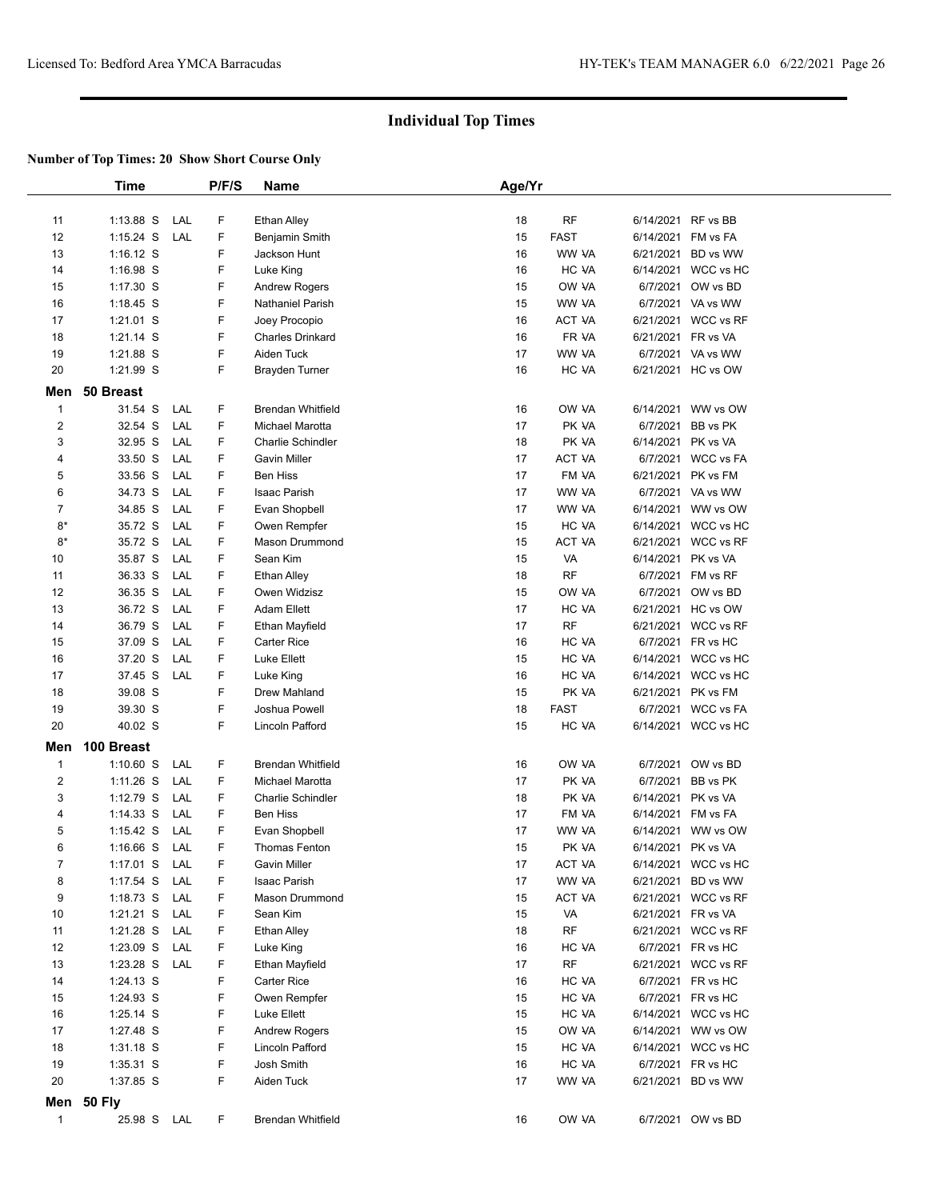|                | Time          |     | P/F/S | Name                     | Age/Yr |             |                     |  |
|----------------|---------------|-----|-------|--------------------------|--------|-------------|---------------------|--|
|                |               |     |       |                          |        |             |                     |  |
| 11             | $1:13.88$ S   | LAL | F     | Ethan Alley              | 18     | RF          | 6/14/2021 RF vs BB  |  |
| 12             | $1:15.24$ S   | LAL | F     | Benjamin Smith           | 15     | <b>FAST</b> | 6/14/2021 FM vs FA  |  |
| 13             | $1:16.12$ S   |     | F     | Jackson Hunt             | 16     | WW VA       | 6/21/2021 BD vs WW  |  |
| 14             | 1:16.98 S     |     | F     | Luke King                | 16     | HC VA       | 6/14/2021 WCC vs HC |  |
| 15             | 1:17.30 S     |     | F     | <b>Andrew Rogers</b>     | 15     | OW VA       | 6/7/2021 OW vs BD   |  |
| 16             | $1:18.45$ S   |     | F     | Nathaniel Parish         | 15     | WW VA       | 6/7/2021 VA vs WW   |  |
| 17             | 1:21.01 S     |     | F     | Joey Procopio            | 16     | ACT VA      | 6/21/2021 WCC vs RF |  |
| 18             | 1:21.14 S     |     | F     | Charles Drinkard         | 16     | FR VA       | 6/21/2021 FR vs VA  |  |
| 19             | 1:21.88 S     |     | F     | Aiden Tuck               | 17     | WW VA       | 6/7/2021 VA vs WW   |  |
| 20             | 1:21.99 S     |     | F     | Brayden Turner           | 16     | HC VA       | 6/21/2021 HC vs OW  |  |
|                |               |     |       |                          |        |             |                     |  |
|                | Men 50 Breast |     |       |                          |        |             |                     |  |
| $\mathbf{1}$   | 31.54 S       | LAL | F     | <b>Brendan Whitfield</b> | 16     | OW VA       | 6/14/2021 WW vs OW  |  |
| $\overline{2}$ | 32.54 S       | LAL | F     | Michael Marotta          | 17     | PK VA       | 6/7/2021 BB vs PK   |  |
| 3              | 32.95 S       | LAL | F     | Charlie Schindler        | 18     | PK VA       | 6/14/2021 PK vs VA  |  |
| 4              | 33.50 S       | LAL | F     | Gavin Miller             | 17     | ACT VA      | 6/7/2021 WCC vs FA  |  |
| 5              | 33.56 S       | LAL | F     | <b>Ben Hiss</b>          | 17     | FM VA       | 6/21/2021 PK vs FM  |  |
| 6              | 34.73 S       | LAL | F     | Isaac Parish             | 17     | WW VA       | 6/7/2021 VA vs WW   |  |
| $\overline{7}$ | 34.85 S       | LAL | F     | Evan Shopbell            | 17     | WW VA       | 6/14/2021 WW vs OW  |  |
| $8*$           | 35.72 S       | LAL | F     | Owen Rempfer             | 15     | HC VA       | 6/14/2021 WCC vs HC |  |
| $8*$           | 35.72 S       | LAL | F     | Mason Drummond           | 15     | ACT VA      | 6/21/2021 WCC vs RF |  |
| 10             | 35.87 S       | LAL | F     | Sean Kim                 | 15     | VA          | 6/14/2021 PK vs VA  |  |
| 11             | 36.33 S       | LAL | F     | Ethan Alley              | 18     | <b>RF</b>   | 6/7/2021 FM vs RF   |  |
| 12             | 36.35 S       | LAL | F     | Owen Widzisz             | 15     | OW VA       | 6/7/2021 OW vs BD   |  |
| 13             | 36.72 S       | LAL | F     | <b>Adam Ellett</b>       | 17     | HC VA       | 6/21/2021 HC vs OW  |  |
| 14             | 36.79 S       | LAL | F     | Ethan Mayfield           | 17     | <b>RF</b>   | 6/21/2021 WCC vs RF |  |
| 15             | 37.09 S       | LAL | F     | Carter Rice              | 16     | HC VA       | 6/7/2021 FR vs HC   |  |
| 16             | 37.20 S       | LAL | F     | Luke Ellett              | 15     | HC VA       | 6/14/2021 WCC vs HC |  |
| 17             | 37.45 S       | LAL | F     | Luke King                | 16     | HC VA       | 6/14/2021 WCC vs HC |  |
| 18             | 39.08 S       |     | F     | Drew Mahland             | 15     | PK VA       | 6/21/2021 PK vs FM  |  |
| 19             | 39.30 S       |     | F     | Joshua Powell            | 18     | <b>FAST</b> | 6/7/2021 WCC vs FA  |  |
| 20             | 40.02 S       |     | F     | Lincoln Pafford          | 15     | HC VA       | 6/14/2021 WCC vs HC |  |
|                |               |     |       |                          |        |             |                     |  |
| Men            | 100 Breast    |     |       |                          |        |             |                     |  |
| $\mathbf{1}$   | $1:10.60$ S   | LAL | F     | <b>Brendan Whitfield</b> | 16     | OW VA       | 6/7/2021 OW vs BD   |  |
| $\overline{c}$ | $1:11.26$ S   | LAL | F     | Michael Marotta          | 17     | PK VA       | 6/7/2021 BB vs PK   |  |
| 3              | 1:12.79 S     | LAL | F     | <b>Charlie Schindler</b> | 18     | PK VA       | 6/14/2021 PK vs VA  |  |
| 4              | $1:14.33$ S   | LAL | F     | Ben Hiss                 | 17     | FM VA       | 6/14/2021 FM vs FA  |  |
| 5              | $1:15.42$ S   | LAL | F     | Evan Shopbell            | 17     | WW VA       | 6/14/2021 WW vs OW  |  |
| 6              | $1:16.66$ S   | LAL | F     | <b>Thomas Fenton</b>     | 15     | PK VA       | 6/14/2021 PK vs VA  |  |
| 7              | $1:17.01$ S   | LAL | F     | Gavin Miller             | 17     | ACT VA      | 6/14/2021 WCC vs HC |  |
| 8              | 1:17.54 S     | LAL | F     | Isaac Parish             | 17     | WW VA       | 6/21/2021 BD vs WW  |  |
| 9              | $1:18.73$ S   | LAL | F     | Mason Drummond           | 15     | ACT VA      | 6/21/2021 WCC vs RF |  |
| 10             | 1:21.21 S     | LAL | F     | Sean Kim                 | 15     | VA          | 6/21/2021 FR vs VA  |  |
| 11             | 1:21.28 S     | LAL | F     | Ethan Alley              | 18     | <b>RF</b>   | 6/21/2021 WCC vs RF |  |
| 12             | $1:23.09$ S   | LAL | F     | Luke King                | 16     | HC VA       | 6/7/2021 FR vs HC   |  |
| 13             | $1:23.28$ S   | LAL | F     | Ethan Mayfield           | 17     | <b>RF</b>   | 6/21/2021 WCC vs RF |  |
| 14             | 1:24.13 S     |     | F     | <b>Carter Rice</b>       | 16     | HC VA       | 6/7/2021 FR vs HC   |  |
| 15             | 1:24.93 S     |     | F     | Owen Rempfer             | 15     | HC VA       | 6/7/2021 FR vs HC   |  |
| 16             | 1:25.14 S     |     | F     | Luke Ellett              | 15     | HC VA       | 6/14/2021 WCC vs HC |  |
| 17             | 1:27.48 S     |     | F     | Andrew Rogers            | 15     | OW VA       | 6/14/2021 WW vs OW  |  |
| 18             | 1:31.18 S     |     | F     | Lincoln Pafford          | 15     | HC VA       | 6/14/2021 WCC vs HC |  |
| 19             | $1:35.31$ S   |     | F     | Josh Smith               | 16     | HC VA       | 6/7/2021 FR vs HC   |  |
| 20             | 1:37.85 S     |     | F     | Aiden Tuck               | 17     | WW VA       | 6/21/2021 BD vs WW  |  |
|                | Men 50 Fly    |     |       |                          |        |             |                     |  |
|                |               |     |       |                          |        |             |                     |  |
| $\mathbf{1}$   | 25.98 S LAL   |     | F     | Brendan Whitfield        | 16     | OW VA       | 6/7/2021 OW vs BD   |  |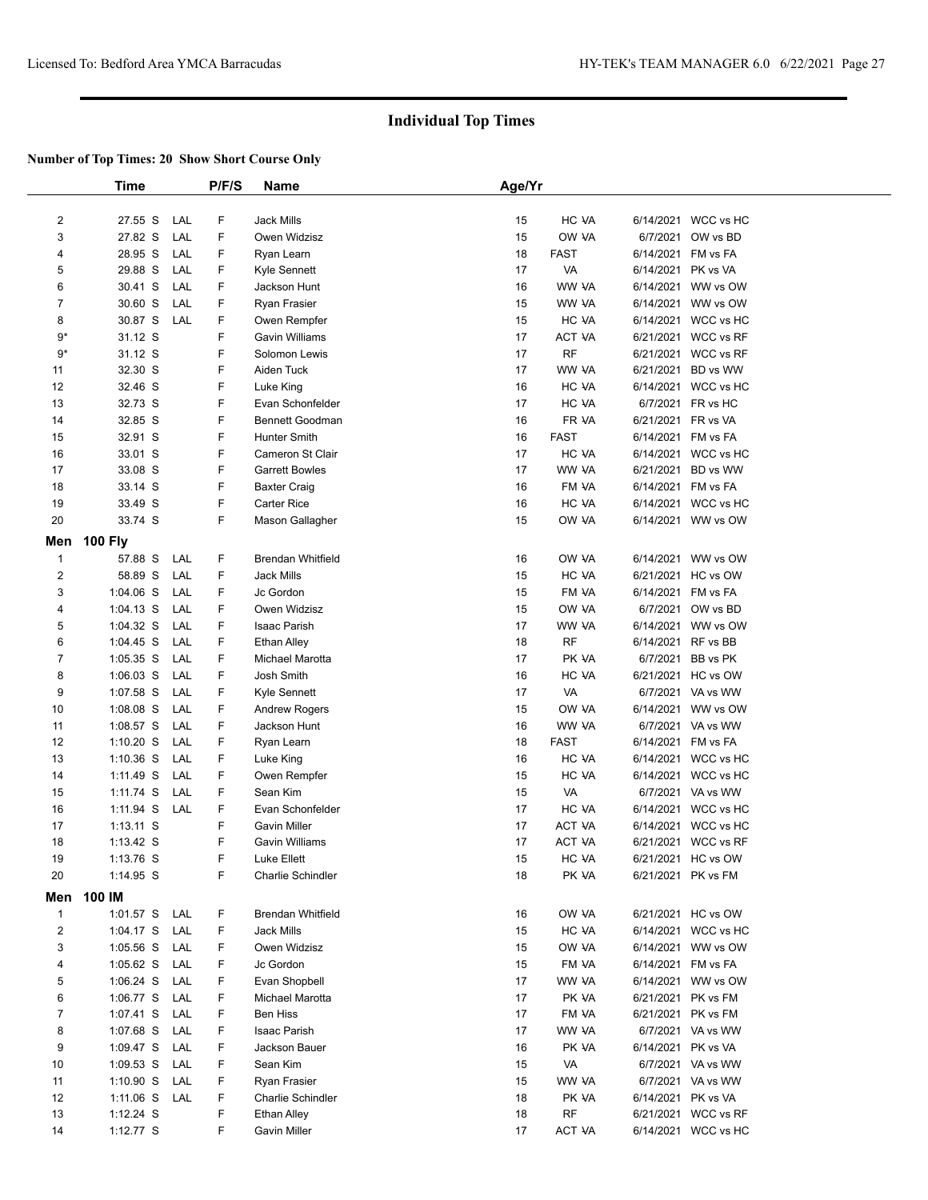|                | <b>Time</b>    |     | P/F/S | Name                     | Age/Yr |             |                    |                     |  |
|----------------|----------------|-----|-------|--------------------------|--------|-------------|--------------------|---------------------|--|
|                |                |     |       |                          |        |             |                    |                     |  |
| $\overline{2}$ | 27.55 S        | LAL | F     | <b>Jack Mills</b>        | 15     | HC VA       |                    | 6/14/2021 WCC vs HC |  |
| 3              | 27.82 S        | LAL | F     | Owen Widzisz             | 15     | OW VA       |                    | 6/7/2021 OW vs BD   |  |
| 4              | 28.95 S        | LAL | F     | Ryan Learn               | 18     | <b>FAST</b> | 6/14/2021 FM vs FA |                     |  |
| 5              | 29.88 S        | LAL | F     | Kyle Sennett             | 17     | VA          | 6/14/2021          | PK vs VA            |  |
| 6              | 30.41 S        | LAL | F     | Jackson Hunt             | 16     | WW VA       |                    | 6/14/2021 WW vs OW  |  |
| 7              | 30.60 S        | LAL | F     | Ryan Frasier             | 15     | WW VA       |                    | 6/14/2021 WW vs OW  |  |
| 8              | 30.87 S        | LAL | F     | Owen Rempfer             | 15     | HC VA       |                    | 6/14/2021 WCC vs HC |  |
| 9*             | 31.12 S        |     | F     | Gavin Williams           | 17     | ACT VA      |                    | 6/21/2021 WCC vs RF |  |
| $9*$           | 31.12 S        |     | F     | Solomon Lewis            | 17     | <b>RF</b>   |                    | 6/21/2021 WCC vs RF |  |
| 11             | 32.30 S        |     | F     | Aiden Tuck               | 17     | WW VA       | 6/21/2021          | BD vs WW            |  |
| 12             | 32.46 S        |     | F     | Luke King                | 16     | HC VA       |                    | 6/14/2021 WCC vs HC |  |
| 13             | 32.73 S        |     | F     | Evan Schonfelder         | 17     | HC VA       |                    | 6/7/2021 FR vs HC   |  |
| 14             | 32.85 S        |     | F     | <b>Bennett Goodman</b>   | 16     | FR VA       | 6/21/2021 FR vs VA |                     |  |
| 15             | 32.91 S        |     | F     | Hunter Smith             | 16     | <b>FAST</b> | 6/14/2021 FM vs FA |                     |  |
| 16             | 33.01 S        |     | F     | Cameron St Clair         | 17     | HC VA       |                    | 6/14/2021 WCC vs HC |  |
| 17             | 33.08 S        |     | F     | <b>Garrett Bowles</b>    | 17     | WW VA       | 6/21/2021          | BD vs WW            |  |
| 18             | 33.14 S        |     | F     | <b>Baxter Craig</b>      | 16     | FM VA       | 6/14/2021 FM vs FA |                     |  |
| 19             | 33.49 S        |     | F     | Carter Rice              | 16     | HC VA       |                    | 6/14/2021 WCC vs HC |  |
| 20             | 33.74 S        |     | F     | Mason Gallagher          | 15     | OW VA       |                    | 6/14/2021 WW vs OW  |  |
| Men            | <b>100 Fly</b> |     |       |                          |        |             |                    |                     |  |
| $\mathbf{1}$   | 57.88 S        | LAL | F     | <b>Brendan Whitfield</b> | 16     | OW VA       |                    | 6/14/2021 WW vs OW  |  |
| 2              | 58.89 S        | LAL | F     | Jack Mills               | 15     | HC VA       |                    | 6/21/2021 HC vs OW  |  |
| 3              | $1:04.06$ S    | LAL | F     | Jc Gordon                | 15     | FM VA       | 6/14/2021 FM vs FA |                     |  |
| 4              | $1:04.13$ S    | LAL | F     | Owen Widzisz             | 15     | OW VA       |                    | 6/7/2021 OW vs BD   |  |
| 5              | 1:04.32 S      | LAL | F     | <b>Isaac Parish</b>      | 17     | WW VA       |                    | 6/14/2021 WW vs OW  |  |
| 6              | $1:04.45$ S    | LAL | F     | <b>Ethan Alley</b>       | 18     | <b>RF</b>   | 6/14/2021 RF vs BB |                     |  |
| 7              | $1:05.35$ S    | LAL | F     | Michael Marotta          | 17     | PK VA       | 6/7/2021           | BB vs PK            |  |
| 8              | $1:06.03$ S    | LAL | F     | Josh Smith               | 16     | HC VA       |                    | 6/21/2021 HC vs OW  |  |
| 9              | $1:07.58$ S    | LAL | F     | Kyle Sennett             | 17     | VA          |                    | 6/7/2021 VA vs WW   |  |
| 10             | $1:08.08$ S    | LAL | F     | <b>Andrew Rogers</b>     | 15     | OW VA       |                    | 6/14/2021 WW vs OW  |  |
| 11             | $1:08.57$ S    | LAL | F     | Jackson Hunt             | 16     | WW VA       |                    | 6/7/2021 VA vs WW   |  |
| 12             | $1:10.20$ S    | LAL | F     | Ryan Learn               | 18     | <b>FAST</b> | 6/14/2021 FM vs FA |                     |  |
| 13             | $1:10.36$ S    | LAL | F     | Luke King                | 16     | HC VA       |                    | 6/14/2021 WCC vs HC |  |
| 14             | $1:11.49$ S    | LAL | F     | Owen Rempfer             | 15     | HC VA       |                    | 6/14/2021 WCC vs HC |  |
| 15             | 1:11.74 S      | LAL | F     | Sean Kim                 | 15     | VA          |                    | 6/7/2021 VA vs WW   |  |
| 16             | 1:11.94 S      | LAL | F     | Evan Schonfelder         | 17     | HC VA       |                    | 6/14/2021 WCC vs HC |  |
| 17             | $1:13.11$ S    |     | F     | Gavin Miller             | 17     | ACT VA      | 6/14/2021          | WCC vs HC           |  |
| 18             | $1:13.42$ S    |     | F     | Gavin Williams           | 17     | ACT VA      |                    | 6/21/2021 WCC vs RF |  |
| 19             | 1:13.76 S      |     | F     | Luke Ellett              | 15     | HC VA       |                    | 6/21/2021 HC vs OW  |  |
| 20             | 1:14.95 S      |     | F     | <b>Charlie Schindler</b> | 18     | PK VA       |                    | 6/21/2021 PK vs FM  |  |
| Men            | 100 IM         |     |       |                          |        |             |                    |                     |  |
| $\mathbf{1}$   | 1:01.57 S LAL  |     | F     | <b>Brendan Whitfield</b> | 16     | OW VA       |                    | 6/21/2021 HC vs OW  |  |
| 2              | 1:04.17 S      | LAL | F     | <b>Jack Mills</b>        | 15     | HC VA       |                    | 6/14/2021 WCC vs HC |  |
| 3              | $1:05.56$ S    | LAL | F     | Owen Widzisz             | 15     | OW VA       |                    | 6/14/2021 WW vs OW  |  |
| 4              | $1:05.62$ S    | LAL | F     | Jc Gordon                | 15     | FM VA       | 6/14/2021 FM vs FA |                     |  |
| 5              | $1:06.24$ S    | LAL | F     | Evan Shopbell            | 17     | WW VA       |                    | 6/14/2021 WW vs OW  |  |
| 6              | 1:06.77 S      | LAL | F     | Michael Marotta          | 17     | PK VA       |                    | 6/21/2021 PK vs FM  |  |
| 7              | 1:07.41 S      | LAL | F     | <b>Ben Hiss</b>          | 17     | FM VA       |                    | 6/21/2021 PK vs FM  |  |
| 8              | 1:07.68 S      | LAL | F     | Isaac Parish             | 17     | WW VA       |                    | 6/7/2021 VA vs WW   |  |
| 9              | 1:09.47 S      | LAL | F     | Jackson Bauer            | 16     | PK VA       | 6/14/2021 PK vs VA |                     |  |
| 10             | $1:09.53$ S    | LAL | F     | Sean Kim                 | 15     | VA          |                    | 6/7/2021 VA vs WW   |  |
| 11             | $1:10.90$ S    | LAL | F     | Ryan Frasier             | 15     | WW VA       |                    | 6/7/2021 VA vs WW   |  |
| 12             | $1:11.06$ S    | LAL | F     | <b>Charlie Schindler</b> | 18     | PK VA       | 6/14/2021 PK vs VA |                     |  |
| 13             | $1:12.24$ S    |     | F     | Ethan Alley              | 18     | RF          |                    | 6/21/2021 WCC vs RF |  |
| 14             | 1:12.77 S      |     | F     | Gavin Miller             | 17     | ACT VA      |                    | 6/14/2021 WCC vs HC |  |
|                |                |     |       |                          |        |             |                    |                     |  |